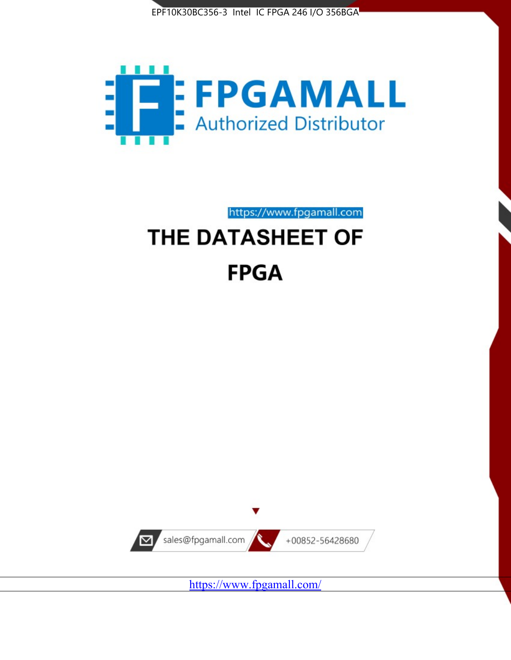



https://www.fpgamall.com

# THE DATASHEET OF **FPGA**



<https://www.fpgamall.com/>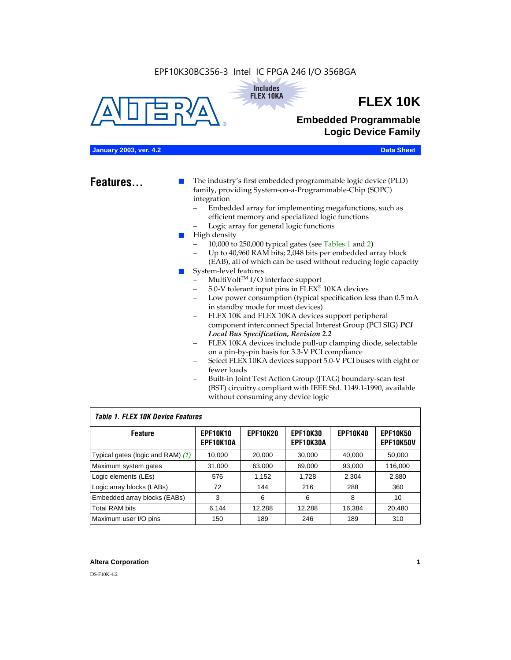



## **FLEX 10K**

## **Embedded Programmable Logic Device Family**

## **January 2003, ver. 4.2 Data Sheet**

**Features...** ■ The industry's first embedded programmable logic device (PLD) family, providing System-on-a-Programmable-Chip (SOPC) integration

- Embedded array for implementing megafunctions, such as efficient memory and specialized logic functions
- Logic array for general logic functions
- High density
	- 10,000 to 250,000 typical gates (see Tables 1 and 2)
	- Up to 40,960 RAM bits; 2,048 bits per embedded array block (EAB), all of which can be used without reducing logic capacity
- System-level features
	- $MultiVolt<sup>TM</sup> I/O interface support$
	- 5.0-V tolerant input pins in FLEX® 10KA devices
	- Low power consumption (typical specification less than 0.5 mA in standby mode for most devices)
	- FLEX 10K and FLEX 10KA devices support peripheral component interconnect Special Interest Group (PCI SIG) *PCI Local Bus Specification, Revision 2.2*
	- FLEX 10KA devices include pull-up clamping diode, selectable on a pin-by-pin basis for 3.3-V PCI compliance
	- Select FLEX 10KA devices support 5.0-V PCI buses with eight or fewer loads
	- Built-in Joint Test Action Group (JTAG) boundary-scan test (BST) circuitry compliant with IEEE Std. 1149.1-1990, available without consuming any device logic

#### *Table 1. FLEX 10K Device Features*

| <b>Feature</b>                    | <b>EPF10K10</b><br>EPF10K10A | <b>EPF10K20</b> | <b>EPF10K30</b><br><b>EPF10K30A</b> | <b>EPF10K40</b> | <b>EPF10K50</b><br><b>EPF10K50V</b> |
|-----------------------------------|------------------------------|-----------------|-------------------------------------|-----------------|-------------------------------------|
| Typical gates (logic and RAM) (1) | 10,000                       | 20,000          | 30,000                              | 40,000          | 50,000                              |
| Maximum system gates              | 31,000                       | 63,000          | 69,000                              | 93,000          | 116,000                             |
| Logic elements (LEs)              | 576                          | 1,152           | 1,728                               | 2,304           | 2,880                               |
| Logic array blocks (LABs)         | 72                           | 144             | 216                                 | 288             | 360                                 |
| Embedded array blocks (EABs)      | 3                            | 6               | 6                                   | 8               | 10                                  |
| <b>Total RAM bits</b>             | 6.144                        | 12,288          | 12,288                              | 16,384          | 20,480                              |
| Maximum user I/O pins             | 150                          | 189             | 246                                 | 189             | 310                                 |

#### **Altera Corporation 1**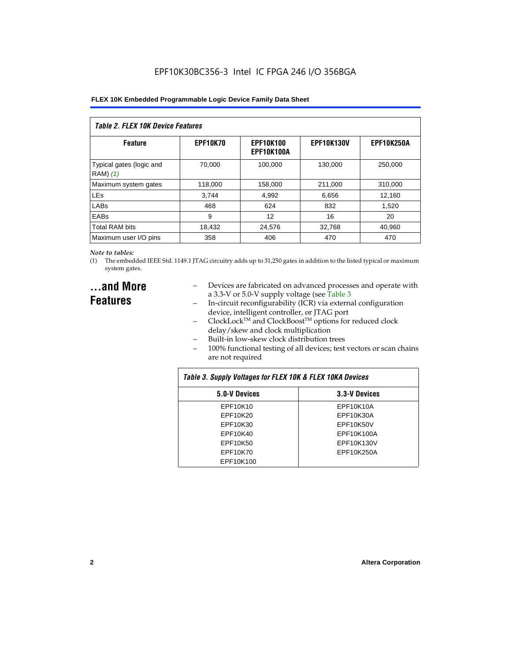| Table 2. FLEX 10K Device Features    |                 |                                       |                   |                   |  |
|--------------------------------------|-----------------|---------------------------------------|-------------------|-------------------|--|
| <b>Feature</b>                       | <b>EPF10K70</b> | <b>EPF10K100</b><br><b>EPF10K100A</b> | <b>EPF10K130V</b> | <b>EPF10K250A</b> |  |
| Typical gates (logic and<br>RAM) (1) | 70.000          | 100.000                               | 130.000           | 250,000           |  |
| Maximum system gates                 | 118,000         | 158,000                               | 211,000           | 310,000           |  |
| <b>LEs</b>                           | 3.744           | 4,992                                 | 6,656             | 12,160            |  |
| LABs                                 | 468             | 624                                   | 832               | 1.520             |  |
| <b>EABs</b>                          | 9               | 12                                    | 16                | 20                |  |
| <b>Total RAM bits</b>                | 18,432          | 24,576                                | 32,768            | 40,960            |  |
| Maximum user I/O pins                | 358             | 406                                   | 470               | 470               |  |

#### *Note to tables:*

(1) The embedded IEEE Std. 1149.1 JTAG circuitry adds up to 31,250 gates in addition to the listed typical or maximum system gates.

## **...and More Features**

- Devices are fabricated on advanced processes and operate with a 3.3-V or 5.0-V supply voltage (see Table 3
- In-circuit reconfigurability (ICR) via external configuration device, intelligent controller, or JTAG port
- $ClockLock^{TM}$  and  $ClockBoost^{TM}$  options for reduced clock delay/skew and clock multiplication
- Built-in low-skew clock distribution trees
- 100% functional testing of all devices; test vectors or scan chains are not required

| Table 3. Supply Voltages for FLEX 10K & FLEX 10KA Devices |               |  |  |  |
|-----------------------------------------------------------|---------------|--|--|--|
| 5.0-V Devices                                             | 3.3-V Devices |  |  |  |
| EPF10K10                                                  | EPF10K10A     |  |  |  |
| EPF10K20                                                  | EPF10K30A     |  |  |  |
| EPF10K30                                                  | EPF10K50V     |  |  |  |
| EPF10K40                                                  | EPF10K100A    |  |  |  |
| EPF10K50                                                  | EPF10K130V    |  |  |  |
| EPF10K70                                                  | EPF10K250A    |  |  |  |
| EPF10K100                                                 |               |  |  |  |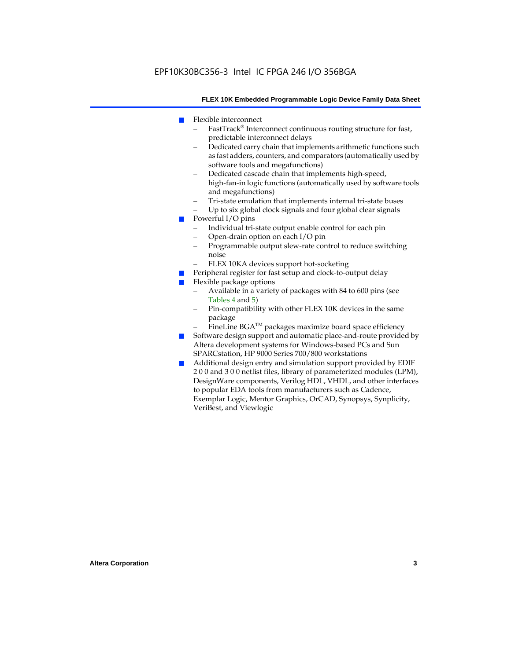- Flexible interconnect
	- FastTrack<sup>®</sup> Interconnect continuous routing structure for fast, predictable interconnect delays
	- Dedicated carry chain that implements arithmetic functions such as fast adders, counters, and comparators (automatically used by software tools and megafunctions)
	- Dedicated cascade chain that implements high-speed, high-fan-in logic functions (automatically used by software tools and megafunctions)
	- Tri-state emulation that implements internal tri-state buses
	- Up to six global clock signals and four global clear signals
- Powerful I/O pins
	- Individual tri-state output enable control for each pin
	- Open-drain option on each I/O pin
	- Programmable output slew-rate control to reduce switching noise
	- FLEX 10KA devices support hot-socketing
- Peripheral register for fast setup and clock-to-output delay
- Flexible package options
	- Available in a variety of packages with 84 to 600 pins (see Tables 4 and 5)
	- Pin-compatibility with other FLEX 10K devices in the same package
	- FineLine BGA<sup>TM</sup> packages maximize board space efficiency
- Software design support and automatic place-and-route provided by Altera development systems for Windows-based PCs and Sun SPARCstation, HP 9000 Series 700/800 workstations
- Additional design entry and simulation support provided by EDIF 2 0 0 and 3 0 0 netlist files, library of parameterized modules (LPM), DesignWare components, Verilog HDL, VHDL, and other interfaces to popular EDA tools from manufacturers such as Cadence, Exemplar Logic, Mentor Graphics, OrCAD, Synopsys, Synplicity, VeriBest, and Viewlogic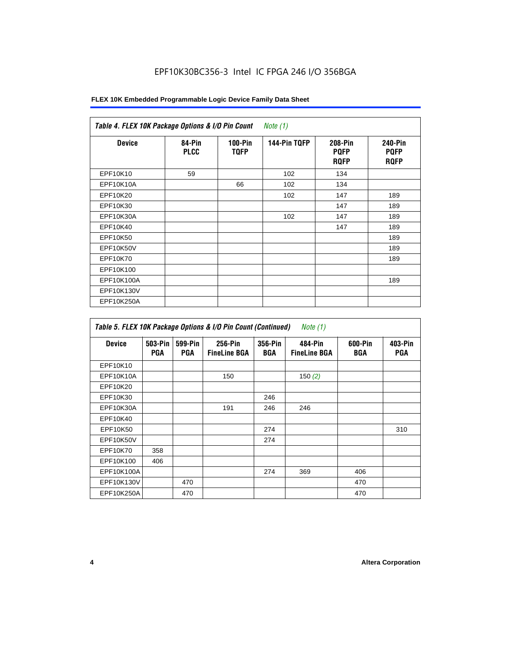## EPF10K30BC356-3 Intel IC FPGA 246 I/O 356BGA

## **FLEX 10K Embedded Programmable Logic Device Family Data Sheet**

| <b>Device</b> | 84-Pin<br><b>PLCC</b> | $100-Pin$<br><b>TQFP</b> | 144-Pin TQFP | 208-Pin<br><b>PQFP</b><br><b>ROFP</b> | <b>240-Pin</b><br><b>PQFP</b><br><b>RQFP</b> |
|---------------|-----------------------|--------------------------|--------------|---------------------------------------|----------------------------------------------|
| EPF10K10      | 59                    |                          | 102          | 134                                   |                                              |
| EPF10K10A     |                       | 66                       | 102          | 134                                   |                                              |
| EPF10K20      |                       |                          | 102          | 147                                   | 189                                          |
| EPF10K30      |                       |                          |              | 147                                   | 189                                          |
| EPF10K30A     |                       |                          | 102          | 147                                   | 189                                          |
| EPF10K40      |                       |                          |              | 147                                   | 189                                          |
| EPF10K50      |                       |                          |              |                                       | 189                                          |
| EPF10K50V     |                       |                          |              |                                       | 189                                          |
| EPF10K70      |                       |                          |              |                                       | 189                                          |
| EPF10K100     |                       |                          |              |                                       |                                              |
| EPF10K100A    |                       |                          |              |                                       | 189                                          |
| EPF10K130V    |                       |                          |              |                                       |                                              |
| EPF10K250A    |                       |                          |              |                                       |                                              |

| Table 5. FLEX 10K Package Options & I/O Pin Count (Continued)<br>Note $(1)$ |                       |                       |                                |                       |                                |                |                       |
|-----------------------------------------------------------------------------|-----------------------|-----------------------|--------------------------------|-----------------------|--------------------------------|----------------|-----------------------|
| <b>Device</b>                                                               | 503-Pin<br><b>PGA</b> | 599-Pin<br><b>PGA</b> | 256-Pin<br><b>FineLine BGA</b> | 356-Pin<br><b>BGA</b> | 484-Pin<br><b>FineLine BGA</b> | 600-Pin<br>BGA | 403-Pin<br><b>PGA</b> |
| EPF10K10                                                                    |                       |                       |                                |                       |                                |                |                       |
| EPF10K10A                                                                   |                       |                       | 150                            |                       | 150 $(2)$                      |                |                       |
| EPF10K20                                                                    |                       |                       |                                |                       |                                |                |                       |
| EPF10K30                                                                    |                       |                       |                                | 246                   |                                |                |                       |
| EPF10K30A                                                                   |                       |                       | 191                            | 246                   | 246                            |                |                       |
| EPF10K40                                                                    |                       |                       |                                |                       |                                |                |                       |
| EPF10K50                                                                    |                       |                       |                                | 274                   |                                |                | 310                   |
| EPF10K50V                                                                   |                       |                       |                                | 274                   |                                |                |                       |
| EPF10K70                                                                    | 358                   |                       |                                |                       |                                |                |                       |
| EPF10K100                                                                   | 406                   |                       |                                |                       |                                |                |                       |
| EPF10K100A                                                                  |                       |                       |                                | 274                   | 369                            | 406            |                       |
| EPF10K130V                                                                  |                       | 470                   |                                |                       |                                | 470            |                       |
| EPF10K250A                                                                  |                       | 470                   |                                |                       |                                | 470            |                       |

 $\mathbf{r}$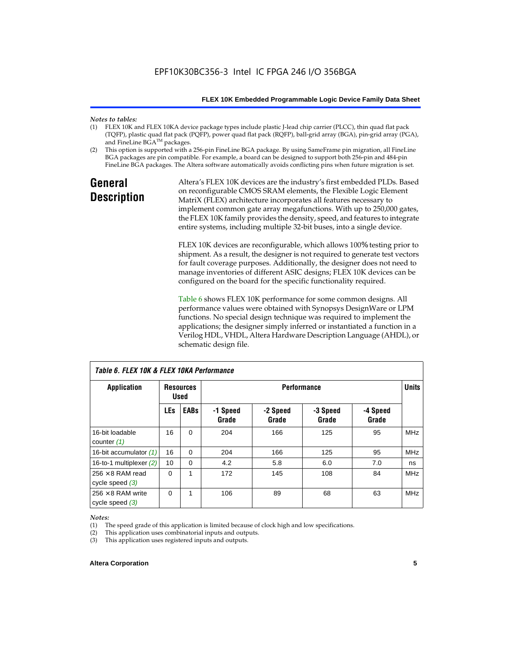## *Notes to tables:*

- FLEX 10K and FLEX 10KA device package types include plastic J-lead chip carrier (PLCC), thin quad flat pack (TQFP), plastic quad flat pack (PQFP), power quad flat pack (RQFP), ball-grid array (BGA), pin-grid array (PGA), and FineLine BGA™ packages.
- (2) This option is supported with a 256-pin FineLine BGA package. By using SameFrame pin migration, all FineLine BGA packages are pin compatible. For example, a board can be designed to support both 256-pin and 484-pin FineLine BGA packages. The Altera software automatically avoids conflicting pins when future migration is set.

## **General Description**

Altera's FLEX 10K devices are the industry's first embedded PLDs. Based on reconfigurable CMOS SRAM elements, the Flexible Logic Element MatriX (FLEX) architecture incorporates all features necessary to implement common gate array megafunctions. With up to 250,000 gates, the FLEX 10K family provides the density, speed, and features to integrate entire systems, including multiple 32-bit buses, into a single device.

FLEX 10K devices are reconfigurable, which allows 100% testing prior to shipment. As a result, the designer is not required to generate test vectors for fault coverage purposes. Additionally, the designer does not need to manage inventories of different ASIC designs; FLEX 10K devices can be configured on the board for the specific functionality required.

Table 6 shows FLEX 10K performance for some common designs. All performance values were obtained with Synopsys DesignWare or LPM functions. No special design technique was required to implement the applications; the designer simply inferred or instantiated a function in a Verilog HDL, VHDL, Altera Hardware Description Language (AHDL), or schematic design file.

| TADIE D. FLEA TUN & FLEA TUNA FEITUITUAILLE   |            |                                 |                    |                   |                   |                   |            |
|-----------------------------------------------|------------|---------------------------------|--------------------|-------------------|-------------------|-------------------|------------|
| <b>Application</b>                            |            | <b>Resources</b><br><b>Used</b> | <b>Performance</b> |                   |                   | <b>Units</b>      |            |
|                                               | <b>LEs</b> | <b>EABs</b>                     | -1 Speed<br>Grade  | -2 Speed<br>Grade | -3 Speed<br>Grade | -4 Speed<br>Grade |            |
| 16-bit loadable<br>counter $(1)$              | 16         | $\Omega$                        | 204                | 166               | 125               | 95                | <b>MHz</b> |
| 16-bit accumulator (1)                        | 16         | $\Omega$                        | 204                | 166               | 125               | 95                | <b>MHz</b> |
| 16-to-1 multiplexer $(2)$                     | 10         | $\Omega$                        | 4.2                | 5.8               | 6.0               | 7.0               | ns         |
| $256 \times 8$ RAM read<br>cycle speed $(3)$  | 0          | 1                               | 172                | 145               | 108               | 84                | <b>MHz</b> |
| 256 $\times$ 8 RAM write<br>cycle speed $(3)$ | 0          | 1                               | 106                | 89                | 68                | 63                | <b>MHz</b> |

*Table 6. FLEX 10K & FLEX 10KA Performance*

#### *Notes:*

(1) The speed grade of this application is limited because of clock high and low specifications.

(2) This application uses combinatorial inputs and outputs.

(3) This application uses registered inputs and outputs.

#### **Altera Corporation 5**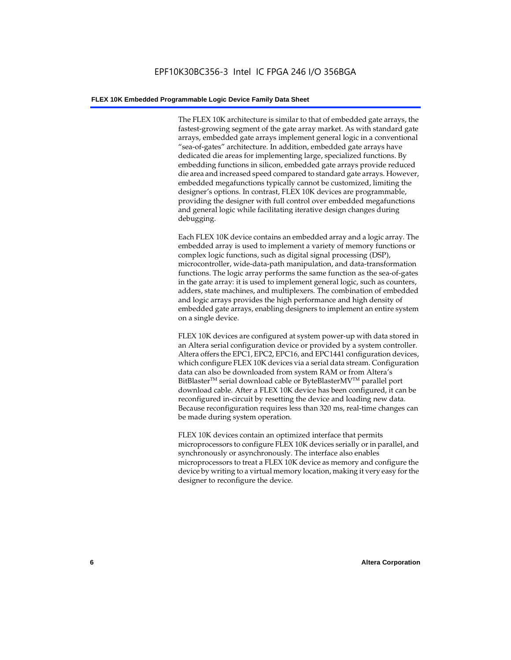The FLEX 10K architecture is similar to that of embedded gate arrays, the fastest-growing segment of the gate array market. As with standard gate arrays, embedded gate arrays implement general logic in a conventional "sea-of-gates" architecture. In addition, embedded gate arrays have dedicated die areas for implementing large, specialized functions. By embedding functions in silicon, embedded gate arrays provide reduced die area and increased speed compared to standard gate arrays. However, embedded megafunctions typically cannot be customized, limiting the designer's options. In contrast, FLEX 10K devices are programmable, providing the designer with full control over embedded megafunctions and general logic while facilitating iterative design changes during debugging.

Each FLEX 10K device contains an embedded array and a logic array. The embedded array is used to implement a variety of memory functions or complex logic functions, such as digital signal processing (DSP), microcontroller, wide-data-path manipulation, and data-transformation functions. The logic array performs the same function as the sea-of-gates in the gate array: it is used to implement general logic, such as counters, adders, state machines, and multiplexers. The combination of embedded and logic arrays provides the high performance and high density of embedded gate arrays, enabling designers to implement an entire system on a single device.

FLEX 10K devices are configured at system power-up with data stored in an Altera serial configuration device or provided by a system controller. Altera offers the EPC1, EPC2, EPC16, and EPC1441 configuration devices, which configure FLEX 10K devices via a serial data stream. Configuration data can also be downloaded from system RAM or from Altera's BitBlaster<sup>™</sup> serial download cable or ByteBlasterMV<sup>™</sup> parallel port download cable. After a FLEX 10K device has been configured, it can be reconfigured in-circuit by resetting the device and loading new data. Because reconfiguration requires less than 320 ms, real-time changes can be made during system operation.

FLEX 10K devices contain an optimized interface that permits microprocessors to configure FLEX 10K devices serially or in parallel, and synchronously or asynchronously. The interface also enables microprocessors to treat a FLEX 10K device as memory and configure the device by writing to a virtual memory location, making it very easy for the designer to reconfigure the device.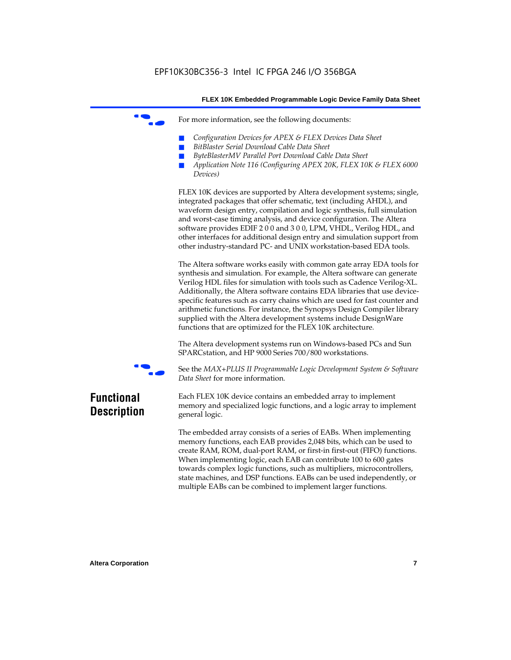For more information, see the following documents:

- *Configuration Devices for APEX & FLEX Devices Data Sheet*
- $BitBlaster$  Serial Download Cable Data Sheet
- *ByteBlasterMV Parallel Port Download Cable Data Sheet*
- *Application Note 116 (Configuring APEX 20K, FLEX 10K & FLEX 6000 Devices)*

FLEX 10K devices are supported by Altera development systems; single, integrated packages that offer schematic, text (including AHDL), and waveform design entry, compilation and logic synthesis, full simulation and worst-case timing analysis, and device configuration. The Altera software provides EDIF 2 0 0 and 3 0 0, LPM, VHDL, Verilog HDL, and other interfaces for additional design entry and simulation support from other industry-standard PC- and UNIX workstation-based EDA tools.

The Altera software works easily with common gate array EDA tools for synthesis and simulation. For example, the Altera software can generate Verilog HDL files for simulation with tools such as Cadence Verilog-XL. Additionally, the Altera software contains EDA libraries that use devicespecific features such as carry chains which are used for fast counter and arithmetic functions. For instance, the Synopsys Design Compiler library supplied with the Altera development systems include DesignWare functions that are optimized for the FLEX 10K architecture.

The Altera development systems run on Windows-based PCs and Sun SPARCstation, and HP 9000 Series 700/800 workstations.



f See the *MAX+PLUS II Programmable Logic Development System & Software Data Sheet* for more information.

## **Functional Description**

Each FLEX 10K device contains an embedded array to implement memory and specialized logic functions, and a logic array to implement general logic.

The embedded array consists of a series of EABs. When implementing memory functions, each EAB provides 2,048 bits, which can be used to create RAM, ROM, dual-port RAM, or first-in first-out (FIFO) functions. When implementing logic, each EAB can contribute 100 to 600 gates towards complex logic functions, such as multipliers, microcontrollers, state machines, and DSP functions. EABs can be used independently, or multiple EABs can be combined to implement larger functions.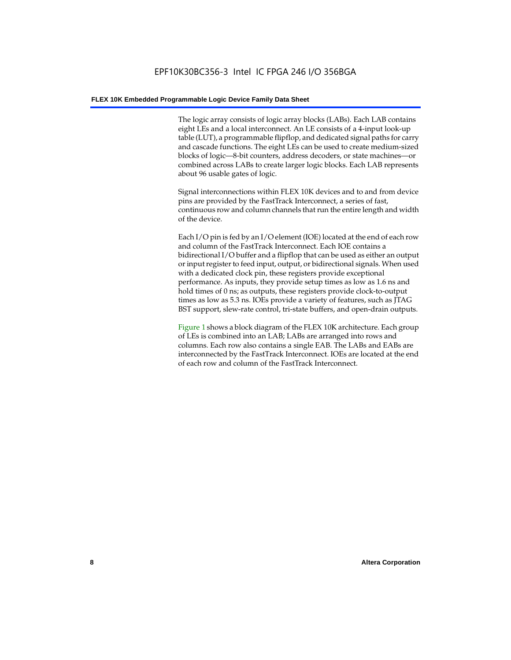The logic array consists of logic array blocks (LABs). Each LAB contains eight LEs and a local interconnect. An LE consists of a 4-input look-up table (LUT), a programmable flipflop, and dedicated signal paths for carry and cascade functions. The eight LEs can be used to create medium-sized blocks of logic—8-bit counters, address decoders, or state machines—or combined across LABs to create larger logic blocks. Each LAB represents about 96 usable gates of logic.

Signal interconnections within FLEX 10K devices and to and from device pins are provided by the FastTrack Interconnect, a series of fast, continuous row and column channels that run the entire length and width of the device.

Each I/O pin is fed by an I/O element (IOE) located at the end of each row and column of the FastTrack Interconnect. Each IOE contains a bidirectional I/O buffer and a flipflop that can be used as either an output or input register to feed input, output, or bidirectional signals. When used with a dedicated clock pin, these registers provide exceptional performance. As inputs, they provide setup times as low as 1.6 ns and hold times of 0 ns; as outputs, these registers provide clock-to-output times as low as 5.3 ns. IOEs provide a variety of features, such as JTAG BST support, slew-rate control, tri-state buffers, and open-drain outputs.

Figure 1 shows a block diagram of the FLEX 10K architecture. Each group of LEs is combined into an LAB; LABs are arranged into rows and columns. Each row also contains a single EAB. The LABs and EABs are interconnected by the FastTrack Interconnect. IOEs are located at the end of each row and column of the FastTrack Interconnect.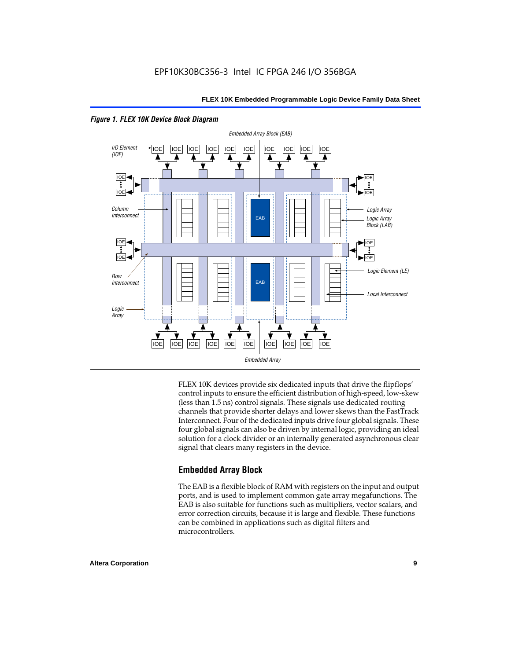



FLEX 10K devices provide six dedicated inputs that drive the flipflops' control inputs to ensure the efficient distribution of high-speed, low-skew (less than 1.5 ns) control signals. These signals use dedicated routing channels that provide shorter delays and lower skews than the FastTrack Interconnect. Four of the dedicated inputs drive four global signals. These four global signals can also be driven by internal logic, providing an ideal solution for a clock divider or an internally generated asynchronous clear signal that clears many registers in the device.

## **Embedded Array Block**

The EAB is a flexible block of RAM with registers on the input and output ports, and is used to implement common gate array megafunctions. The EAB is also suitable for functions such as multipliers, vector scalars, and error correction circuits, because it is large and flexible. These functions can be combined in applications such as digital filters and microcontrollers.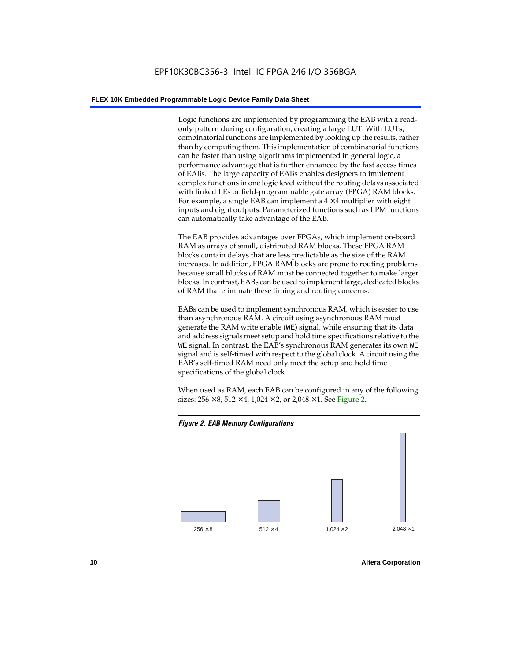Logic functions are implemented by programming the EAB with a readonly pattern during configuration, creating a large LUT. With LUTs, combinatorial functions are implemented by looking up the results, rather than by computing them. This implementation of combinatorial functions can be faster than using algorithms implemented in general logic, a performance advantage that is further enhanced by the fast access times of EABs. The large capacity of EABs enables designers to implement complex functions in one logic level without the routing delays associated with linked LEs or field-programmable gate array (FPGA) RAM blocks. For example, a single EAB can implement a  $4 \times 4$  multiplier with eight inputs and eight outputs. Parameterized functions such as LPM functions can automatically take advantage of the EAB.

The EAB provides advantages over FPGAs, which implement on-board RAM as arrays of small, distributed RAM blocks. These FPGA RAM blocks contain delays that are less predictable as the size of the RAM increases. In addition, FPGA RAM blocks are prone to routing problems because small blocks of RAM must be connected together to make larger blocks. In contrast, EABs can be used to implement large, dedicated blocks of RAM that eliminate these timing and routing concerns.

EABs can be used to implement synchronous RAM, which is easier to use than asynchronous RAM. A circuit using asynchronous RAM must generate the RAM write enable (WE) signal, while ensuring that its data and address signals meet setup and hold time specifications relative to the WE signal. In contrast, the EAB's synchronous RAM generates its own WE signal and is self-timed with respect to the global clock. A circuit using the EAB's self-timed RAM need only meet the setup and hold time specifications of the global clock.

When used as RAM, each EAB can be configured in any of the following sizes:  $256 \times 8$ ,  $512 \times 4$ ,  $1,024 \times 2$ , or  $2,048 \times 1$ . See Figure 2.



**10 Altera Corporation**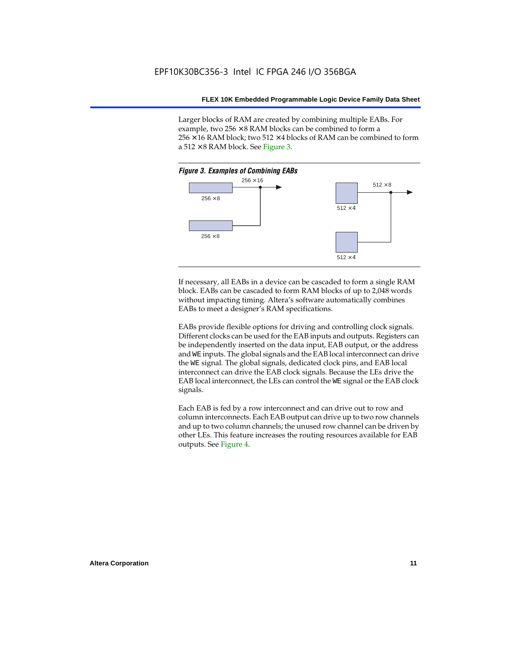Larger blocks of RAM are created by combining multiple EABs. For example, two  $256 \times 8$  RAM blocks can be combined to form a  $256 \times 16$  RAM block; two 512  $\times$  4 blocks of RAM can be combined to form a  $512 \times 8$  RAM block. See Figure 3.



If necessary, all EABs in a device can be cascaded to form a single RAM block. EABs can be cascaded to form RAM blocks of up to 2,048 words without impacting timing. Altera's software automatically combines EABs to meet a designer's RAM specifications.

EABs provide flexible options for driving and controlling clock signals. Different clocks can be used for the EAB inputs and outputs. Registers can be independently inserted on the data input, EAB output, or the address and WE inputs. The global signals and the EAB local interconnect can drive the WE signal. The global signals, dedicated clock pins, and EAB local interconnect can drive the EAB clock signals. Because the LEs drive the EAB local interconnect, the LEs can control the WE signal or the EAB clock signals.

Each EAB is fed by a row interconnect and can drive out to row and column interconnects. Each EAB output can drive up to two row channels and up to two column channels; the unused row channel can be driven by other LEs. This feature increases the routing resources available for EAB outputs. See Figure 4.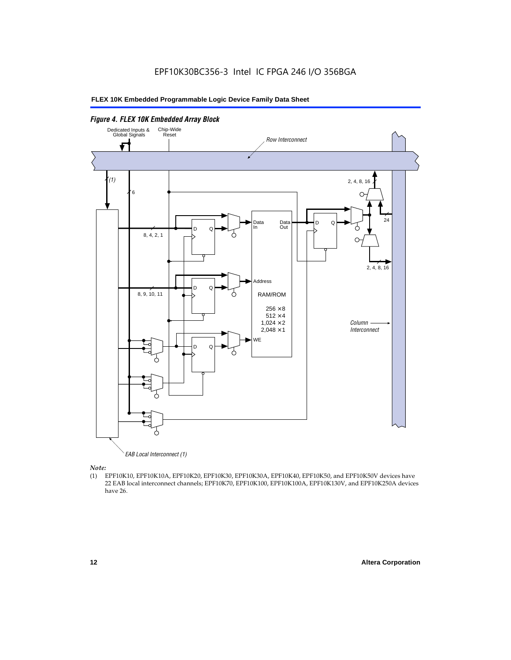

### *Figure 4. FLEX 10K Embedded Array Block*

EAB Local Interconnect (1)

*Note:*<br>(1) **H** 

(1) EPF10K10, EPF10K10A, EPF10K20, EPF10K30, EPF10K30A, EPF10K40, EPF10K50, and EPF10K50V devices have 22 EAB local interconnect channels; EPF10K70, EPF10K100, EPF10K100A, EPF10K130V, and EPF10K250A devices have 26.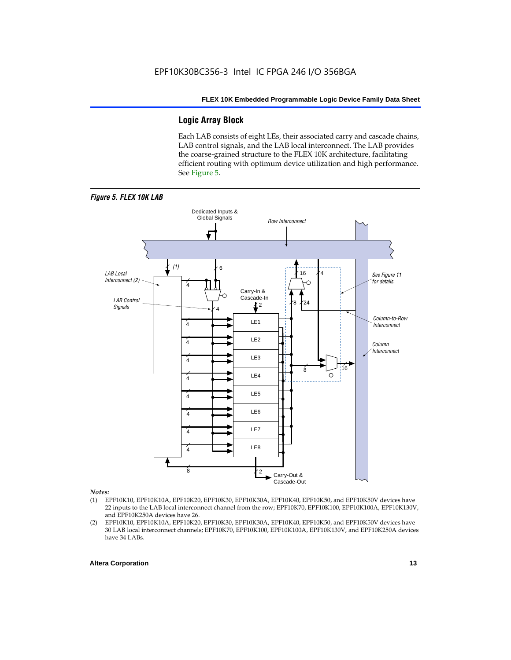## **Logic Array Block**

Each LAB consists of eight LEs, their associated carry and cascade chains, LAB control signals, and the LAB local interconnect. The LAB provides the coarse-grained structure to the FLEX 10K architecture, facilitating efficient routing with optimum device utilization and high performance. See Figure 5.



#### *Notes:*

- (1) EPF10K10, EPF10K10A, EPF10K20, EPF10K30, EPF10K30A, EPF10K40, EPF10K50, and EPF10K50V devices have 22 inputs to the LAB local interconnect channel from the row; EPF10K70, EPF10K100, EPF10K100A, EPF10K130V, and EPF10K250A devices have 26.
- (2) EPF10K10, EPF10K10A, EPF10K20, EPF10K30, EPF10K30A, EPF10K40, EPF10K50, and EPF10K50V devices have 30 LAB local interconnect channels; EPF10K70, EPF10K100, EPF10K100A, EPF10K130V, and EPF10K250A devices have 34 LABs.

#### **Altera Corporation 13 13**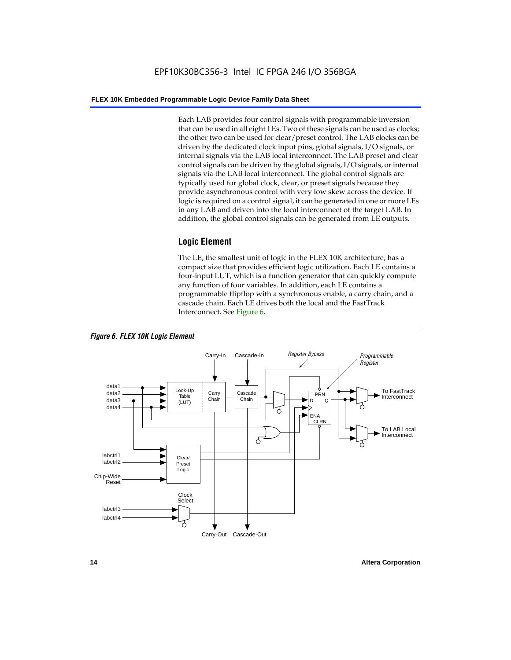Each LAB provides four control signals with programmable inversion that can be used in all eight LEs. Two of these signals can be used as clocks; the other two can be used for clear/preset control. The LAB clocks can be driven by the dedicated clock input pins, global signals, I/O signals, or internal signals via the LAB local interconnect. The LAB preset and clear control signals can be driven by the global signals, I/O signals, or internal signals via the LAB local interconnect. The global control signals are typically used for global clock, clear, or preset signals because they provide asynchronous control with very low skew across the device. If logic is required on a control signal, it can be generated in one or more LEs in any LAB and driven into the local interconnect of the target LAB. In addition, the global control signals can be generated from LE outputs.

## **Logic Element**

The LE, the smallest unit of logic in the FLEX 10K architecture, has a compact size that provides efficient logic utilization. Each LE contains a four-input LUT, which is a function generator that can quickly compute any function of four variables. In addition, each LE contains a programmable flipflop with a synchronous enable, a carry chain, and a cascade chain. Each LE drives both the local and the FastTrack Interconnect. See Figure 6.



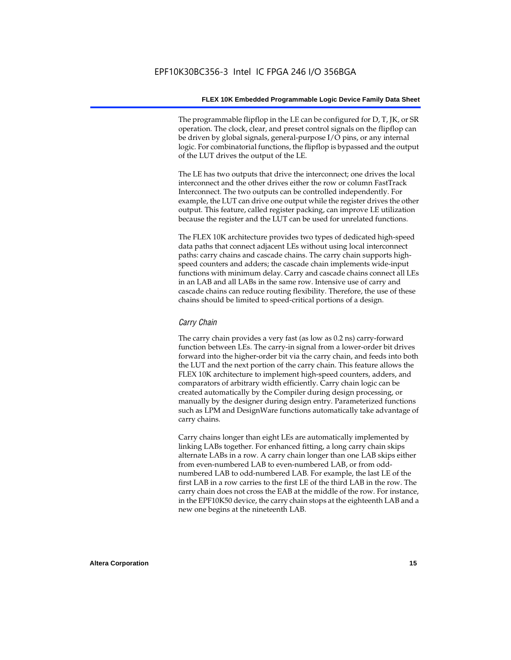The programmable flipflop in the LE can be configured for D, T, JK, or SR operation. The clock, clear, and preset control signals on the flipflop can be driven by global signals, general-purpose I/O pins, or any internal logic. For combinatorial functions, the flipflop is bypassed and the output of the LUT drives the output of the LE.

The LE has two outputs that drive the interconnect; one drives the local interconnect and the other drives either the row or column FastTrack Interconnect. The two outputs can be controlled independently. For example, the LUT can drive one output while the register drives the other output. This feature, called register packing, can improve LE utilization because the register and the LUT can be used for unrelated functions.

The FLEX 10K architecture provides two types of dedicated high-speed data paths that connect adjacent LEs without using local interconnect paths: carry chains and cascade chains. The carry chain supports highspeed counters and adders; the cascade chain implements wide-input functions with minimum delay. Carry and cascade chains connect all LEs in an LAB and all LABs in the same row. Intensive use of carry and cascade chains can reduce routing flexibility. Therefore, the use of these chains should be limited to speed-critical portions of a design.

#### *Carry Chain*

The carry chain provides a very fast (as low as 0.2 ns) carry-forward function between LEs. The carry-in signal from a lower-order bit drives forward into the higher-order bit via the carry chain, and feeds into both the LUT and the next portion of the carry chain. This feature allows the FLEX 10K architecture to implement high-speed counters, adders, and comparators of arbitrary width efficiently. Carry chain logic can be created automatically by the Compiler during design processing, or manually by the designer during design entry. Parameterized functions such as LPM and DesignWare functions automatically take advantage of carry chains.

Carry chains longer than eight LEs are automatically implemented by linking LABs together. For enhanced fitting, a long carry chain skips alternate LABs in a row. A carry chain longer than one LAB skips either from even-numbered LAB to even-numbered LAB, or from oddnumbered LAB to odd-numbered LAB. For example, the last LE of the first LAB in a row carries to the first LE of the third LAB in the row. The carry chain does not cross the EAB at the middle of the row. For instance, in the EPF10K50 device, the carry chain stops at the eighteenth LAB and a new one begins at the nineteenth LAB.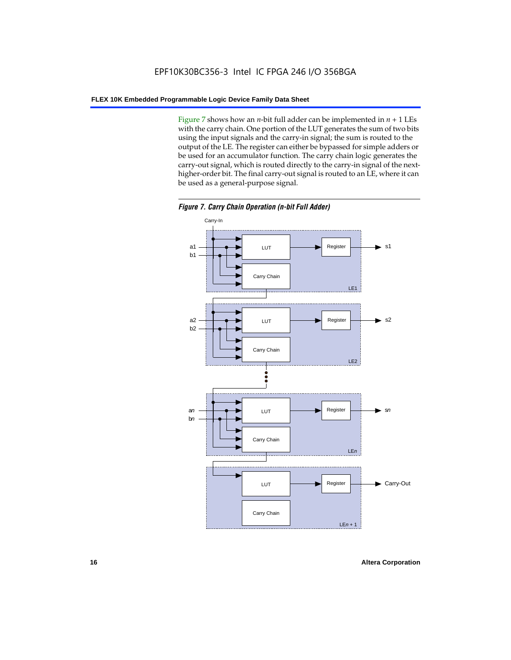Figure 7 shows how an *n*-bit full adder can be implemented in  $n + 1$  LEs with the carry chain. One portion of the LUT generates the sum of two bits using the input signals and the carry-in signal; the sum is routed to the output of the LE. The register can either be bypassed for simple adders or be used for an accumulator function. The carry chain logic generates the carry-out signal, which is routed directly to the carry-in signal of the nexthigher-order bit. The final carry-out signal is routed to an LE, where it can be used as a general-purpose signal.



*Figure 7. Carry Chain Operation (n-bit Full Adder)*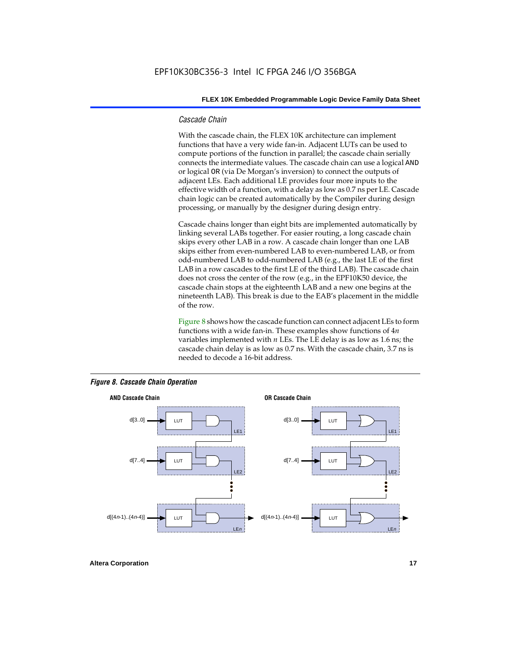#### *Cascade Chain*

With the cascade chain, the FLEX 10K architecture can implement functions that have a very wide fan-in. Adjacent LUTs can be used to compute portions of the function in parallel; the cascade chain serially connects the intermediate values. The cascade chain can use a logical AND or logical OR (via De Morgan's inversion) to connect the outputs of adjacent LEs. Each additional LE provides four more inputs to the effective width of a function, with a delay as low as 0.7 ns per LE. Cascade chain logic can be created automatically by the Compiler during design processing, or manually by the designer during design entry.

Cascade chains longer than eight bits are implemented automatically by linking several LABs together. For easier routing, a long cascade chain skips every other LAB in a row. A cascade chain longer than one LAB skips either from even-numbered LAB to even-numbered LAB, or from odd-numbered LAB to odd-numbered LAB (e.g., the last LE of the first LAB in a row cascades to the first LE of the third LAB). The cascade chain does not cross the center of the row (e.g., in the EPF10K50 device, the cascade chain stops at the eighteenth LAB and a new one begins at the nineteenth LAB). This break is due to the EAB's placement in the middle of the row.

Figure 8 shows how the cascade function can connect adjacent LEs to form functions with a wide fan-in. These examples show functions of 4*n* variables implemented with *n* LEs. The LE delay is as low as 1.6 ns; the cascade chain delay is as low as 0.7 ns. With the cascade chain, 3.7 ns is needed to decode a 16-bit address.



#### *Figure 8. Cascade Chain Operation*

**Altera Corporation 17 17**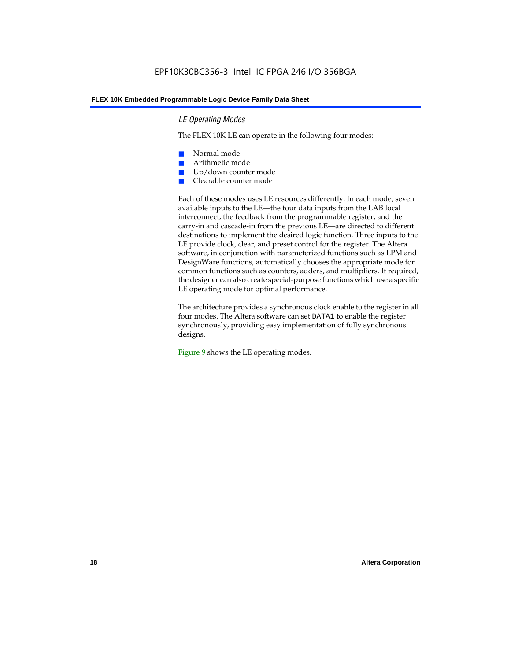#### *LE Operating Modes*

The FLEX 10K LE can operate in the following four modes:

- Normal mode
- Arithmetic mode
- Up/down counter mode
- Clearable counter mode

Each of these modes uses LE resources differently. In each mode, seven available inputs to the LE—the four data inputs from the LAB local interconnect, the feedback from the programmable register, and the carry-in and cascade-in from the previous LE—are directed to different destinations to implement the desired logic function. Three inputs to the LE provide clock, clear, and preset control for the register. The Altera software, in conjunction with parameterized functions such as LPM and DesignWare functions, automatically chooses the appropriate mode for common functions such as counters, adders, and multipliers. If required, the designer can also create special-purpose functions which use a specific LE operating mode for optimal performance.

The architecture provides a synchronous clock enable to the register in all four modes. The Altera software can set DATA1 to enable the register synchronously, providing easy implementation of fully synchronous designs.

Figure 9 shows the LE operating modes.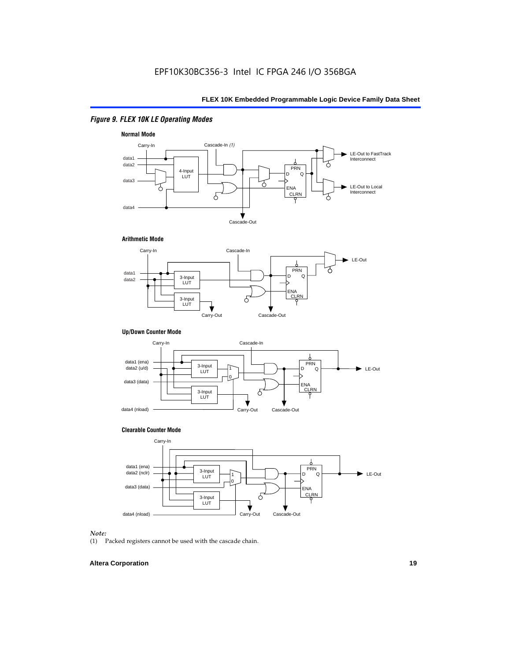## *Figure 9. FLEX 10K LE Operating Modes*



#### **Arithmetic Mode**



#### **Up/Down Counter Mode**



#### **Clearable Counter Mode**



#### *Note:*

(1) Packed registers cannot be used with the cascade chain.

#### **Altera Corporation 19**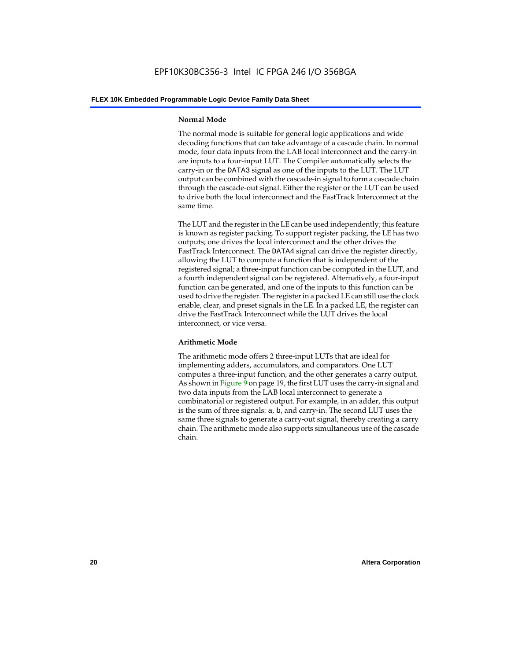#### **Normal Mode**

The normal mode is suitable for general logic applications and wide decoding functions that can take advantage of a cascade chain. In normal mode, four data inputs from the LAB local interconnect and the carry-in are inputs to a four-input LUT. The Compiler automatically selects the carry-in or the DATA3 signal as one of the inputs to the LUT. The LUT output can be combined with the cascade-in signal to form a cascade chain through the cascade-out signal. Either the register or the LUT can be used to drive both the local interconnect and the FastTrack Interconnect at the same time.

The LUT and the register in the LE can be used independently; this feature is known as register packing. To support register packing, the LE has two outputs; one drives the local interconnect and the other drives the FastTrack Interconnect. The DATA4 signal can drive the register directly, allowing the LUT to compute a function that is independent of the registered signal; a three-input function can be computed in the LUT, and a fourth independent signal can be registered. Alternatively, a four-input function can be generated, and one of the inputs to this function can be used to drive the register. The register in a packed LE can still use the clock enable, clear, and preset signals in the LE. In a packed LE, the register can drive the FastTrack Interconnect while the LUT drives the local interconnect, or vice versa.

#### **Arithmetic Mode**

The arithmetic mode offers 2 three-input LUTs that are ideal for implementing adders, accumulators, and comparators. One LUT computes a three-input function, and the other generates a carry output. As shown in Figure 9 on page 19, the first LUT uses the carry-in signal and two data inputs from the LAB local interconnect to generate a combinatorial or registered output. For example, in an adder, this output is the sum of three signals: a, b, and carry-in. The second LUT uses the same three signals to generate a carry-out signal, thereby creating a carry chain. The arithmetic mode also supports simultaneous use of the cascade chain.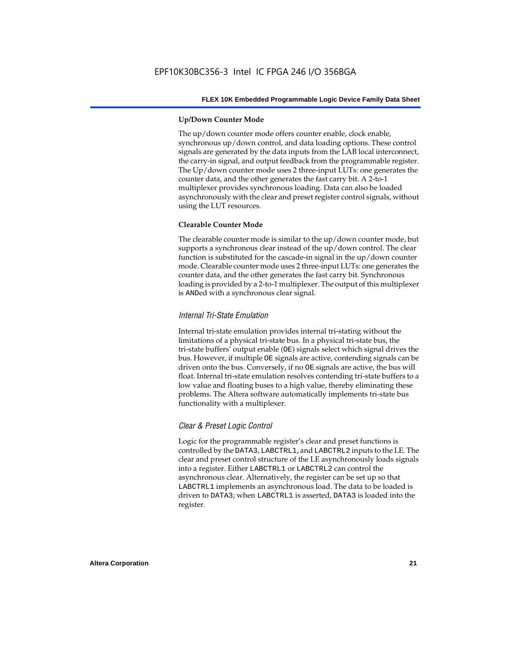#### **Up/Down Counter Mode**

The up/down counter mode offers counter enable, clock enable, synchronous up/down control, and data loading options. These control signals are generated by the data inputs from the LAB local interconnect, the carry-in signal, and output feedback from the programmable register. The Up/down counter mode uses 2 three-input LUTs: one generates the counter data, and the other generates the fast carry bit. A 2-to-1 multiplexer provides synchronous loading. Data can also be loaded asynchronously with the clear and preset register control signals, without using the LUT resources.

#### **Clearable Counter Mode**

The clearable counter mode is similar to the up/down counter mode, but supports a synchronous clear instead of the up/down control. The clear function is substituted for the cascade-in signal in the up/down counter mode. Clearable counter mode uses 2 three-input LUTs: one generates the counter data, and the other generates the fast carry bit. Synchronous loading is provided by a 2-to-1 multiplexer. The output of this multiplexer is ANDed with a synchronous clear signal.

#### *Internal Tri-State Emulation*

Internal tri-state emulation provides internal tri-stating without the limitations of a physical tri-state bus. In a physical tri-state bus, the tri-state buffers' output enable (OE) signals select which signal drives the bus. However, if multiple OE signals are active, contending signals can be driven onto the bus. Conversely, if no OE signals are active, the bus will float. Internal tri-state emulation resolves contending tri-state buffers to a low value and floating buses to a high value, thereby eliminating these problems. The Altera software automatically implements tri-state bus functionality with a multiplexer.

#### *Clear & Preset Logic Control*

Logic for the programmable register's clear and preset functions is controlled by the DATA3, LABCTRL1, and LABCTRL2 inputs to the LE. The clear and preset control structure of the LE asynchronously loads signals into a register. Either LABCTRL1 or LABCTRL2 can control the asynchronous clear. Alternatively, the register can be set up so that LABCTRL1 implements an asynchronous load. The data to be loaded is driven to DATA3; when LABCTRL1 is asserted, DATA3 is loaded into the register.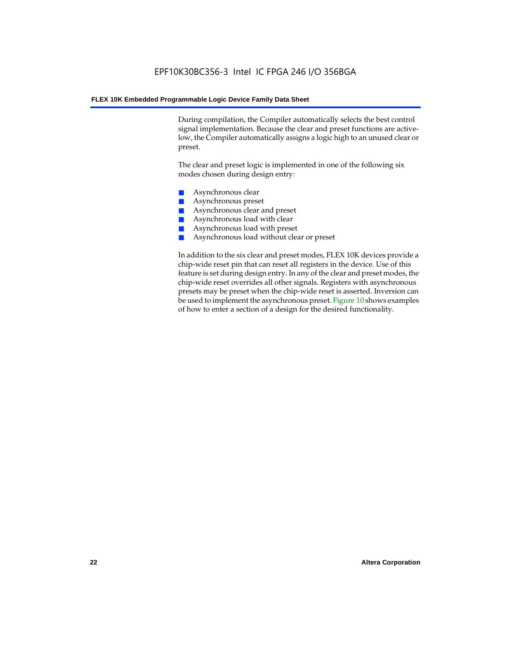During compilation, the Compiler automatically selects the best control signal implementation. Because the clear and preset functions are activelow, the Compiler automatically assigns a logic high to an unused clear or preset.

The clear and preset logic is implemented in one of the following six modes chosen during design entry:

- Asynchronous clear
- Asynchronous preset
- Asynchronous clear and preset
- Asynchronous load with clear
- Asynchronous load with preset
- Asynchronous load without clear or preset

In addition to the six clear and preset modes, FLEX 10K devices provide a chip-wide reset pin that can reset all registers in the device. Use of this feature is set during design entry. In any of the clear and preset modes, the chip-wide reset overrides all other signals. Registers with asynchronous presets may be preset when the chip-wide reset is asserted. Inversion can be used to implement the asynchronous preset. Figure 10 shows examples of how to enter a section of a design for the desired functionality.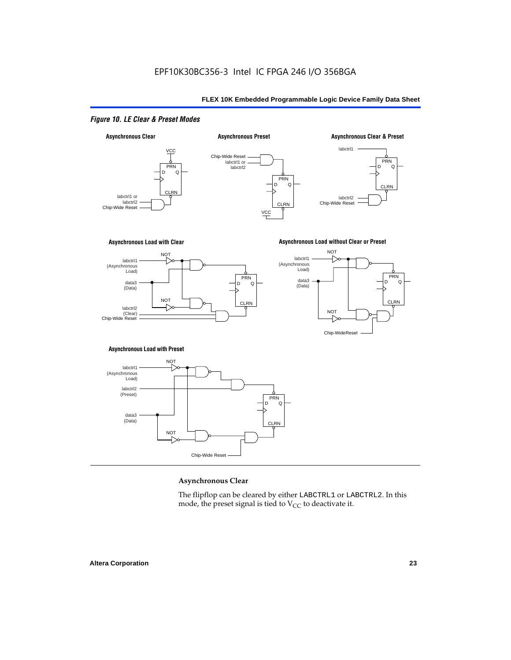## *Figure 10. LE Clear & Preset Modes*



#### **Asynchronous Clear**

The flipflop can be cleared by either LABCTRL1 or LABCTRL2. In this mode, the preset signal is tied to  $V_{CC}$  to deactivate it.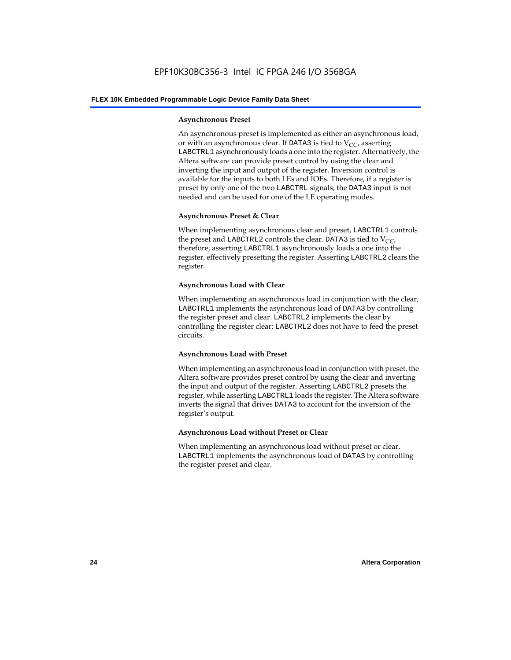#### **Asynchronous Preset**

An asynchronous preset is implemented as either an asynchronous load, or with an asynchronous clear. If DATA3 is tied to  $V_{CC}$ , asserting LABCTRL1 asynchronously loads a one into the register. Alternatively, the Altera software can provide preset control by using the clear and inverting the input and output of the register. Inversion control is available for the inputs to both LEs and IOEs. Therefore, if a register is preset by only one of the two LABCTRL signals, the DATA3 input is not needed and can be used for one of the LE operating modes.

#### **Asynchronous Preset & Clear**

When implementing asynchronous clear and preset, LABCTRL1 controls the preset and LABCTRL2 controls the clear. DATA3 is tied to  $V_{CC}$ , therefore, asserting LABCTRL1 asynchronously loads a one into the register, effectively presetting the register. Asserting LABCTRL2 clears the register.

#### **Asynchronous Load with Clear**

When implementing an asynchronous load in conjunction with the clear, LABCTRL1 implements the asynchronous load of DATA3 by controlling the register preset and clear. LABCTRL2 implements the clear by controlling the register clear; LABCTRL2 does not have to feed the preset circuits.

#### **Asynchronous Load with Preset**

When implementing an asynchronous load in conjunction with preset, the Altera software provides preset control by using the clear and inverting the input and output of the register. Asserting LABCTRL2 presets the register, while asserting LABCTRL1 loads the register. The Altera software inverts the signal that drives DATA3 to account for the inversion of the register's output.

#### **Asynchronous Load without Preset or Clear**

When implementing an asynchronous load without preset or clear, LABCTRL1 implements the asynchronous load of DATA3 by controlling the register preset and clear.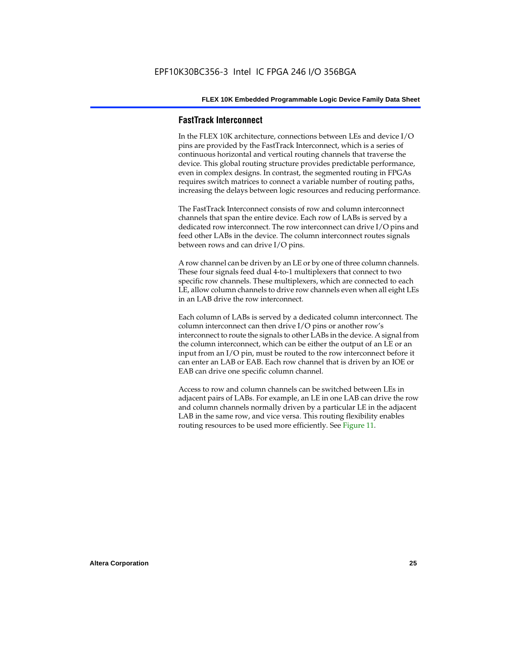### **FastTrack Interconnect**

In the FLEX 10K architecture, connections between LEs and device I/O pins are provided by the FastTrack Interconnect, which is a series of continuous horizontal and vertical routing channels that traverse the device. This global routing structure provides predictable performance, even in complex designs. In contrast, the segmented routing in FPGAs requires switch matrices to connect a variable number of routing paths, increasing the delays between logic resources and reducing performance.

The FastTrack Interconnect consists of row and column interconnect channels that span the entire device. Each row of LABs is served by a dedicated row interconnect. The row interconnect can drive I/O pins and feed other LABs in the device. The column interconnect routes signals between rows and can drive I/O pins.

A row channel can be driven by an LE or by one of three column channels. These four signals feed dual 4-to-1 multiplexers that connect to two specific row channels. These multiplexers, which are connected to each LE, allow column channels to drive row channels even when all eight LEs in an LAB drive the row interconnect.

Each column of LABs is served by a dedicated column interconnect. The column interconnect can then drive I/O pins or another row's interconnect to route the signals to other LABs in the device. A signal from the column interconnect, which can be either the output of an LE or an input from an I/O pin, must be routed to the row interconnect before it can enter an LAB or EAB. Each row channel that is driven by an IOE or EAB can drive one specific column channel.

Access to row and column channels can be switched between LEs in adjacent pairs of LABs. For example, an LE in one LAB can drive the row and column channels normally driven by a particular LE in the adjacent LAB in the same row, and vice versa. This routing flexibility enables routing resources to be used more efficiently. See Figure 11.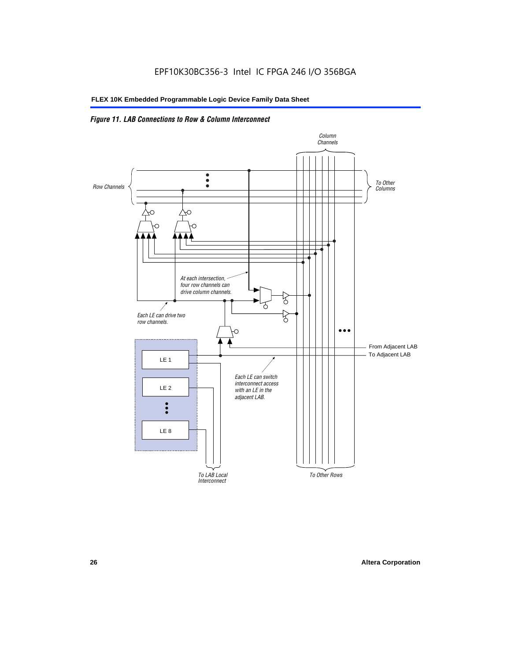## *Figure 11. LAB Connections to Row & Column Interconnect*

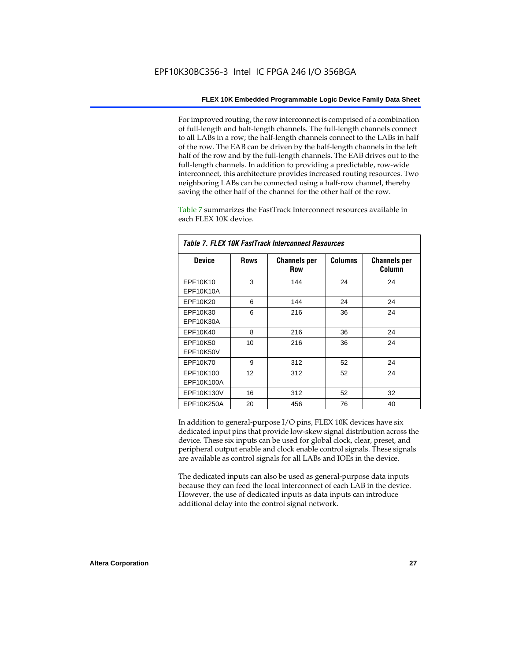For improved routing, the row interconnect is comprised of a combination of full-length and half-length channels. The full-length channels connect to all LABs in a row; the half-length channels connect to the LABs in half of the row. The EAB can be driven by the half-length channels in the left half of the row and by the full-length channels. The EAB drives out to the full-length channels. In addition to providing a predictable, row-wide interconnect, this architecture provides increased routing resources. Two neighboring LABs can be connected using a half-row channel, thereby saving the other half of the channel for the other half of the row.

Table 7 summarizes the FastTrack Interconnect resources available in each FLEX 10K device.

| Tadie 7. Flex Tur Fastitack Mieicumieci Resuulces |      |                                   |                |                               |  |  |
|---------------------------------------------------|------|-----------------------------------|----------------|-------------------------------|--|--|
| <b>Device</b>                                     | Rows | <b>Channels per</b><br><b>Row</b> | <b>Columns</b> | <b>Channels per</b><br>Column |  |  |
| EPF10K10                                          | 3    | 144                               | 24             | 24                            |  |  |
| EPF10K10A                                         |      |                                   |                |                               |  |  |
| EPF10K20                                          | 6    | 144                               | 24             | 24                            |  |  |
| EPF10K30                                          | 6    | 216                               | 36             | 24                            |  |  |
| EPF10K30A                                         |      |                                   |                |                               |  |  |
| EPF10K40                                          | 8    | 216                               | 36             | 24                            |  |  |
| EPF10K50                                          | 10   | 216                               | 36             | 24                            |  |  |
| <b>EPF10K50V</b>                                  |      |                                   |                |                               |  |  |
| EPF10K70                                          | 9    | 312                               | 52             | 24                            |  |  |
| EPF10K100                                         | 12   | 312                               | 52             | 24                            |  |  |
| EPF10K100A                                        |      |                                   |                |                               |  |  |
| EPF10K130V                                        | 16   | 312                               | 52             | 32                            |  |  |
| EPF10K250A                                        | 20   | 456                               | 76             | 40                            |  |  |

*Table 7. FLEX 10K FastTrack Interconnect Resources*

In addition to general-purpose I/O pins, FLEX 10K devices have six dedicated input pins that provide low-skew signal distribution across the device. These six inputs can be used for global clock, clear, preset, and peripheral output enable and clock enable control signals. These signals are available as control signals for all LABs and IOEs in the device.

The dedicated inputs can also be used as general-purpose data inputs because they can feed the local interconnect of each LAB in the device. However, the use of dedicated inputs as data inputs can introduce additional delay into the control signal network.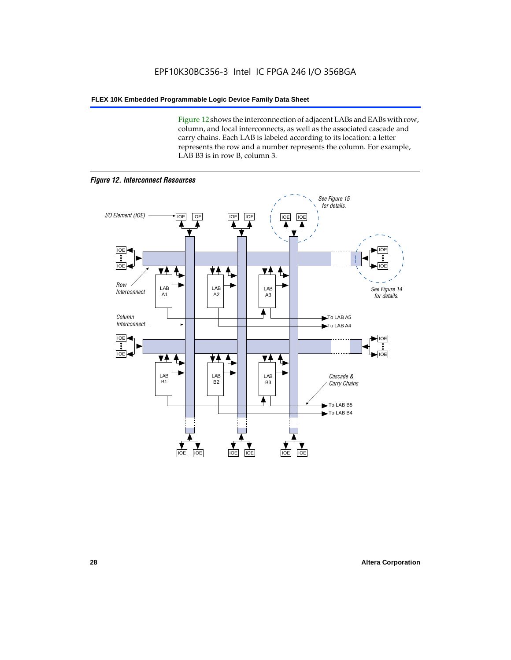Figure 12 shows the interconnection of adjacent LABs and EABs with row, column, and local interconnects, as well as the associated cascade and carry chains. Each LAB is labeled according to its location: a letter represents the row and a number represents the column. For example, LAB B3 is in row B, column 3.



*Figure 12. Interconnect Resources*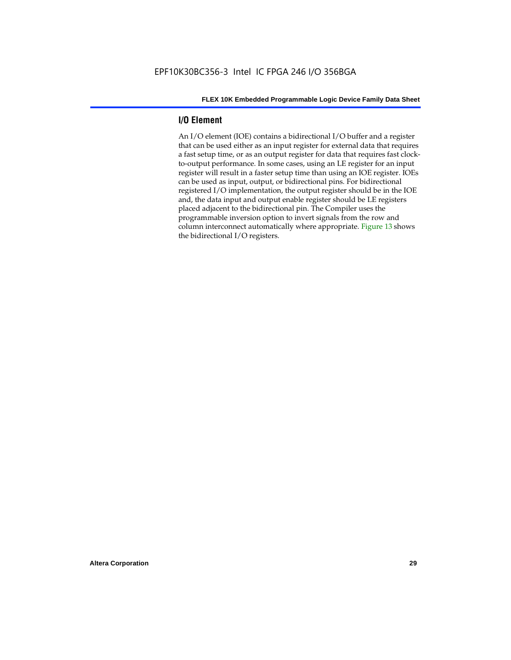## **I/O Element**

An I/O element (IOE) contains a bidirectional I/O buffer and a register that can be used either as an input register for external data that requires a fast setup time, or as an output register for data that requires fast clockto-output performance. In some cases, using an LE register for an input register will result in a faster setup time than using an IOE register. IOEs can be used as input, output, or bidirectional pins. For bidirectional registered I/O implementation, the output register should be in the IOE and, the data input and output enable register should be LE registers placed adjacent to the bidirectional pin. The Compiler uses the programmable inversion option to invert signals from the row and column interconnect automatically where appropriate. Figure 13 shows the bidirectional I/O registers.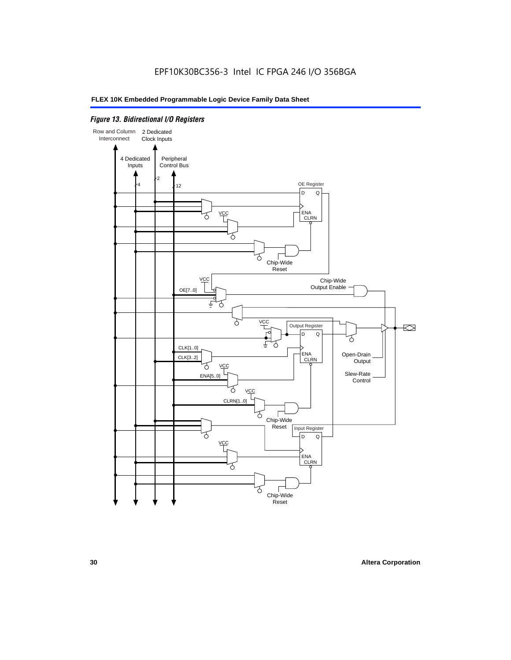## *Figure 13. Bidirectional I/O Registers*

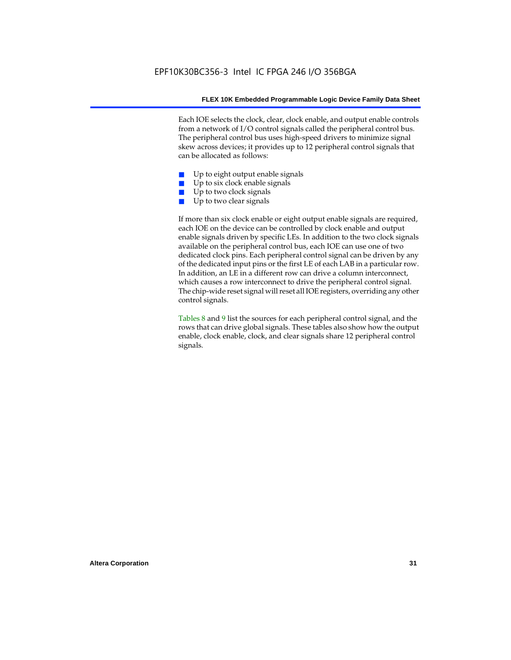Each IOE selects the clock, clear, clock enable, and output enable controls from a network of I/O control signals called the peripheral control bus. The peripheral control bus uses high-speed drivers to minimize signal skew across devices; it provides up to 12 peripheral control signals that can be allocated as follows:

- Up to eight output enable signals
- Up to six clock enable signals
- Up to two clock signals
- Up to two clear signals

If more than six clock enable or eight output enable signals are required, each IOE on the device can be controlled by clock enable and output enable signals driven by specific LEs. In addition to the two clock signals available on the peripheral control bus, each IOE can use one of two dedicated clock pins. Each peripheral control signal can be driven by any of the dedicated input pins or the first LE of each LAB in a particular row. In addition, an LE in a different row can drive a column interconnect, which causes a row interconnect to drive the peripheral control signal. The chip-wide reset signal will reset all IOE registers, overriding any other control signals.

Tables 8 and 9 list the sources for each peripheral control signal, and the rows that can drive global signals. These tables also show how the output enable, clock enable, clock, and clear signals share 12 peripheral control signals.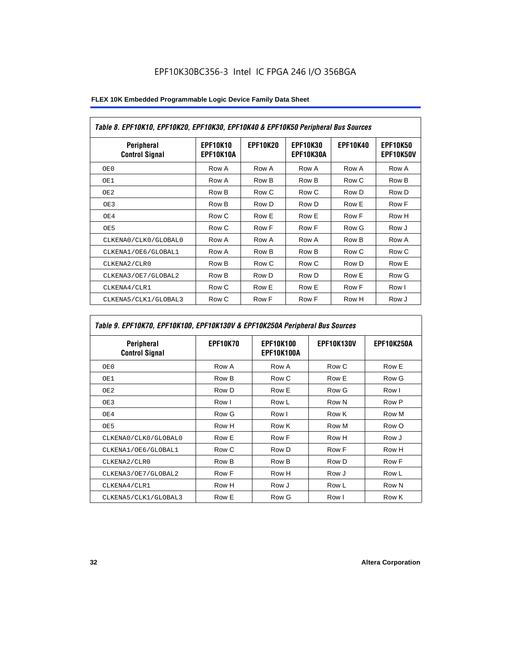| Table 8. EPF10K10, EPF10K20, EPF10K30, EPF10K40 & EPF10K50 Peripheral Bus Sources |                              |                 |                              |                 |                              |
|-----------------------------------------------------------------------------------|------------------------------|-----------------|------------------------------|-----------------|------------------------------|
| <b>Peripheral</b><br><b>Control Signal</b>                                        | <b>EPF10K10</b><br>EPF10K10A | <b>EPF10K20</b> | <b>EPF10K30</b><br>EPF10K30A | <b>EPF10K40</b> | <b>EPF10K50</b><br>EPF10K50V |
| OE0                                                                               | Row A                        | Row A           | Row A                        | Row A           | Row A                        |
| OE1                                                                               | Row A                        | Row B           | Row B                        | Row C           | Row B                        |
| OE2                                                                               | Row B                        | Row C           | Row C                        | Row D           | Row D                        |
| OE3                                                                               | Row B                        | Row D           | Row D                        | Row E           | Row F                        |
| OE4                                                                               | Row C                        | Row E           | Row E                        | Row F           | Row H                        |
| OE5                                                                               | Row C                        | Row F           | Row F                        | Row G           | Row J                        |
| CLKENA0/CLK0/GLOBAL0                                                              | Row A                        | Row A           | Row A                        | Row B           | Row A                        |
| CLKENA1/OE6/GLOBAL1                                                               | Row A                        | Row B           | Row B                        | Row C           | Row C                        |
| CLKENA2/CLR0                                                                      | Row B                        | Row C           | Row C                        | Row D           | Row E                        |
| CLKENA3/OE7/GLOBAL2                                                               | Row B                        | Row D           | Row D                        | Row E           | Row G                        |
| CLKENA4/CLR1                                                                      | Row C                        | Row E           | Row E                        | Row F           | Row I                        |
| CLKENA5/CLK1/GLOBAL3                                                              | Row C                        | Row F           | Row F                        | Row H           | Row J                        |

## *Table 9. EPF10K70, EPF10K100, EPF10K130V & EPF10K250A Peripheral Bus Sources*

| Peripheral<br><b>Control Signal</b> | <b>EPF10K70</b> | <b>EPF10K100</b><br><b>EPF10K100A</b> | <b>EPF10K130V</b> | <b>EPF10K250A</b> |
|-------------------------------------|-----------------|---------------------------------------|-------------------|-------------------|
| OE0                                 | Row A           | Row A                                 | Row C             | Row E             |
| OE1                                 | Row B           | Row C                                 | Row E             | Row G             |
| OE <sub>2</sub>                     | Row D           | Row E                                 | Row G             | Row I             |
| OE3                                 | Row I           | Row L                                 | Row N             | Row P             |
| OE4                                 | Row G           | Row I                                 | Row K             | Row M             |
| OE5                                 | Row H           | Row K                                 | Row M             | Row O             |
| CLKENA0/CLK0/GLOBAL0                | Row E           | Row F                                 | Row H             | Row J             |
| CLKENA1/OE6/GLOBAL1                 | Row C           | Row D                                 | Row F             | Row H             |
| CLKENA2/CLR0                        | Row B           | Row B                                 | Row D             | Row F             |
| CLKENA3/OE7/GLOBAL2                 | Row F           | Row H                                 | Row J             | Row L             |
| CLKENA4/CLR1                        | Row H           | Row J                                 | Row L             | Row N             |
| CLKENA5/CLK1/GLOBAL3                | Row E           | Row G                                 | Row I             | Row K             |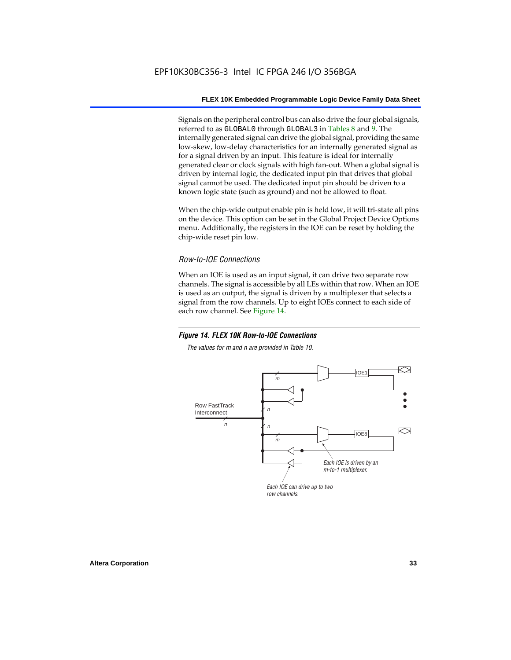Signals on the peripheral control bus can also drive the four global signals, referred to as GLOBAL0 through GLOBAL3 in Tables 8 and 9. The internally generated signal can drive the global signal, providing the same low-skew, low-delay characteristics for an internally generated signal as for a signal driven by an input. This feature is ideal for internally generated clear or clock signals with high fan-out. When a global signal is driven by internal logic, the dedicated input pin that drives that global signal cannot be used. The dedicated input pin should be driven to a known logic state (such as ground) and not be allowed to float.

When the chip-wide output enable pin is held low, it will tri-state all pins on the device. This option can be set in the Global Project Device Options menu. Additionally, the registers in the IOE can be reset by holding the chip-wide reset pin low.

## *Row-to-IOE Connections*

When an IOE is used as an input signal, it can drive two separate row channels. The signal is accessible by all LEs within that row. When an IOE is used as an output, the signal is driven by a multiplexer that selects a signal from the row channels. Up to eight IOEs connect to each side of each row channel. See Figure 14.

#### *Figure 14. FLEX 10K Row-to-IOE Connections*

*The values for m and n are provided in Table 10.*

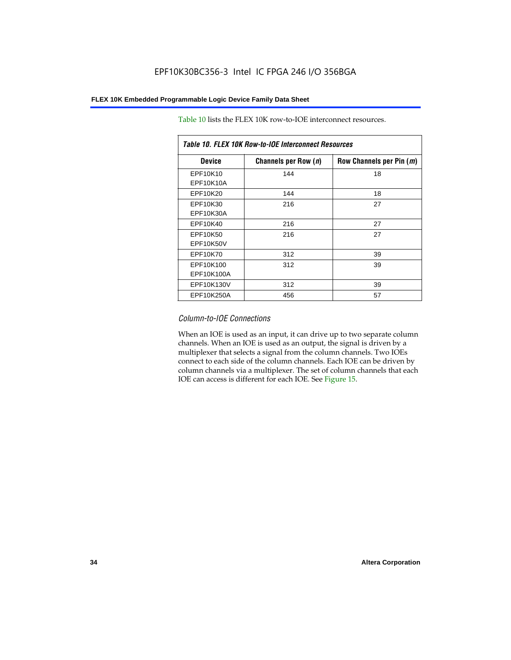| Table 10. FLEX 10K Row-to-IOE Interconnect Resources |                      |                          |  |  |  |
|------------------------------------------------------|----------------------|--------------------------|--|--|--|
| <b>Device</b>                                        | Channels per Row (n) | Row Channels per Pin (m) |  |  |  |
| EPF10K10<br>EPF10K10A                                | 144                  | 18                       |  |  |  |
| EPF10K20                                             | 144                  | 18                       |  |  |  |
| EPF10K30<br>EPF10K30A                                | 216                  | 27                       |  |  |  |
| EPF10K40                                             | 216                  | 27                       |  |  |  |
| EPF10K50<br>EPF10K50V                                | 216                  | 27                       |  |  |  |
| EPF10K70                                             | 312                  | 39                       |  |  |  |
| EPF10K100<br>EPF10K100A                              | 312                  | 39                       |  |  |  |
| EPF10K130V                                           | 312                  | 39                       |  |  |  |
| EPF10K250A                                           | 456                  | 57                       |  |  |  |

Table 10 lists the FLEX 10K row-to-IOE interconnect resources.

#### *Column-to-IOE Connections*

When an IOE is used as an input, it can drive up to two separate column channels. When an IOE is used as an output, the signal is driven by a multiplexer that selects a signal from the column channels. Two IOEs connect to each side of the column channels. Each IOE can be driven by column channels via a multiplexer. The set of column channels that each IOE can access is different for each IOE. See Figure 15.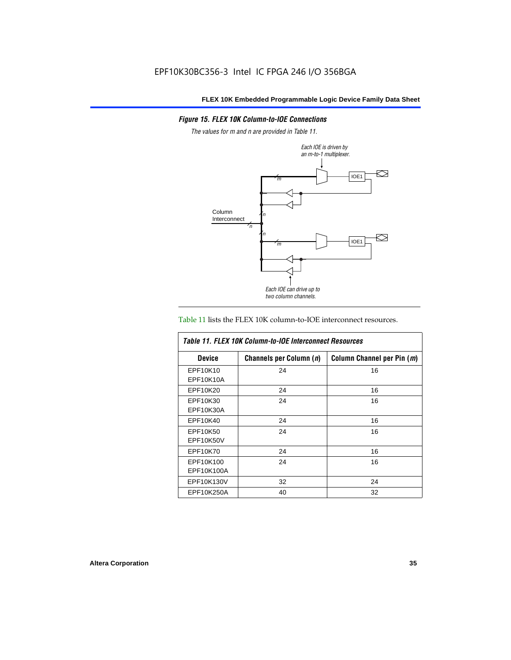## *Figure 15. FLEX 10K Column-to-IOE Connections*

*The values for m and n are provided in Table 11.*



#### Table 11 lists the FLEX 10K column-to-IOE interconnect resources.

| <b>Table 11. FLEX 10K Column-to-IOE Interconnect Resources</b> |                         |                            |  |  |  |
|----------------------------------------------------------------|-------------------------|----------------------------|--|--|--|
| <b>Device</b>                                                  | Channels per Column (n) | Column Channel per Pin (m) |  |  |  |
| EPF10K10<br>EPF10K10A                                          | 24                      | 16                         |  |  |  |
| EPF10K20                                                       | 24                      | 16                         |  |  |  |
| EPF10K30                                                       | 24                      | 16                         |  |  |  |
| EPF10K30A                                                      |                         |                            |  |  |  |
| EPF10K40                                                       | 24                      | 16                         |  |  |  |
| EPF10K50<br>EPF10K50V                                          | 24                      | 16                         |  |  |  |
| EPF10K70                                                       | 24                      | 16                         |  |  |  |
| EPF10K100<br>EPF10K100A                                        | 24                      | 16                         |  |  |  |
| EPF10K130V                                                     | 32                      | 24                         |  |  |  |
| EPF10K250A                                                     | 40                      | 32                         |  |  |  |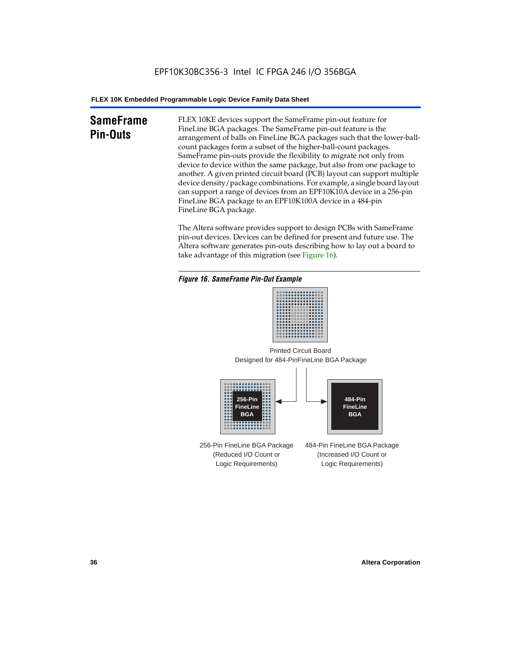# **SameFrame Pin-Outs**

FLEX 10KE devices support the SameFrame pin-out feature for FineLine BGA packages. The SameFrame pin-out feature is the arrangement of balls on FineLine BGA packages such that the lower-ballcount packages form a subset of the higher-ball-count packages. SameFrame pin-outs provide the flexibility to migrate not only from device to device within the same package, but also from one package to another. A given printed circuit board (PCB) layout can support multiple device density/package combinations. For example, a single board layout can support a range of devices from an EPF10K10A device in a 256-pin FineLine BGA package to an EPF10K100A device in a 484-pin FineLine BGA package.

The Altera software provides support to design PCBs with SameFrame pin-out devices. Devices can be defined for present and future use. The Altera software generates pin-outs describing how to lay out a board to take advantage of this migration (see Figure 16).







256-Pin FineLine BGA Package (Reduced I/O Count or Logic Requirements) 484-Pin FineLine BGA Package (Increased I/O Count or Logic Requirements)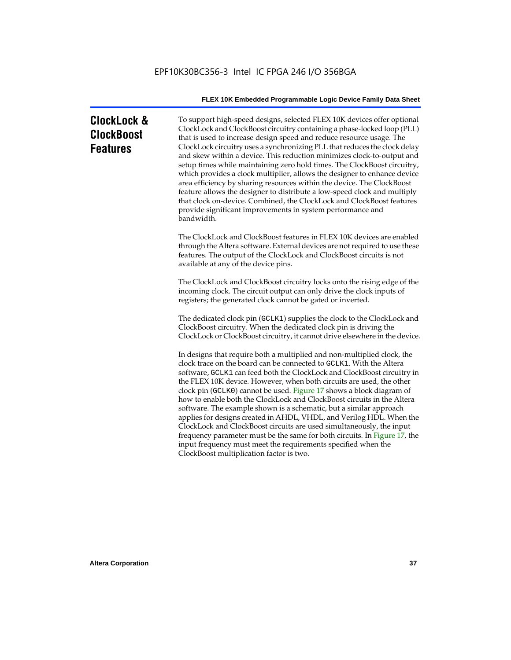# **ClockLock & ClockBoost Features**

To support high-speed designs, selected FLEX 10K devices offer optional ClockLock and ClockBoost circuitry containing a phase-locked loop (PLL) that is used to increase design speed and reduce resource usage. The ClockLock circuitry uses a synchronizing PLL that reduces the clock delay and skew within a device. This reduction minimizes clock-to-output and setup times while maintaining zero hold times. The ClockBoost circuitry, which provides a clock multiplier, allows the designer to enhance device area efficiency by sharing resources within the device. The ClockBoost feature allows the designer to distribute a low-speed clock and multiply that clock on-device. Combined, the ClockLock and ClockBoost features provide significant improvements in system performance and bandwidth.

The ClockLock and ClockBoost features in FLEX 10K devices are enabled through the Altera software. External devices are not required to use these features. The output of the ClockLock and ClockBoost circuits is not available at any of the device pins.

The ClockLock and ClockBoost circuitry locks onto the rising edge of the incoming clock. The circuit output can only drive the clock inputs of registers; the generated clock cannot be gated or inverted.

The dedicated clock pin (GCLK1) supplies the clock to the ClockLock and ClockBoost circuitry. When the dedicated clock pin is driving the ClockLock or ClockBoost circuitry, it cannot drive elsewhere in the device.

In designs that require both a multiplied and non-multiplied clock, the clock trace on the board can be connected to GCLK1. With the Altera software, GCLK1 can feed both the ClockLock and ClockBoost circuitry in the FLEX 10K device. However, when both circuits are used, the other clock pin (GCLK0) cannot be used. Figure 17 shows a block diagram of how to enable both the ClockLock and ClockBoost circuits in the Altera software. The example shown is a schematic, but a similar approach applies for designs created in AHDL, VHDL, and Verilog HDL. When the ClockLock and ClockBoost circuits are used simultaneously, the input frequency parameter must be the same for both circuits. In Figure 17, the input frequency must meet the requirements specified when the ClockBoost multiplication factor is two.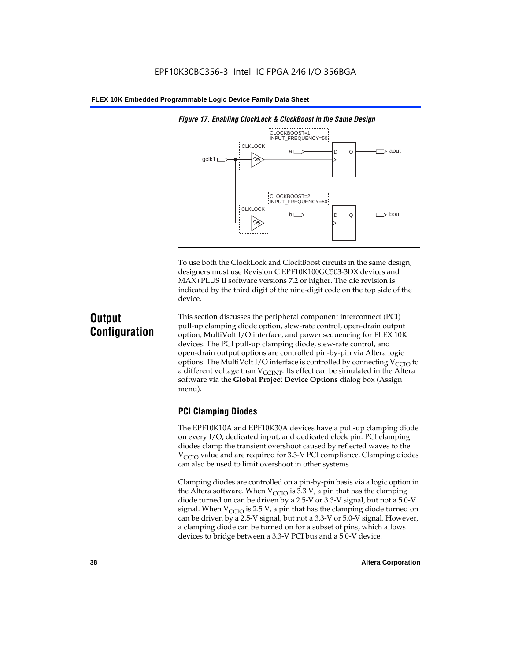

*Figure 17. Enabling ClockLock & ClockBoost in the Same Design*

To use both the ClockLock and ClockBoost circuits in the same design, designers must use Revision C EPF10K100GC503-3DX devices and MAX+PLUS II software versions 7.2 or higher. The die revision is indicated by the third digit of the nine-digit code on the top side of the device.

# **Output Configuration**

This section discusses the peripheral component interconnect (PCI) pull-up clamping diode option, slew-rate control, open-drain output option, MultiVolt I/O interface, and power sequencing for FLEX 10K devices. The PCI pull-up clamping diode, slew-rate control, and open-drain output options are controlled pin-by-pin via Altera logic options. The MultiVolt I/O interface is controlled by connecting  $V_{\text{CCIO}}$  to a different voltage than  $V_{\text{CCINT}}$ . Its effect can be simulated in the Altera software via the **Global Project Device Options** dialog box (Assign menu).

## **PCI Clamping Diodes**

The EPF10K10A and EPF10K30A devices have a pull-up clamping diode on every I/O, dedicated input, and dedicated clock pin. PCI clamping diodes clamp the transient overshoot caused by reflected waves to the  $V_{\text{CCIO}}$  value and are required for 3.3-V PCI compliance. Clamping diodes can also be used to limit overshoot in other systems.

Clamping diodes are controlled on a pin-by-pin basis via a logic option in the Altera software. When  $V_{\text{CCIO}}$  is 3.3 V, a pin that has the clamping diode turned on can be driven by a 2.5-V or 3.3-V signal, but not a 5.0-V signal. When  $V_{\text{CCIO}}$  is 2.5 V, a pin that has the clamping diode turned on can be driven by a 2.5-V signal, but not a 3.3-V or 5.0-V signal. However, a clamping diode can be turned on for a subset of pins, which allows devices to bridge between a 3.3-V PCI bus and a 5.0-V device.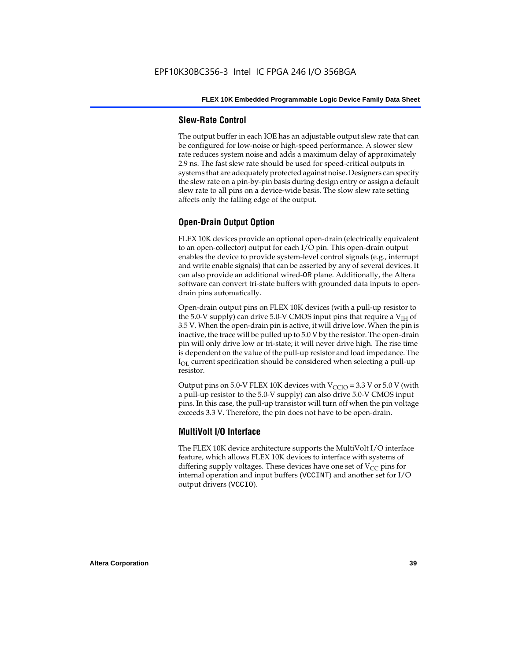## **Slew-Rate Control**

The output buffer in each IOE has an adjustable output slew rate that can be configured for low-noise or high-speed performance. A slower slew rate reduces system noise and adds a maximum delay of approximately 2.9 ns. The fast slew rate should be used for speed-critical outputs in systems that are adequately protected against noise. Designers can specify the slew rate on a pin-by-pin basis during design entry or assign a default slew rate to all pins on a device-wide basis. The slow slew rate setting affects only the falling edge of the output.

## **Open-Drain Output Option**

FLEX 10K devices provide an optional open-drain (electrically equivalent to an open-collector) output for each I/O pin. This open-drain output enables the device to provide system-level control signals (e.g., interrupt and write enable signals) that can be asserted by any of several devices. It can also provide an additional wired-OR plane. Additionally, the Altera software can convert tri-state buffers with grounded data inputs to opendrain pins automatically.

Open-drain output pins on FLEX 10K devices (with a pull-up resistor to the 5.0-V supply) can drive 5.0-V CMOS input pins that require a  $V<sub>IH</sub>$  of 3.5 V. When the open-drain pin is active, it will drive low. When the pin is inactive, the trace will be pulled up to 5.0 V by the resistor. The open-drain pin will only drive low or tri-state; it will never drive high. The rise time is dependent on the value of the pull-up resistor and load impedance. The  $I_{\text{OL}}$  current specification should be considered when selecting a pull-up resistor.

Output pins on 5.0-V FLEX 10K devices with  $V_{\text{CCIO}} = 3.3$  V or 5.0 V (with a pull-up resistor to the 5.0-V supply) can also drive 5.0-V CMOS input pins. In this case, the pull-up transistor will turn off when the pin voltage exceeds 3.3 V. Therefore, the pin does not have to be open-drain.

## **MultiVolt I/O Interface**

The FLEX 10K device architecture supports the MultiVolt I/O interface feature, which allows FLEX 10K devices to interface with systems of differing supply voltages. These devices have one set of  $V_{CC}$  pins for internal operation and input buffers (VCCINT) and another set for I/O output drivers (VCCIO).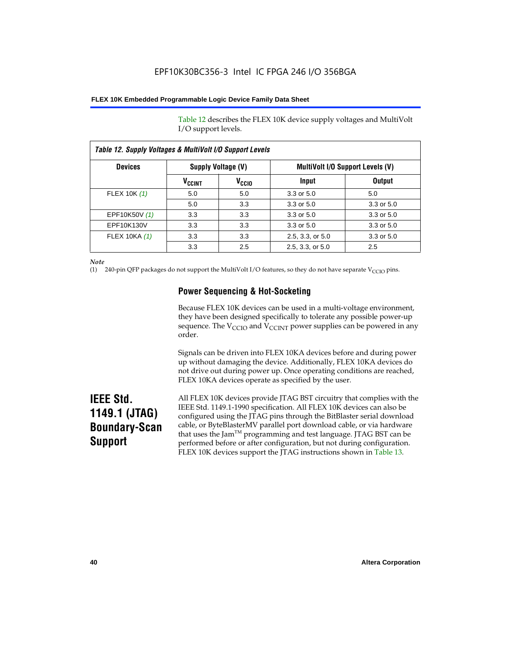Table 12 describes the FLEX 10K device supply voltages and MultiVolt I/O support levels.

| Table 12. Supply Voltages & MultiVolt I/O Support Levels |                          |                   |                                         |               |  |
|----------------------------------------------------------|--------------------------|-------------------|-----------------------------------------|---------------|--|
| <b>Devices</b>                                           | Supply Voltage (V)       |                   | <b>MultiVolt I/O Support Levels (V)</b> |               |  |
|                                                          | <b>V<sub>CCINT</sub></b> | V <sub>CCIO</sub> | Input                                   | <b>Output</b> |  |
| FLEX 10K (1)                                             | 5.0                      | 5.0               | $3.3$ or $5.0$                          | 5.0           |  |
|                                                          | 5.0                      | 3.3               | 3.3 or 5.0                              | 3.3 or 5.0    |  |
| EPF10K50V (1)                                            | 3.3                      | 3.3               | 3.3 or 5.0                              | 3.3 or 5.0    |  |
| EPF10K130V                                               | 3.3                      | 3.3               | 3.3 or 5.0                              | 3.3 or 5.0    |  |
| FLEX 10KA (1)                                            | 3.3                      | 3.3               | 2.5, 3.3, or 5.0                        | 3.3 or 5.0    |  |
|                                                          | 3.3                      | 2.5               | 2.5, 3.3, or 5.0                        | 2.5           |  |

*Note*

(1) 240-pin QFP packages do not support the MultiVolt I/O features, so they do not have separate V<sub>CCIO</sub> pins.

## **Power Sequencing & Hot-Socketing**

Because FLEX 10K devices can be used in a multi-voltage environment, they have been designed specifically to tolerate any possible power-up sequence. The  $V_{\text{CCIO}}$  and  $V_{\text{CCINT}}$  power supplies can be powered in any order.

Signals can be driven into FLEX 10KA devices before and during power up without damaging the device. Additionally, FLEX 10KA devices do not drive out during power up. Once operating conditions are reached, FLEX 10KA devices operate as specified by the user.

# **IEEE Std. 1149.1 (JTAG) Boundary-Scan Support**

All FLEX 10K devices provide JTAG BST circuitry that complies with the IEEE Std. 1149.1-1990 specification. All FLEX 10K devices can also be configured using the JTAG pins through the BitBlaster serial download cable, or ByteBlasterMV parallel port download cable, or via hardware that uses the Jam<sup>TM</sup> programming and test language. JTAG BST can be performed before or after configuration, but not during configuration. FLEX 10K devices support the JTAG instructions shown in Table 13.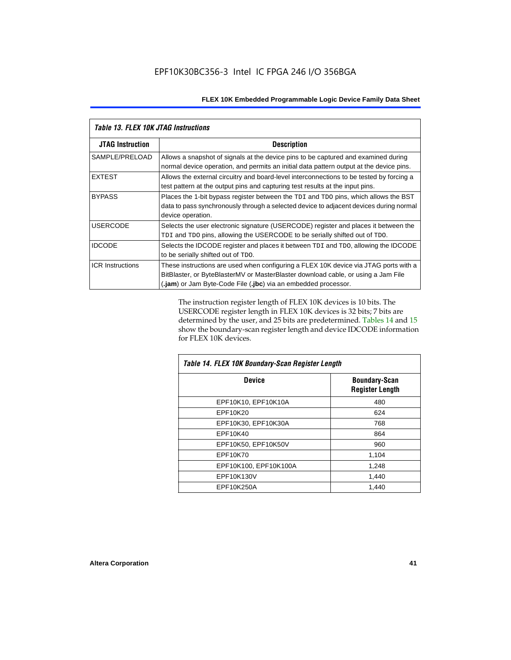| Table 13. FLEX 10K JTAG Instructions |                                                                                                                                                                                                                                             |  |  |
|--------------------------------------|---------------------------------------------------------------------------------------------------------------------------------------------------------------------------------------------------------------------------------------------|--|--|
| <b>JTAG Instruction</b>              | <b>Description</b>                                                                                                                                                                                                                          |  |  |
| SAMPLE/PRELOAD                       | Allows a snapshot of signals at the device pins to be captured and examined during<br>normal device operation, and permits an initial data pattern output at the device pins.                                                               |  |  |
| <b>EXTEST</b>                        | Allows the external circuitry and board-level interconnections to be tested by forcing a<br>test pattern at the output pins and capturing test results at the input pins.                                                                   |  |  |
| <b>BYPASS</b>                        | Places the 1-bit bypass register between the TDI and TDO pins, which allows the BST<br>data to pass synchronously through a selected device to adjacent devices during normal<br>device operation.                                          |  |  |
| <b>USERCODE</b>                      | Selects the user electronic signature (USERCODE) register and places it between the<br>TDI and TDO pins, allowing the USERCODE to be serially shifted out of TDO.                                                                           |  |  |
| <b>IDCODE</b>                        | Selects the IDCODE register and places it between TDI and TDO, allowing the IDCODE<br>to be serially shifted out of TDO.                                                                                                                    |  |  |
| <b>ICR Instructions</b>              | These instructions are used when configuring a FLEX 10K device via JTAG ports with a<br>BitBlaster, or ByteBlasterMV or MasterBlaster download cable, or using a Jam File<br>(.jam) or Jam Byte-Code File (.jbc) via an embedded processor. |  |  |

The instruction register length of FLEX 10K devices is 10 bits. The USERCODE register length in FLEX 10K devices is 32 bits; 7 bits are determined by the user, and 25 bits are predetermined. Tables 14 and 15 show the boundary-scan register length and device IDCODE information for FLEX 10K devices.

| Table 14. FLEX 10K Boundary-Scan Register Length |                                                |
|--------------------------------------------------|------------------------------------------------|
| <b>Device</b>                                    | <b>Boundary-Scan</b><br><b>Register Length</b> |
| EPF10K10, EPF10K10A                              | 480                                            |
| EPF10K20                                         | 624                                            |
| EPF10K30, EPF10K30A                              | 768                                            |
| EPF10K40                                         | 864                                            |
| EPF10K50, EPF10K50V                              | 960                                            |
| EPF10K70                                         | 1,104                                          |
| EPF10K100, EPF10K100A                            | 1,248                                          |
| EPF10K130V                                       | 1,440                                          |
| EPF10K250A                                       | 1,440                                          |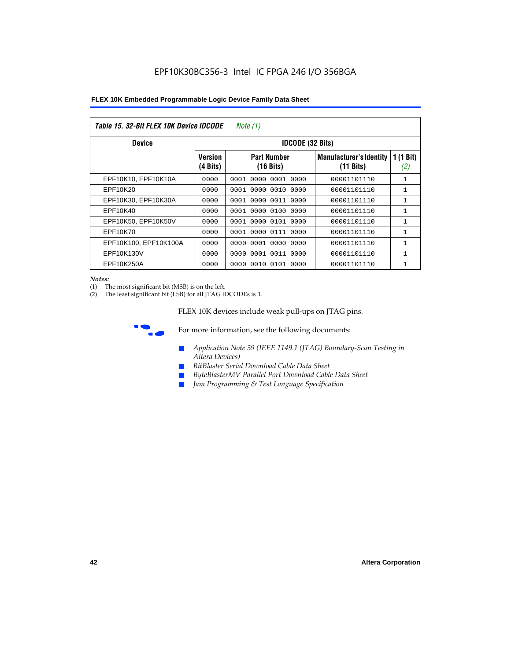| Table 15. 32-Bit FLEX 10K Device IDCODE<br>Note (1) |                            |                                           |                                                       |                    |  |  |  |
|-----------------------------------------------------|----------------------------|-------------------------------------------|-------------------------------------------------------|--------------------|--|--|--|
| <b>Device</b>                                       |                            | <b>IDCODE (32 Bits)</b>                   |                                                       |                    |  |  |  |
|                                                     | <b>Version</b><br>(4 Bits) | <b>Part Number</b><br>$(16 \text{ bits})$ | <b>Manufacturer's Identity</b><br>$(11 \text{ bits})$ | 1 $(1$ Bit)<br>(2) |  |  |  |
| EPF10K10, EPF10K10A                                 | 0000                       | 0001<br>0000<br>0001 0000                 | 00001101110                                           | $\mathbf{1}$       |  |  |  |
| EPF10K20                                            | 0000                       | 0000 0010 0000<br>0001                    | 00001101110                                           | 1                  |  |  |  |
| EPF10K30, EPF10K30A                                 | 0000                       | 0001 0000 0011 0000                       | 00001101110                                           | 1                  |  |  |  |
| EPF10K40                                            | 0000                       | 0000<br>0100<br>0001<br>0000              | 00001101110                                           | $\mathbf{1}$       |  |  |  |
| EPF10K50, EPF10K50V                                 | 0000                       | 0001 0000 0101 0000                       | 00001101110                                           | 1                  |  |  |  |
| EPF10K70                                            | 0000                       | 0000 0111 0000<br>0001                    | 00001101110                                           | $\mathbf{1}$       |  |  |  |
| EPF10K100, EPF10K100A                               | 0000                       | 0001 0000 0000<br>0000                    | 00001101110                                           | 1                  |  |  |  |
| EPF10K130V                                          | 0000                       | 0000<br>0001 0011 0000                    | 00001101110                                           | 1                  |  |  |  |
| EPF10K250A                                          | 0000                       | 0000<br>0010 0101 0000                    | 00001101110                                           | $\mathbf{1}$       |  |  |  |

#### *Notes:*

(1) The most significant bit (MSB) is on the left.

(2) The least significant bit (LSB) for all JTAG IDCODEs is 1.

FLEX 10K devices include weak pull-ups on JTAG pins.



**for more information, see the following documents:** 

- *Application Note 39 (IEEE 1149.1 (JTAG) Boundary-Scan Testing in Altera Devices)*
- *BitBlaster Serial Download Cable Data Sheet*
- *ByteBlasterMV Parallel Port Download Cable Data Sheet*
- *Jam Programming & Test Language Specification*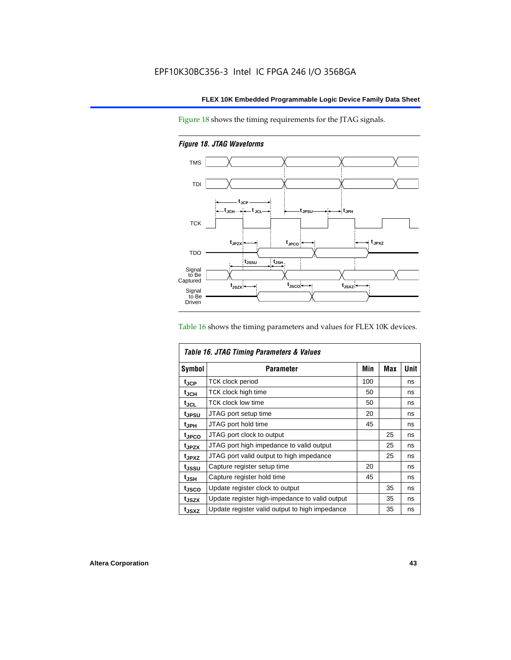Figure 18 shows the timing requirements for the JTAG signals.

*Figure 18. JTAG Waveforms*



Table 16 shows the timing parameters and values for FLEX 10K devices.

| Table 16. JTAG Timing Parameters & Values |                                                |     |            |      |  |
|-------------------------------------------|------------------------------------------------|-----|------------|------|--|
| <b>Symbol</b>                             | <b>Parameter</b>                               | Min | <b>Max</b> | Unit |  |
| t <sub>JCP</sub>                          | <b>TCK clock period</b>                        | 100 |            | ns   |  |
| t <sub>JCH</sub>                          | TCK clock high time                            | 50  |            | ns   |  |
| $t_{JCL}$                                 | TCK clock low time                             | 50  |            | ns   |  |
| tjpsu                                     | JTAG port setup time                           | 20  |            | ns   |  |
| t <sub>JPH</sub>                          | JTAG port hold time                            | 45  |            | ns   |  |
| <sup>t</sup> JPCO                         | JTAG port clock to output                      |     | 25         | ns   |  |
| t <sub>JPZX</sub>                         | JTAG port high impedance to valid output       |     | 25         | ns   |  |
| t <sub>JPXZ</sub>                         | JTAG port valid output to high impedance       |     | 25         | ns   |  |
| tussu                                     | Capture register setup time                    | 20  |            | ns   |  |
| $t_{JSH}$                                 | Capture register hold time                     | 45  |            | ns   |  |
| tjsco                                     | Update register clock to output                |     | 35         | ns   |  |
| t <sub>JSZX</sub>                         | Update register high-impedance to valid output |     | 35         | ns   |  |
| t <sub>JSXZ</sub>                         | Update register valid output to high impedance |     | 35         | ns   |  |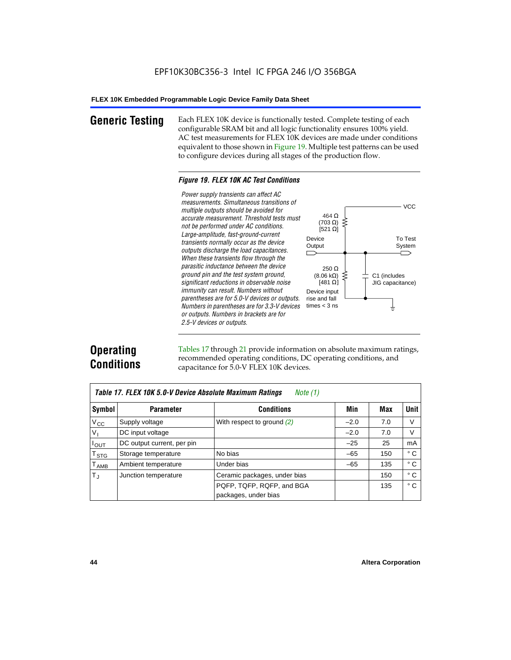**Generic Testing** Each FLEX 10K device is functionally tested. Complete testing of each configurable SRAM bit and all logic functionality ensures 100% yield. AC test measurements for FLEX 10K devices are made under conditions equivalent to those shown in Figure 19. Multiple test patterns can be used to configure devices during all stages of the production flow.

## *Figure 19. FLEX 10K AC Test Conditions*

*Power supply transients can affect AC measurements. Simultaneous transitions of*  $V<sub>CC</sub>$ *multiple outputs should be avoided for* 464 Ω *accurate measurement. Threshold tests must* (703 Ω) ξ *not be performed under AC conditions.*  $[521 \Omega]$ *Large-amplitude, fast-ground-current* To Test Device *transients normally occur as the device* Output System *outputs discharge the load capacitances. When these transients flow through the parasitic inductance between the device* 250 Ω *ground pin and the test system ground,*  $(8.06 \text{ k}\Omega)$ C1 (includes *significant reductions in observable noise* [481 $\Omega$ ] JIG capacitance) *immunity can result. Numbers without*  Device input *parentheses are for 5.0-V devices or outputs.*  rise and fall *Numbers in parentheses are for 3.3-V devices*  times  $<$  3 ns ŧ *or outputs. Numbers in brackets are for 2.5-V devices or outputs.*

# **Operating Conditions**

Tables 17 through 21 provide information on absolute maximum ratings, recommended operating conditions, DC operating conditions, and capacitance for 5.0-V FLEX 10K devices.

| Table 17. FLEX 10K 5.0-V Device Absolute Maximum Ratings<br>Note (1) |                            |                              |        |     |              |
|----------------------------------------------------------------------|----------------------------|------------------------------|--------|-----|--------------|
| Symbol                                                               | <b>Parameter</b>           | <b>Conditions</b>            | Min    | Max | <b>Unit</b>  |
| $V_{\rm CC}$                                                         | Supply voltage             | With respect to ground $(2)$ | $-2.0$ | 7.0 | V            |
| $V_{I}$                                                              | DC input voltage           |                              | $-2.0$ | 7.0 | V            |
| $I_{\text{OUT}}$                                                     | DC output current, per pin |                              | $-25$  | 25  | mA           |
| $\mathsf{T}_{\texttt{STG}}$                                          | Storage temperature        | No bias                      | $-65$  | 150 | ° C          |
| $\mathsf{T}_{\mathsf{AMB}}$                                          | Ambient temperature        | Under bias                   | $-65$  | 135 | $^{\circ}$ C |
| $T_{\rm J}$                                                          | Junction temperature       | Ceramic packages, under bias |        | 150 | ° C          |
|                                                                      |                            | PQFP, TQFP, RQFP, and BGA    |        | 135 | $^{\circ}$ C |
|                                                                      |                            | packages, under bias         |        |     |              |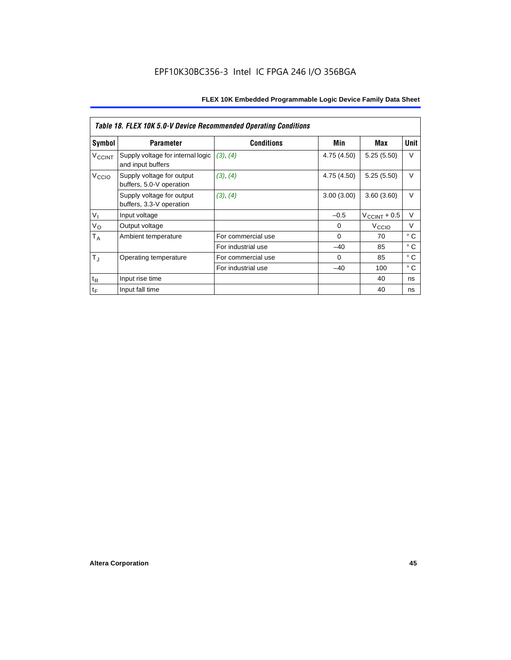|                    | <b>Table 18. FLEX 10K 5.0-V Device Recommended Operating Conditions</b> |                    |             |                       |              |  |  |
|--------------------|-------------------------------------------------------------------------|--------------------|-------------|-----------------------|--------------|--|--|
| Symbol             | <b>Parameter</b>                                                        | <b>Conditions</b>  | Min         | Max                   | Unit         |  |  |
| V <sub>CCINT</sub> | Supply voltage for internal logic<br>and input buffers                  | (3), (4)           | 4.75 (4.50) | 5.25(5.50)            | V            |  |  |
| V <sub>CCIO</sub>  | Supply voltage for output<br>buffers, 5.0-V operation                   | (3), (4)           | 4.75 (4.50) | 5.25(5.50)            | $\vee$       |  |  |
|                    | Supply voltage for output<br>buffers, 3.3-V operation                   | (3), (4)           | 3.00(3.00)  | 3.60(3.60)            | $\vee$       |  |  |
| $V_{I}$            | Input voltage                                                           |                    | $-0.5$      | $V_{\rm CCINT}$ + 0.5 | $\vee$       |  |  |
| $V_{\rm O}$        | Output voltage                                                          |                    | 0           | V <sub>CCIO</sub>     | $\vee$       |  |  |
| $T_A$              | Ambient temperature                                                     | For commercial use | $\Omega$    | 70                    | $^{\circ}$ C |  |  |
|                    |                                                                         | For industrial use | $-40$       | 85                    | ° C          |  |  |
| $T_{\rm J}$        | Operating temperature                                                   | For commercial use | $\Omega$    | 85                    | ° C          |  |  |
|                    |                                                                         | For industrial use | $-40$       | 100                   | ° C          |  |  |
| $t_{R}$            | Input rise time                                                         |                    |             | 40                    | ns           |  |  |
| $t_F$              | Input fall time                                                         |                    |             | 40                    | ns           |  |  |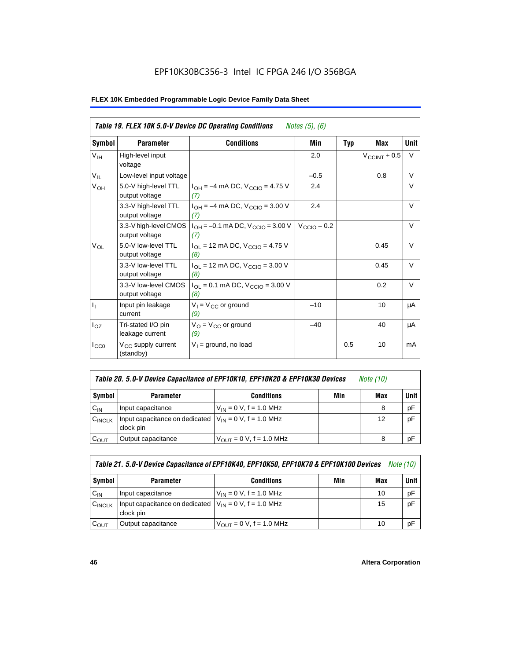# EPF10K30BC356-3 Intel IC FPGA 246 I/O 356BGA

| Table 19. FLEX 10K 5.0-V Device DC Operating Conditions<br><i>Notes</i> $(5)$ , $(6)$ |                                         |                                                   |                         |            |                          |             |
|---------------------------------------------------------------------------------------|-----------------------------------------|---------------------------------------------------|-------------------------|------------|--------------------------|-------------|
| Symbol                                                                                | <b>Parameter</b>                        | <b>Conditions</b>                                 | Min                     | <b>Typ</b> | Max                      | <b>Unit</b> |
| $V_{\text{IH}}$                                                                       | High-level input<br>voltage             |                                                   | 2.0                     |            | $V_{\text{CCINT}} + 0.5$ | V           |
| $V_{IL}$                                                                              | Low-level input voltage                 |                                                   | $-0.5$                  |            | 0.8                      | V           |
| V <sub>OH</sub>                                                                       | 5.0-V high-level TTL<br>output voltage  | $I_{OH} = -4$ mA DC, $V_{CCIO} = 4.75$ V<br>(7)   | 2.4                     |            |                          | $\vee$      |
|                                                                                       | 3.3-V high-level TTL<br>output voltage  | $I_{OH} = -4$ mA DC, $V_{CCIO} = 3.00$ V<br>(7)   | 2.4                     |            |                          | $\vee$      |
|                                                                                       | 3.3-V high-level CMOS<br>output voltage | $I_{OH} = -0.1$ mA DC, $V_{CClO} = 3.00$ V<br>(7) | $V_{\text{CClO}} - 0.2$ |            |                          | $\vee$      |
| $V_{OL}$                                                                              | 5.0-V low-level TTL<br>output voltage   | $I_{OL}$ = 12 mA DC, $V_{CCIO}$ = 4.75 V<br>(8)   |                         |            | 0.45                     | $\vee$      |
|                                                                                       | 3.3-V low-level TTL<br>output voltage   | $I_{OL}$ = 12 mA DC, $V_{CCIO}$ = 3.00 V<br>(8)   |                         |            | 0.45                     | V           |
|                                                                                       | 3.3-V low-level CMOS<br>output voltage  | $I_{OL}$ = 0.1 mA DC, $V_{CClO}$ = 3.00 V<br>(8)  |                         |            | 0.2                      | $\vee$      |
| $\mathbf{I}_{\mathbf{I}}$                                                             | Input pin leakage<br>current            | $V_1 = V_{CC}$ or ground<br>(9)                   | $-10$                   |            | 10                       | μA          |
| $I_{OZ}$                                                                              | Tri-stated I/O pin<br>leakage current   | $V_{O} = V_{CC}$ or ground<br>(9)                 | $-40$                   |            | 40                       | μA          |
| $I_{CC0}$                                                                             | $V_{CC}$ supply current<br>(standby)    | $V_1$ = ground, no load                           |                         | 0.5        | 10                       | mA          |

| Table 20. 5.0-V Device Capacitance of EPF10K10, EPF10K20 & EPF10K30 Devices | <i>Note</i> (10) |  |
|-----------------------------------------------------------------------------|------------------|--|

| Symbol             | <b>Parameter</b>                                                        | <b>Conditions</b>                                           | Min | Max | Unit I |
|--------------------|-------------------------------------------------------------------------|-------------------------------------------------------------|-----|-----|--------|
| $C_{IN}$           | Input capacitance                                                       | $V_{IN} = 0 V$ , f = 1.0 MHz                                |     |     | pF     |
| $C_{\text{INCLK}}$ | Input capacitance on dedicated $V_{1N} = 0$ V, f = 1.0 MHz<br>clock pin |                                                             |     | 12  | pF     |
| $C_{OUT}$          | Output capacitance                                                      | $V_{\text{OUT}} = 0 \text{ V}, \text{ f} = 1.0 \text{ MHz}$ |     | 8   | рF     |

| Table 21. 5.0-V Device Capacitance of EPF10K40, EPF10K50, EPF10K70 & EPF10K100 Devices<br><i>Note</i> (10) |                                                                           |                               |     |     |             |  |
|------------------------------------------------------------------------------------------------------------|---------------------------------------------------------------------------|-------------------------------|-----|-----|-------------|--|
| Symbol                                                                                                     | <b>Parameter</b>                                                          | <b>Conditions</b>             | Min | Max | <b>Unit</b> |  |
| $C_{IN}$                                                                                                   | Input capacitance                                                         | $V_{IN} = 0 V$ , f = 1.0 MHz  |     | 10  | рF          |  |
| CINCLK                                                                                                     | Input capacitance on dedicated $ V_{IN} = 0 V$ , f = 1.0 MHz<br>clock pin |                               |     | 15  | pF          |  |
| $C_{OUT}$                                                                                                  | Output capacitance                                                        | $V_{OIII}$ = 0 V, f = 1.0 MHz |     | 10  | рF          |  |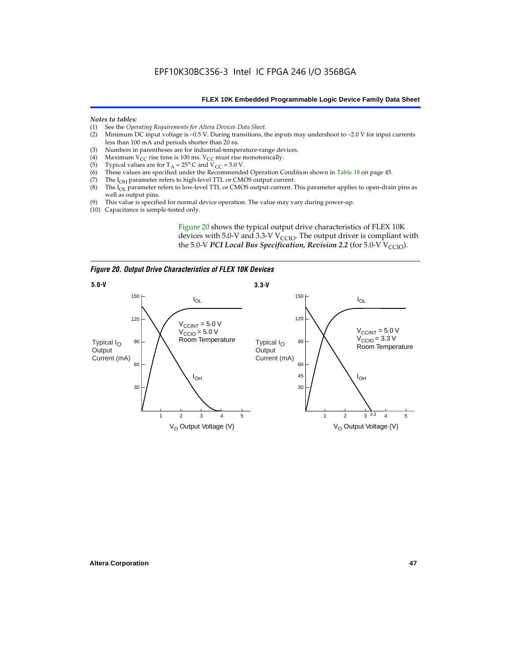#### *Notes to tables:*

- (1) See the *Operating Requirements for Altera Devices Data Sheet*.
- Minimum DC input voltage is  $-0.5$  V. During transitions, the inputs may undershoot to  $-2.0$  V for input currents less than 100 mA and periods shorter than 20 ns.
- (3) Numbers in parentheses are for industrial-temperature-range devices.<br>(4) Maximum  $V_{CC}$  rise time is 100 ms.  $V_{CC}$  must rise monotonically.
- (4) Maximum V<sub>CC</sub> rise time is 100 ms. V<sub>CC</sub> must rise monotonically.<br>(5) Typical values are for T<sub>A</sub> = 25° C and V<sub>CC</sub> = 5.0 V.
- (5) Typical values are for  $T_A = 25^\circ$  C and  $V_{CC} = 5.0$  V.<br>(6) These values are specified under the Recommende
- (6) These values are specified under the Recommended Operation Condition shown in Table 18 on page 45.<br>(7) The  $I_{OH}$  parameter refers to high-level TTL or CMOS output current.
- (7) The  $I_{OH}$  parameter refers to high-level TTL or CMOS output current.<br>(8) The  $I_{OL}$  parameter refers to low-level TTL or CMOS output current. T
- The I<sub>OL</sub> parameter refers to low-level TTL or CMOS output current. This parameter applies to open-drain pins as well as output pins.
- (9) This value is specified for normal device operation. The value may vary during power-up.
- (10) Capacitance is sample-tested only.

Figure 20 shows the typical output drive characteristics of FLEX 10K devices with 5.0-V and 3.3-V  $V_{CCIO}$ . The output driver is compliant with the 5.0-V *PCI Local Bus Specification, Revision 2.2* (for 5.0-V  $V_{\text{CCIO}}$ ).

*Figure 20. Output Drive Characteristics of FLEX 10K Devices*

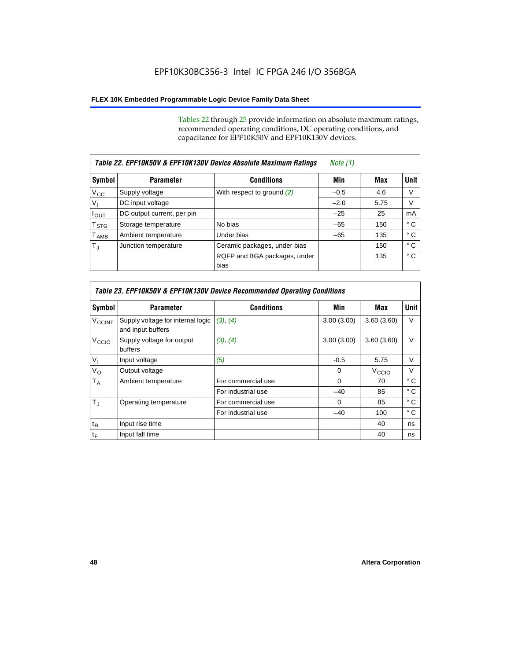Tables 22 through 25 provide information on absolute maximum ratings, recommended operating conditions, DC operating conditions, and capacitance for EPF10K50V and EPF10K130V devices.

| Table 22. EPF10K50V & EPF10K130V Device Absolute Maximum Ratings<br>Note (1) |                            |                                      |        |      |             |
|------------------------------------------------------------------------------|----------------------------|--------------------------------------|--------|------|-------------|
| Symbol                                                                       | <b>Parameter</b>           | <b>Conditions</b>                    | Min    | Max  | <b>Unit</b> |
| $V_{\rm CC}$                                                                 | Supply voltage             | With respect to ground $(2)$         | $-0.5$ | 4.6  | V           |
| $V_{I}$                                                                      | DC input voltage           |                                      | $-2.0$ | 5.75 | V           |
| $I_{\text{OUT}}$                                                             | DC output current, per pin |                                      | $-25$  | 25   | mA          |
| $\mathsf{T}_{\text{STG}}$                                                    | Storage temperature        | No bias                              | $-65$  | 150  | ° C         |
| $T_{\sf AMB}$                                                                | Ambient temperature        | Under bias                           | $-65$  | 135  | ° C         |
| $T_{\rm J}$                                                                  | Junction temperature       | Ceramic packages, under bias         |        | 150  | ° C         |
|                                                                              |                            | RQFP and BGA packages, under<br>bias |        | 135  | ° C         |

| Table 23. EPF10K50V & EPF10K130V Device Recommended Operating Conditions |                                                        |                    |            |                   |              |  |
|--------------------------------------------------------------------------|--------------------------------------------------------|--------------------|------------|-------------------|--------------|--|
| Symbol                                                                   | <b>Parameter</b>                                       | <b>Conditions</b>  | Min        | Max               | Unit         |  |
| <b>V<sub>CCINT</sub></b>                                                 | Supply voltage for internal logic<br>and input buffers | (3), (4)           | 3.00(3.00) | 3.60(3.60)        | $\vee$       |  |
| V <sub>CCIO</sub>                                                        | Supply voltage for output<br>buffers                   | (3), (4)           | 3.00(3.00) | 3.60(3.60)        | V            |  |
| $V_{1}$                                                                  | Input voltage                                          | (5)                | $-0.5$     | 5.75              | $\vee$       |  |
| $V_{\rm O}$                                                              | Output voltage                                         |                    | $\Omega$   | V <sub>CCIO</sub> | $\vee$       |  |
| $T_A$                                                                    | Ambient temperature                                    | For commercial use | $\Omega$   | 70                | $^{\circ}$ C |  |
|                                                                          |                                                        | For industrial use | $-40$      | 85                | ° C          |  |
| $T_{\rm J}$                                                              | Operating temperature                                  | For commercial use | $\Omega$   | 85                | $^{\circ}$ C |  |
|                                                                          |                                                        | For industrial use | $-40$      | 100               | ° C          |  |
| $t_{R}$                                                                  | Input rise time                                        |                    |            | 40                | ns           |  |
| $t_F$                                                                    | Input fall time                                        |                    |            | 40                | ns           |  |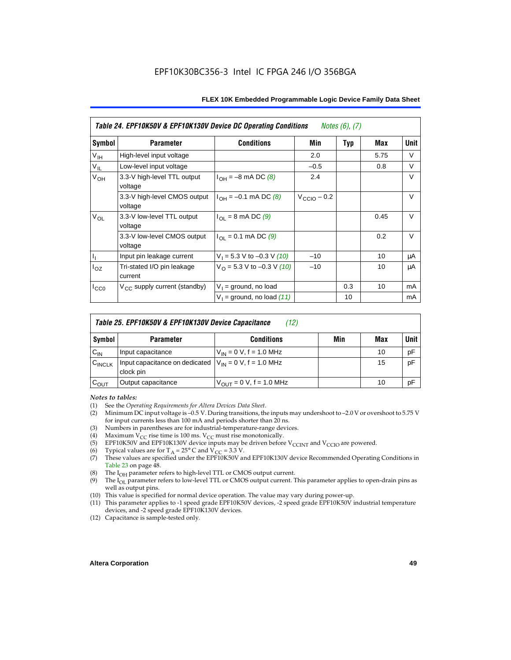| Table 24. EPF10K50V & EPF10K130V Device DC Operating Conditions<br><i>Notes <math>(6)</math>, <math>(7)</math></i> |                                          |                                |                         |     |      |        |
|--------------------------------------------------------------------------------------------------------------------|------------------------------------------|--------------------------------|-------------------------|-----|------|--------|
| <b>Symbol</b>                                                                                                      | <b>Parameter</b>                         | <b>Conditions</b>              | Min                     | Typ | Max  | Unit   |
| V <sub>IH</sub>                                                                                                    | High-level input voltage                 |                                | 2.0                     |     | 5.75 | V      |
| $V_{IL}$                                                                                                           | Low-level input voltage                  |                                | $-0.5$                  |     | 0.8  | V      |
| V <sub>OH</sub>                                                                                                    | 3.3-V high-level TTL output<br>voltage   | $I_{OH} = -8$ mA DC (8)        | 2.4                     |     |      | V      |
|                                                                                                                    | 3.3-V high-level CMOS output<br>voltage  | $I_{OH} = -0.1$ mA DC (8)      | $V_{\text{CCIO}} - 0.2$ |     |      | V      |
| $V_{OL}$                                                                                                           | 3.3-V low-level TTL output<br>voltage    | $I_{\Omega}$ = 8 mA DC (9)     |                         |     | 0.45 | $\vee$ |
|                                                                                                                    | 3.3-V low-level CMOS output<br>voltage   | $I_{\Omega} = 0.1$ mA DC (9)   |                         |     | 0.2  | $\vee$ |
| h                                                                                                                  | Input pin leakage current                | $V_1 = 5.3$ V to $-0.3$ V (10) | $-10$                   |     | 10   | μA     |
| $I_{OZ}$                                                                                                           | Tri-stated I/O pin leakage<br>current    | $V_O$ = 5.3 V to -0.3 V (10)   | $-10$                   |     | 10   | μA     |
| $I_{CC0}$                                                                                                          | $V_{\text{CC}}$ supply current (standby) | $V_1$ = ground, no load        |                         | 0.3 | 10   | mA     |
|                                                                                                                    |                                          | $V_1$ = ground, no load (11)   |                         | 10  |      | mA     |

| Table 25. EPF10K50V & EPF10K130V Device Capacitance<br>(12) |                                                                           |                               |     |     |             |  |
|-------------------------------------------------------------|---------------------------------------------------------------------------|-------------------------------|-----|-----|-------------|--|
| Symbol                                                      | <b>Parameter</b>                                                          | <b>Conditions</b>             | Min | Max | <b>Unit</b> |  |
| $C_{IN}$                                                    | Input capacitance                                                         | $V_{IN} = 0$ V, f = 1.0 MHz   |     | 10  | pF          |  |
| CINCLK                                                      | Input capacitance on dedicated $ V_{IN} = 0 V$ , f = 1.0 MHz<br>clock pin |                               |     | 15  | pF          |  |
| $C_{OUT}$                                                   | Output capacitance                                                        | $V_{OUT} = 0 V$ , f = 1.0 MHz |     | 10  | pF          |  |

#### *Notes to tables:*

- (1) See the *Operating Requirements for Altera Devices Data Sheet*.
- Minimum DC input voltage is –0.5 V. During transitions, the inputs may undershoot to –2.0 V or overshoot to 5.75 V for input currents less than 100 mA and periods shorter than 20 ns.
- (3) Numbers in parentheses are for industrial-temperature-range devices.<br>(4) Maximum  $V_{CC}$  rise time is 100 ms.  $V_{CC}$  must rise monotonically.
- (4) Maximum  $V_{CC}$  rise time is 100 ms.  $V_{CC}$  must rise monotonically.<br>(5) EPF10K50V and EPF10K130V device inputs may be driven before
- (5) EPF10K50V and EPF10K130V device inputs may be driven before V<sub>CCINT</sub> and V<sub>CCIO</sub> are powered.<br>(6) Typical values are for T<sub>A</sub> = 25° C and V<sub>CC</sub> = 3.3 V.
- Typical values are for  $T_A = 25^\circ$  C and  $V_{CC} = 3.3$  V.
- (7) These values are specified under the EPF10K50V and EPF10K130V device Recommended Operating Conditions in Table 23 on page 48.
- (8) The  $I<sub>OH</sub>$  parameter refers to high-level TTL or CMOS output current.
- (9) The  $I_{OL}$  parameter refers to low-level TTL or CMOS output current. This parameter applies to open-drain pins as well as output pins.
- (10) This value is specified for normal device operation. The value may vary during power-up.
- (11) This parameter applies to -1 speed grade EPF10K50V devices, -2 speed grade EPF10K50V industrial temperature devices, and -2 speed grade EPF10K130V devices.
- (12) Capacitance is sample-tested only.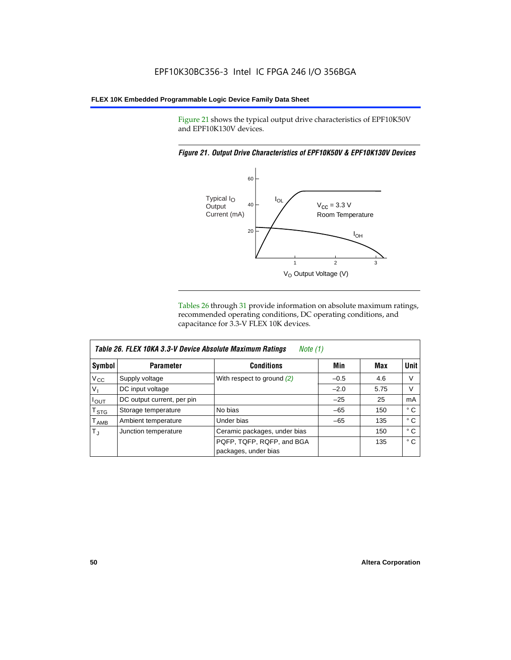Figure 21 shows the typical output drive characteristics of EPF10K50V and EPF10K130V devices.

## *Figure 21. Output Drive Characteristics of EPF10K50V & EPF10K130V Devices*



Tables 26 through 31 provide information on absolute maximum ratings, recommended operating conditions, DC operating conditions, and capacitance for 3.3-V FLEX 10K devices.

|                    | Table 26. FLEX 10KA 3.3-V Device Absolute Maximum Ratings<br>Note (1) |                              |        |      |              |  |  |
|--------------------|-----------------------------------------------------------------------|------------------------------|--------|------|--------------|--|--|
| Symbol             | <b>Parameter</b>                                                      | <b>Conditions</b>            | Min    | Max  | Unit         |  |  |
| $V_{\rm CC}$       | Supply voltage                                                        | With respect to ground $(2)$ | $-0.5$ | 4.6  | V            |  |  |
| $V_{I}$            | DC input voltage                                                      |                              | $-2.0$ | 5.75 | V            |  |  |
| $I_{OUT}$          | DC output current, per pin                                            |                              | $-25$  | 25   | mA           |  |  |
| $T_{\text{STG}}$   | Storage temperature                                                   | No bias                      | $-65$  | 150  | ° C          |  |  |
| $T_{\mathsf{AMB}}$ | Ambient temperature                                                   | Under bias                   | $-65$  | 135  | ° C          |  |  |
| $T_{\rm J}$        | Junction temperature                                                  | Ceramic packages, under bias |        | 150  | ° C          |  |  |
|                    |                                                                       | PQFP, TQFP, RQFP, and BGA    |        | 135  | $^{\circ}$ C |  |  |
|                    |                                                                       | packages, under bias         |        |      |              |  |  |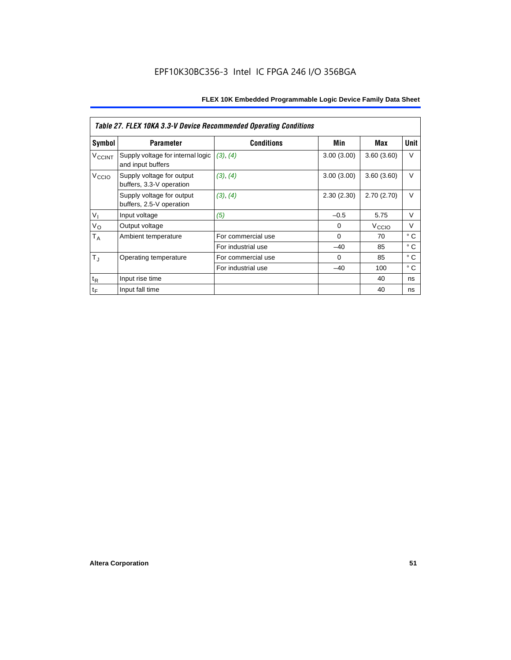|                          | Table 27. FLEX 10KA 3.3-V Device Recommended Operating Conditions |                    |            |                   |              |  |  |
|--------------------------|-------------------------------------------------------------------|--------------------|------------|-------------------|--------------|--|--|
| Symbol                   | <b>Parameter</b>                                                  | <b>Conditions</b>  | Min        | Max               | <b>Unit</b>  |  |  |
| <b>V<sub>CCINT</sub></b> | Supply voltage for internal logic<br>and input buffers            | (3), (4)           | 3.00(3.00) | 3.60(3.60)        | V            |  |  |
| V <sub>CCIO</sub>        | Supply voltage for output<br>buffers, 3.3-V operation             | (3), (4)           | 3.00(3.00) | 3.60(3.60)        | $\vee$       |  |  |
|                          | Supply voltage for output<br>buffers, 2.5-V operation             | (3), (4)           | 2.30(2.30) | 2.70(2.70)        | $\vee$       |  |  |
| V <sub>1</sub>           | Input voltage                                                     | (5)                | $-0.5$     | 5.75              | $\vee$       |  |  |
| $V_{\rm O}$              | Output voltage                                                    |                    | 0          | V <sub>CCIO</sub> | V            |  |  |
| $T_A$                    | Ambient temperature                                               | For commercial use | $\Omega$   | 70                | ° C          |  |  |
|                          |                                                                   | For industrial use | $-40$      | 85                | $^{\circ}$ C |  |  |
| $T_{\rm J}$              | Operating temperature                                             | For commercial use | $\Omega$   | 85                | ° C          |  |  |
|                          |                                                                   | For industrial use | $-40$      | 100               | ° C          |  |  |
| $t_{R}$                  | Input rise time                                                   |                    |            | 40                | ns           |  |  |
| $t_F$                    | Input fall time                                                   |                    |            | 40                | ns           |  |  |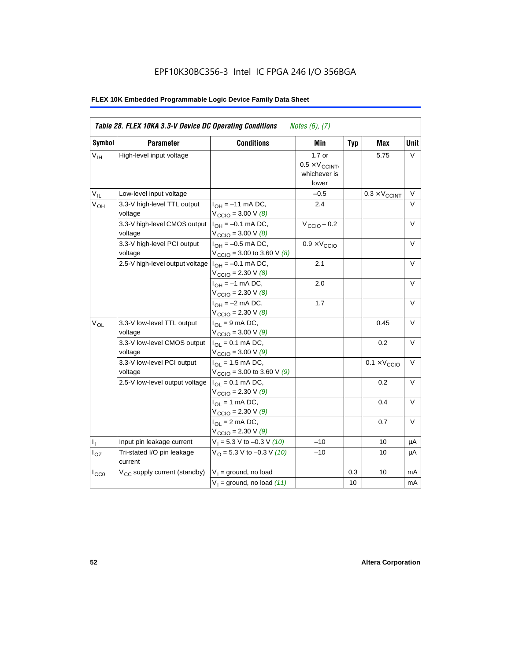## EPF10K30BC356-3 Intel IC FPGA 246 I/O 356BGA

| Symbol          | <b>Parameter</b>                         | <b>Conditions</b>                                                 | Min                                                         | <b>Typ</b> | Max                          | <b>Unit</b> |
|-----------------|------------------------------------------|-------------------------------------------------------------------|-------------------------------------------------------------|------------|------------------------------|-------------|
| V <sub>IH</sub> | High-level input voltage                 |                                                                   | $1.7$ or<br>$0.5 \times V_{CCINT}$<br>whichever is<br>lower |            | 5.75                         | V           |
| $V_{IL}$        | Low-level input voltage                  |                                                                   | $-0.5$                                                      |            | $0.3 \times V_{CCINT}$       | V           |
| $V_{OH}$        | 3.3-V high-level TTL output<br>voltage   | $I_{OH} = -11$ mA DC,<br>$V_{\text{CCIO}} = 3.00 V (8)$           | 2.4                                                         |            |                              | $\vee$      |
|                 | 3.3-V high-level CMOS output<br>voltage  | $I_{OH} = -0.1$ mA DC,<br>$V_{\text{CCIO}} = 3.00 \text{ V } (8)$ | $V_{\text{CCIO}} - 0.2$                                     |            |                              | V           |
|                 | 3.3-V high-level PCI output<br>voltage   | $I_{OH} = -0.5$ mA DC,<br>$V_{\text{CCIO}} = 3.00$ to 3.60 V (8)  | $0.9 \times V_{\text{CCIO}}$                                |            |                              | V           |
|                 | 2.5-V high-level output voltage          | $I_{OH} = -0.1$ mA DC,<br>$V_{\text{CCIO}} = 2.30 \text{ V } (8)$ | 2.1                                                         |            |                              | V           |
|                 |                                          | $I_{OH} = -1$ mA DC,<br>$V_{\text{CCIO}} = 2.30 \text{ V } (8)$   | 2.0                                                         |            |                              | V           |
|                 |                                          | $I_{OH} = -2$ mA DC,<br>$V_{\text{CCIO}} = 2.30 V (8)$            | 1.7                                                         |            |                              | V           |
| $V_{OL}$        | 3.3-V low-level TTL output<br>voltage    | $I_{OL}$ = 9 mA DC,<br>$V_{\text{CCIO}} = 3.00 \text{ V} (9)$     |                                                             |            | 0.45                         | $\vee$      |
|                 | 3.3-V low-level CMOS output<br>voltage   | $I_{OL} = 0.1$ mA DC,<br>$V_{\text{CCIO}} = 3.00 V (9)$           |                                                             |            | 0.2                          | $\vee$      |
|                 | 3.3-V low-level PCI output<br>voltage    | $I_{OL}$ = 1.5 mA DC,<br>$V_{\text{CCIO}} = 3.00$ to 3.60 V (9)   |                                                             |            | $0.1 \times V_{\text{CCIO}}$ | $\vee$      |
|                 | 2.5-V low-level output voltage           | $I_{OL} = 0.1$ mA DC,<br>$V_{\text{CCIO}} = 2.30 \text{ V} (9)$   |                                                             |            | 0.2                          | $\vee$      |
|                 |                                          | $I_{OL}$ = 1 mA DC,<br>$V_{\text{CCIO}} = 2.30 V (9)$             |                                                             |            | 0.4                          | V           |
|                 |                                          | $I_{OL} = 2$ mA DC,<br>$V_{\text{CCIO}} = 2.30 V (9)$             |                                                             |            | 0.7                          | V           |
| $I_{\rm L}$     | Input pin leakage current                | $V_1 = 5.3$ V to -0.3 V (10)                                      | $-10$                                                       |            | 10                           | μA          |
| $I_{OZ}$        | Tri-stated I/O pin leakage<br>current    | $V_O = 5.3 V to -0.3 V (10)$                                      | $-10$                                                       |            | 10                           | μA          |
| $I_{CC0}$       | V <sub>CC</sub> supply current (standby) | $V_1$ = ground, no load                                           |                                                             | 0.3        | 10                           | mA          |
|                 |                                          | $V_1$ = ground, no load (11)                                      |                                                             | 10         |                              | mA          |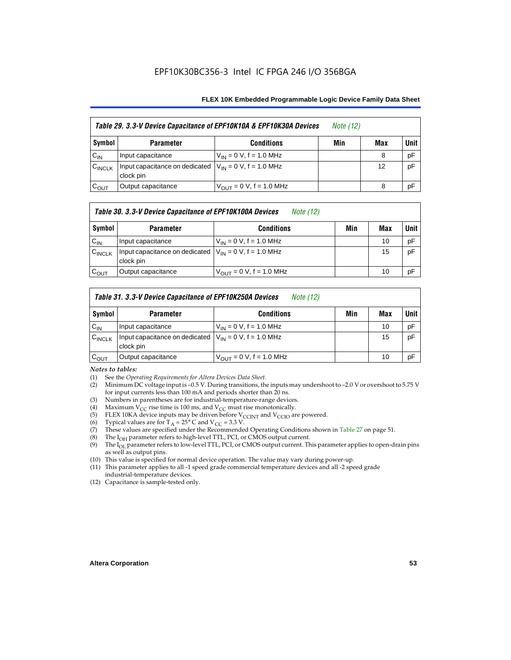## EPF10K30BC356-3 Intel IC FPGA 246 I/O 356BGA

### **FLEX 10K Embedded Programmable Logic Device Family Data Sheet**

|                    |                                                                           | Table 29. 3.3-V Device Capacitance of EPF10K10A & EPF10K30A Devices | <i>Note</i> (12) |     |        |
|--------------------|---------------------------------------------------------------------------|---------------------------------------------------------------------|------------------|-----|--------|
| Symbol             | <b>Parameter</b>                                                          | <b>Conditions</b>                                                   | Min              | Max | Unit I |
| $C_{IN}$           | Input capacitance                                                         | $V_{IN} = 0 V$ , f = 1.0 MHz                                        |                  | 8   | pF     |
| $C_{\text{INCLK}}$ | Input capacitance on dedicated $ V_{IN} = 0 V$ , f = 1.0 MHz<br>clock pin |                                                                     |                  | 12  | pF     |
| $C_{OUT}$          | Output capacitance                                                        | $V_{OUT} = 0 V$ , f = 1.0 MHz                                       |                  | 8   | pF     |

#### *Table 30. 3.3-V Device Capacitance of EPF10K100A Devices Note (12)*

| Symbol    | <b>Parameter</b>                                                          | <b>Conditions</b>                   | Min | Max | <b>Unit</b> |
|-----------|---------------------------------------------------------------------------|-------------------------------------|-----|-----|-------------|
| $C_{IN}$  | Input capacitance                                                         | $V_{IN} = 0 V$ , f = 1.0 MHz        |     | 10  | pF          |
| CINCLK    | Input capacitance on dedicated $ V_{1N}  = 0$ V, f = 1.0 MHz<br>clock pin |                                     |     | 15  | pF          |
| $C_{OUT}$ | Output capacitance                                                        | $V_{\text{OUT}} = 0$ V, f = 1.0 MHz |     | 10  | pF          |

## *Table 31. 3.3-V Device Capacitance of EPF10K250A Devices Note (12)*

| Symbol             | <b>Parameter</b>                                                         | <b>Conditions</b>                   | Min | Max | <b>Unit</b> |
|--------------------|--------------------------------------------------------------------------|-------------------------------------|-----|-----|-------------|
| $C_{\text{IN}}$    | Input capacitance                                                        | $V_{IN} = 0$ V, f = 1.0 MHz         |     | 10  | pF          |
| $C_{\text{INCLK}}$ | Input capacitance on dedicated $V_{IN} = 0 V$ , f = 1.0 MHz<br>clock pin |                                     |     | 15  | pF          |
| $C_{\text{OUT}}$   | Output capacitance                                                       | $V_{\text{OUT}} = 0$ V, f = 1.0 MHz |     | 10  | pF          |

#### *Notes to tables:*

- (1) See the *Operating Requirements for Altera Devices Data Sheet*.
- (2) Minimum DC voltage input is –0.5 V. During transitions, the inputs may undershoot to –2.0 V or overshoot to 5.75 V for input currents less than 100 mA and periods shorter than 20 ns.
- (3) Numbers in parentheses are for industrial-temperature-range devices.
- (4) Maximum V<sub>CC</sub> rise time is 100 ms, and V<sub>CC</sub> must rise monotonically.<br>(5) ELEX 10KA device inputs may be driven before V<sub>CCINT</sub> and V<sub>CCIO</sub> ar
- (5) FLEX 10KA device inputs may be driven before  $V_{CCTN}$  and  $V_{CCIO}$  are powered.<br>(6) Typical values are for T<sub>A</sub> = 25° C and  $V_{CC}$  = 3.3 V.
- (6) Typical values are for  $T_A = 25^\circ$  C and  $V_{CC} = 3.3$  V.<br>(7) These values are specified under the Recommende
- These values are specified under the Recommended Operating Conditions shown in Table 27 on page 51.
- (8) The  $I_{OH}$  parameter refers to high-level TTL, PCI, or CMOS output current. The  $I_{OH}$  parameter refers to low-level TTL, PCI, or CMOS output current. The
- The I<sub>OL</sub> parameter refers to low-level TTL, PCI, or CMOS output current. This parameter applies to open-drain pins as well as output pins.
- (10) This value is specified for normal device operation. The value may vary during power-up.
- (11) This parameter applies to all -1 speed grade commercial temperature devices and all -2 speed grade industrial-temperature devices.
- (12) Capacitance is sample-tested only.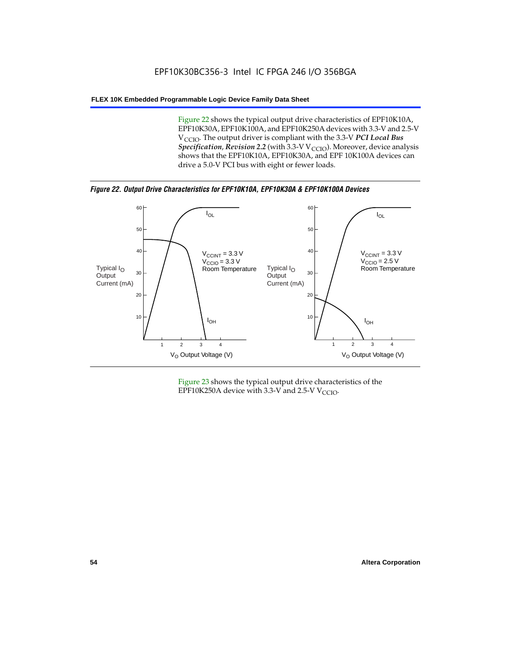Figure 22 shows the typical output drive characteristics of EPF10K10A, EPF10K30A, EPF10K100A, and EPF10K250A devices with 3.3-V and 2.5-V V<sub>CCIO</sub>. The output driver is compliant with the 3.3-V PCI Local Bus *Specification, Revision 2.2* (with 3.3-V V<sub>CCIO</sub>). Moreover, device analysis shows that the EPF10K10A, EPF10K30A, and EPF 10K100A devices can drive a 5.0-V PCI bus with eight or fewer loads.

*Figure 22. Output Drive Characteristics for EPF10K10A, EPF10K30A & EPF10K100A Devices*



Figure 23 shows the typical output drive characteristics of the EPF10K250A device with 3.3-V and 2.5-V  $V_{\text{CCIO}}$ .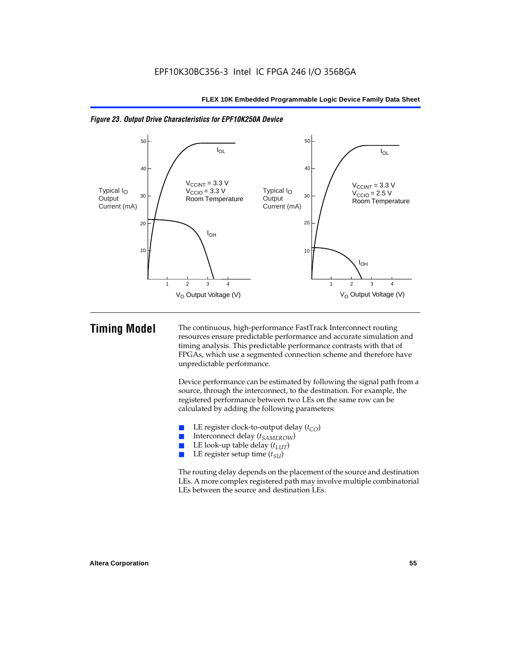



**Timing Model** The continuous, high-performance FastTrack Interconnect routing resources ensure predictable performance and accurate simulation and timing analysis. This predictable performance contrasts with that of FPGAs, which use a segmented connection scheme and therefore have unpredictable performance.

> Device performance can be estimated by following the signal path from a source, through the interconnect, to the destination. For example, the registered performance between two LEs on the same row can be calculated by adding the following parameters:

- **E** LE register clock-to-output delay  $(t_{CO})$ <br> **E** Interconnect delay  $(t_{CMBOW})$
- Interconnect delay (*t<sub>SAMEROW</sub>*)
- LE look-up table delay  $(t_{LUT})$
- LE register setup time ( $t_{SI}$ )

The routing delay depends on the placement of the source and destination LEs. A more complex registered path may involve multiple combinatorial LEs between the source and destination LEs.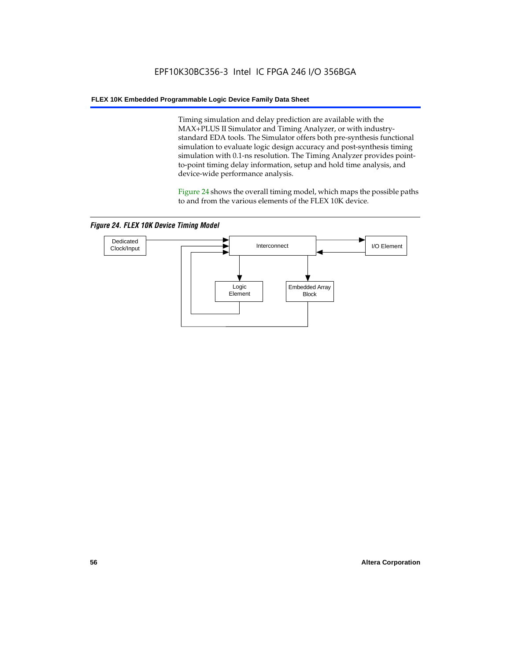Timing simulation and delay prediction are available with the MAX+PLUS II Simulator and Timing Analyzer, or with industrystandard EDA tools. The Simulator offers both pre-synthesis functional simulation to evaluate logic design accuracy and post-synthesis timing simulation with 0.1-ns resolution. The Timing Analyzer provides pointto-point timing delay information, setup and hold time analysis, and device-wide performance analysis.

Figure 24 shows the overall timing model, which maps the possible paths to and from the various elements of the FLEX 10K device.

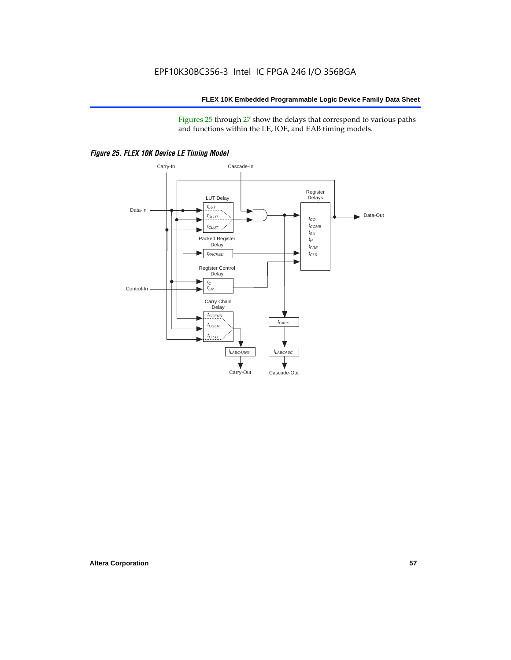Figures 25 through 27 show the delays that correspond to various paths and functions within the LE, IOE, and EAB timing models.



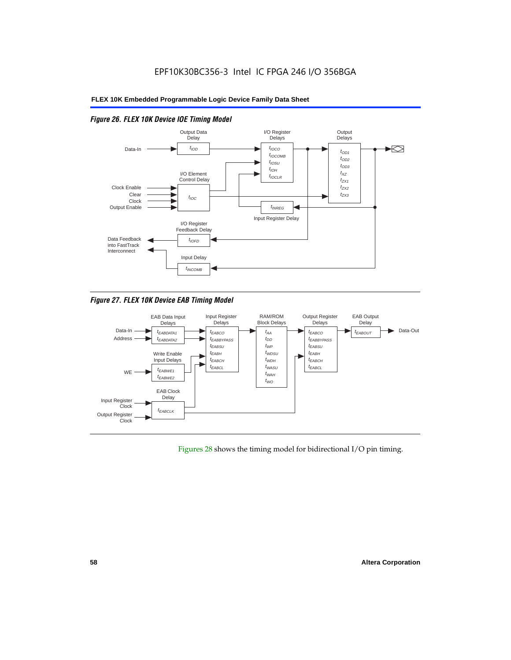

## *Figure 26. FLEX 10K Device IOE Timing Model*

*Figure 27. FLEX 10K Device EAB Timing Model*



Figures 28 shows the timing model for bidirectional I/O pin timing.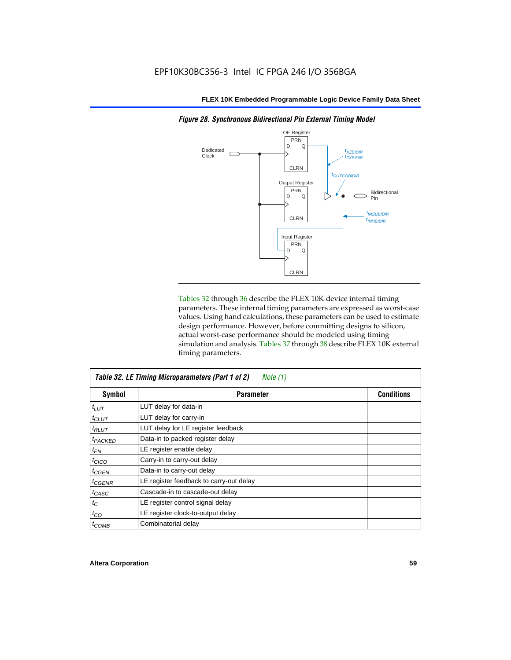

Tables 32 through 36 describe the FLEX 10K device internal timing parameters. These internal timing parameters are expressed as worst-case values. Using hand calculations, these parameters can be used to estimate design performance. However, before committing designs to silicon, actual worst-case performance should be modeled using timing simulation and analysis. Tables 37 through 38 describe FLEX 10K external timing parameters.

| Table 32. LE Timing Microparameters (Part 1 of 2)<br>Note $(1)$ |                                         |                   |  |  |
|-----------------------------------------------------------------|-----------------------------------------|-------------------|--|--|
| Symbol                                                          | <b>Parameter</b>                        | <b>Conditions</b> |  |  |
| $t_{LUT}$                                                       | LUT delay for data-in                   |                   |  |  |
| $t_{CLUT}$                                                      | LUT delay for carry-in                  |                   |  |  |
| $t_{RLUT}$                                                      | LUT delay for LE register feedback      |                   |  |  |
| <sup>t</sup> PACKED                                             | Data-in to packed register delay        |                   |  |  |
| $t_{EN}$                                                        | LE register enable delay                |                   |  |  |
| $t_{CICO}$                                                      | Carry-in to carry-out delay             |                   |  |  |
| <sup>t</sup> CGEN                                               | Data-in to carry-out delay              |                   |  |  |
| ${}^t$ CGENR                                                    | LE register feedback to carry-out delay |                   |  |  |
| t <sub>CASC</sub>                                               | Cascade-in to cascade-out delay         |                   |  |  |
| $t_C$                                                           | LE register control signal delay        |                   |  |  |
| $t_{CO}$                                                        | LE register clock-to-output delay       |                   |  |  |
| <sup>t</sup> COMB                                               | Combinatorial delay                     |                   |  |  |

*Figure 28. Synchronous Bidirectional Pin External Timing Model*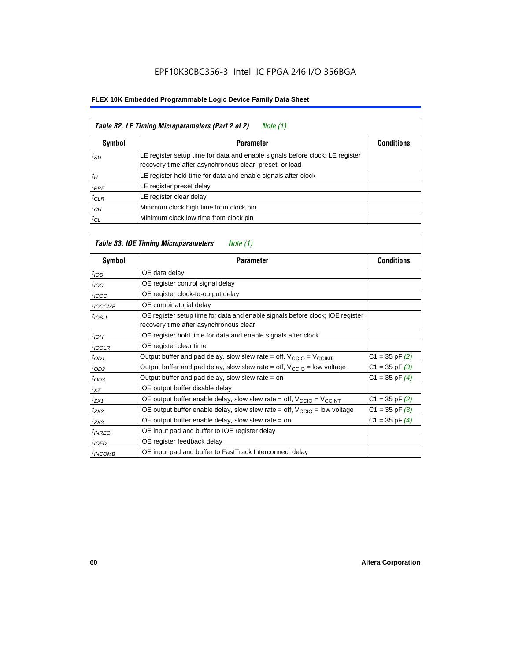| Table 32. LE Timing Microparameters (Part 2 of 2)<br>Note (1) |                                                                                                                                         |                   |  |  |
|---------------------------------------------------------------|-----------------------------------------------------------------------------------------------------------------------------------------|-------------------|--|--|
| Symbol                                                        | <b>Parameter</b>                                                                                                                        | <b>Conditions</b> |  |  |
| $t_{\rm SU}$                                                  | LE register setup time for data and enable signals before clock; LE register<br>recovery time after asynchronous clear, preset, or load |                   |  |  |
| $t_H$                                                         | LE register hold time for data and enable signals after clock                                                                           |                   |  |  |
| $t_{PRE}$                                                     | LE register preset delay                                                                                                                |                   |  |  |
| $t_{CLR}$                                                     | LE register clear delay                                                                                                                 |                   |  |  |
| $t_{CH}$                                                      | Minimum clock high time from clock pin                                                                                                  |                   |  |  |
| $t_{CL}$                                                      | Minimum clock low time from clock pin                                                                                                   |                   |  |  |

# *Table 33. IOE Timing Microparameters Note (1)*

| Symbol              | <b>Parameter</b>                                                                                                         | <b>Conditions</b>  |
|---------------------|--------------------------------------------------------------------------------------------------------------------------|--------------------|
| t <sub>IOD</sub>    | IOE data delay                                                                                                           |                    |
| $t_{\text{IOC}}$    | IOE register control signal delay                                                                                        |                    |
| $t_{IOCO}$          | IOE register clock-to-output delay                                                                                       |                    |
| $t_{IOCOMB}$        | IOE combinatorial delay                                                                                                  |                    |
| $t_{IOSU}$          | IOE register setup time for data and enable signals before clock; IOE register<br>recovery time after asynchronous clear |                    |
| $t_{IOH}$           | IOE register hold time for data and enable signals after clock                                                           |                    |
| $t_{IOCLR}$         | IOE register clear time                                                                                                  |                    |
| $t_{OD1}$           | Output buffer and pad delay, slow slew rate = off, $V_{\text{CCIO}} = V_{\text{CCINT}}$                                  | $C1 = 35$ pF $(2)$ |
| $t_{OD2}$           | Output buffer and pad delay, slow slew rate = off, $V_{\text{CCIO}}$ = low voltage                                       | $C1 = 35$ pF $(3)$ |
| $t_{OD3}$           | Output buffer and pad delay, slow slew rate $=$ on                                                                       | $C1 = 35$ pF $(4)$ |
| $t_{XZ}$            | IOE output buffer disable delay                                                                                          |                    |
| $t_{ZX1}$           | IOE output buffer enable delay, slow slew rate = off, $V_{\text{CCIO}} = V_{\text{CCINT}}$                               | $C1 = 35$ pF $(2)$ |
| $t_{ZX2}$           | IOE output buffer enable delay, slow slew rate = off, $V_{\text{CCIO}}$ = low voltage                                    | $C1 = 35$ pF $(3)$ |
| $t_{ZX3}$           | IOE output buffer enable delay, slow slew rate $=$ on                                                                    | $C1 = 35$ pF $(4)$ |
| <sup>t</sup> INREG  | IOE input pad and buffer to IOE register delay                                                                           |                    |
| $t_{IOFD}$          | IOE register feedback delay                                                                                              |                    |
| <sup>t</sup> INCOMB | IOE input pad and buffer to FastTrack Interconnect delay                                                                 |                    |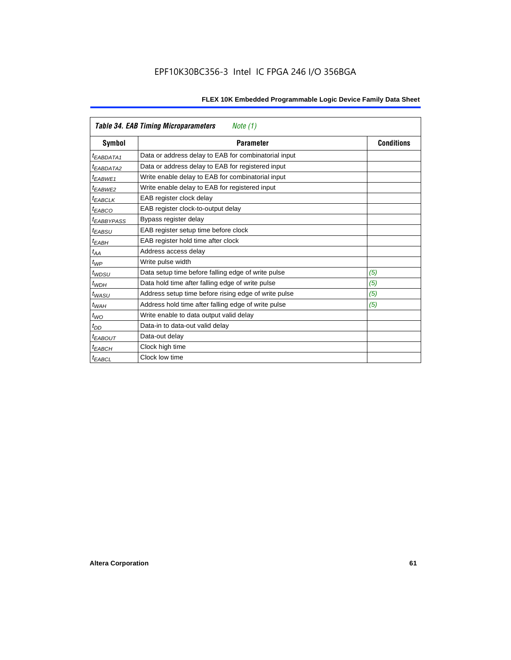|                        | <b>Table 34. EAB Timing Microparameters</b><br>Note (1) |                   |
|------------------------|---------------------------------------------------------|-------------------|
| Symbol                 | <b>Parameter</b>                                        | <b>Conditions</b> |
| <b>EABDATA1</b>        | Data or address delay to EAB for combinatorial input    |                   |
| $t_{EABDATA2}$         | Data or address delay to EAB for registered input       |                   |
| $t_{EABWE1}$           | Write enable delay to EAB for combinatorial input       |                   |
| t <sub>EABWE2</sub>    | Write enable delay to EAB for registered input          |                   |
| <sup>t</sup> EABCLK    | EAB register clock delay                                |                   |
| <sup>t</sup> EABCO     | EAB register clock-to-output delay                      |                   |
| <sup>t</sup> EABBYPASS | Bypass register delay                                   |                   |
| <sup>t</sup> EABSU     | EAB register setup time before clock                    |                   |
| $t_{EABH}$             | EAB register hold time after clock                      |                   |
| $t_{AA}$               | Address access delay                                    |                   |
| $t_{WP}$               | Write pulse width                                       |                   |
| $t_{WDSU}$             | Data setup time before falling edge of write pulse      | (5)               |
| $t_{WDH}$              | Data hold time after falling edge of write pulse        | (5)               |
| $t_{WASU}$             | Address setup time before rising edge of write pulse    | (5)               |
| $t_{WAH}$              | Address hold time after falling edge of write pulse     | (5)               |
| $t_{WO}$               | Write enable to data output valid delay                 |                   |
| $t_{DD}$               | Data-in to data-out valid delay                         |                   |
| $t_{EABOUT}$           | Data-out delay                                          |                   |
| <sup>t</sup> EABCH     | Clock high time                                         |                   |
| $t_{EABCL}$            | Clock low time                                          |                   |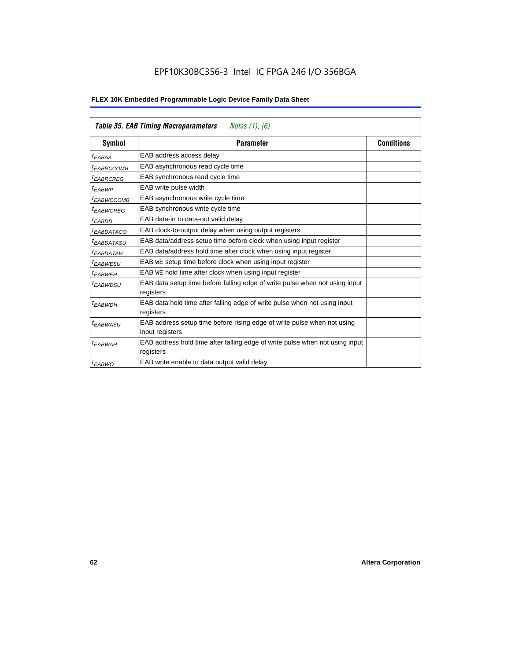| FLEX 10K Embedded Programmable Logic Device Family Data Sheet |  |
|---------------------------------------------------------------|--|
|---------------------------------------------------------------|--|

|                        | <b>Table 35. EAB Timing Macroparameters</b><br>Notes $(1)$ , $(6)$                        |                   |
|------------------------|-------------------------------------------------------------------------------------------|-------------------|
| Symbol                 | <b>Parameter</b>                                                                          | <b>Conditions</b> |
| <sup>t</sup> EABAA     | EAB address access delay                                                                  |                   |
| <sup>I</sup> EABRCCOMB | EAB asynchronous read cycle time                                                          |                   |
| <sup>t</sup> EABRCREG  | EAB synchronous read cycle time                                                           |                   |
| <sup>t</sup> EABWP     | EAB write pulse width                                                                     |                   |
| <sup>t</sup> EABWCCOMB | EAB asynchronous write cycle time                                                         |                   |
| <sup>t</sup> EABWCREG  | EAB synchronous write cycle time                                                          |                   |
| <sup>t</sup> EABDD     | EAB data-in to data-out valid delay                                                       |                   |
| <sup>t</sup> EABDATACO | EAB clock-to-output delay when using output registers                                     |                   |
| <sup>t</sup> EABDATASU | EAB data/address setup time before clock when using input register                        |                   |
| <sup>t</sup> EABDATAH  | EAB data/address hold time after clock when using input register                          |                   |
| <sup>t</sup> EABWESU   | EAB WE setup time before clock when using input register                                  |                   |
| <sup>t</sup> EABWEH    | EAB WE hold time after clock when using input register                                    |                   |
| <sup>t</sup> EABWDSU   | EAB data setup time before falling edge of write pulse when not using input<br>registers  |                   |
| <sup>t</sup> EABWDH    | EAB data hold time after falling edge of write pulse when not using input<br>registers    |                   |
| <sup>t</sup> EABWASU   | EAB address setup time before rising edge of write pulse when not using                   |                   |
|                        | input registers                                                                           |                   |
| <sup>t</sup> EABWAH    | EAB address hold time after falling edge of write pulse when not using input<br>registers |                   |
| <sup>t</sup> EABWO     | EAB write enable to data output valid delay                                               |                   |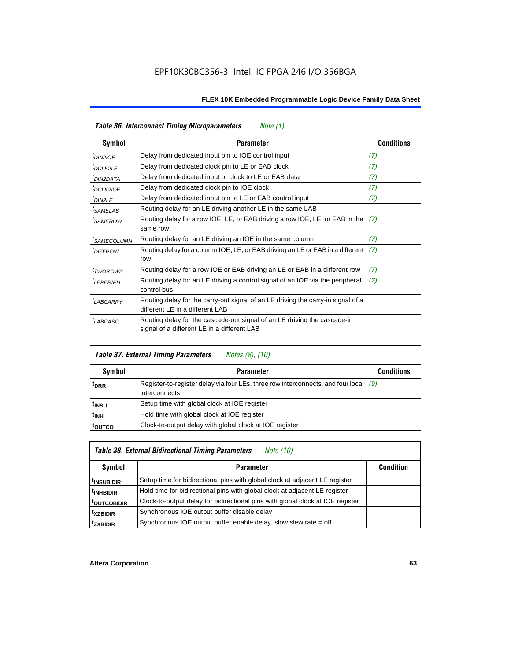|                         | <b>Table 36. Interconnect Timing Microparameters</b><br>Note (1)                                                        |                   |
|-------------------------|-------------------------------------------------------------------------------------------------------------------------|-------------------|
| Symbol                  | <b>Parameter</b>                                                                                                        | <b>Conditions</b> |
| <sup>t</sup> DIN2IOE    | Delay from dedicated input pin to IOE control input                                                                     | (7)               |
| <sup>t</sup> DCLK2LE    | Delay from dedicated clock pin to LE or EAB clock                                                                       | (7)               |
| <sup>t</sup> DIN2DATA   | Delay from dedicated input or clock to LE or EAB data                                                                   | (7)               |
| <sup>t</sup> DCLK2IOE   | Delay from dedicated clock pin to IOE clock                                                                             | (7)               |
| t <sub>DIN2LE</sub>     | Delay from dedicated input pin to LE or EAB control input                                                               | (7)               |
| <sup>t</sup> SAMELAB    | Routing delay for an LE driving another LE in the same LAB                                                              |                   |
| <sup>t</sup> SAMEROW    | Routing delay for a row IOE, LE, or EAB driving a row IOE, LE, or EAB in the<br>same row                                | (7)               |
| <sup>t</sup> SAMECOLUMN | Routing delay for an LE driving an IOE in the same column                                                               | (7)               |
| <i><b>IDIFFROW</b></i>  | Routing delay for a column IOE, LE, or EAB driving an LE or EAB in a different<br>row                                   | (7)               |
| <sup>t</sup> TWOROWS    | Routing delay for a row IOE or EAB driving an LE or EAB in a different row                                              | (7)               |
| <sup>t</sup> I FPFRIPH  | Routing delay for an LE driving a control signal of an IOE via the peripheral<br>control bus                            | (7)               |
| <b>LABCARRY</b>         | Routing delay for the carry-out signal of an LE driving the carry-in signal of a<br>different LE in a different LAB     |                   |
| $t_{LABCASC}$           | Routing delay for the cascade-out signal of an LE driving the cascade-in<br>signal of a different LE in a different LAB |                   |

|                    | <b>Table 37. External Timing Parameters</b><br>Notes (8), (10)                                          |                   |
|--------------------|---------------------------------------------------------------------------------------------------------|-------------------|
| Symbol             | <b>Parameter</b>                                                                                        | <b>Conditions</b> |
| <sup>t</sup> DRR   | Register-to-register delay via four LEs, three row interconnects, and four local $(9)$<br>interconnects |                   |
| t <sub>insu</sub>  | Setup time with global clock at IOE register                                                            |                   |
| t <sub>INH</sub>   | Hold time with global clock at IOE register                                                             |                   |
| <sup>I</sup> OUTCO | Clock-to-output delay with global clock at IOE register                                                 |                   |

## *Table 38. External Bidirectional Timing Parameters Note (10)*

| Symbol                  | <b>Parameter</b>                                                               | <b>Condition</b> |
|-------------------------|--------------------------------------------------------------------------------|------------------|
| <sup>t</sup> INSUBIDIR  | Setup time for bidirectional pins with global clock at adjacent LE register    |                  |
| <sup>t</sup> INHBIDIR   | Hold time for bidirectional pins with global clock at adjacent LE register     |                  |
| <sup>t</sup> outcobidir | Clock-to-output delay for bidirectional pins with global clock at IOE register |                  |
| <sup>t</sup> xzbidir    | Synchronous IOE output buffer disable delay                                    |                  |
| <sup>t</sup> zxbidir    | Synchronous IOE output buffer enable delay, slow slew rate = off               |                  |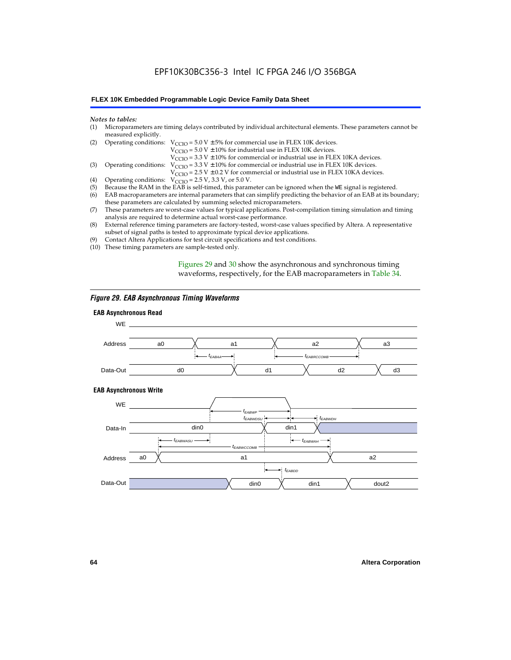## EPF10K30BC356-3 Intel IC FPGA 246 I/O 356BGA

#### **FLEX 10K Embedded Programmable Logic Device Family Data Sheet**

#### *Notes to tables:*

| (1) Microparameters are timing delays contributed by individual architectural elements. These parameters cannot be |
|--------------------------------------------------------------------------------------------------------------------|
| measured explicitly.                                                                                               |

| (2) Operating conditions: $V_{CCIO} = 5.0 V \pm 5%$ for commercial use in FLEX 10K devices. |  |  |  |  |
|---------------------------------------------------------------------------------------------|--|--|--|--|
|                                                                                             |  |  |  |  |

 $V<sub>CCIO</sub>$  = 5.0 V  $\pm$  10% for industrial use in FLEX 10K devices.

 $V_{\text{CCIO}} = 3.3 \text{ V} \pm 10\%$  for commercial or industrial use in FLEX 10KA devices.

(3) Operating conditions:  $V_{\text{CCIO}} = 3.3 V \pm 10\%$  for commercial or industrial use in FLEX 10K devices.

 $V_{\text{CCIO}} = 2.5 \text{ V} \pm 0.2 \text{ V}$  for commercial or industrial use in FLEX 10KA devices.

- (4) Operating conditions:  $V_{\text{CCIO}} = 2.5 V$ , 3.3 V, or 5.0 V.<br>(5) Because the RAM in the EAB is self-timed, this param
- (5) Because the RAM in the EAB is self-timed, this parameter can be ignored when the WE signal is registered.<br>(6) EAB macroparameters are internal parameters that can simplify predicting the behavior of an EAB at its bou
- EAB macroparameters are internal parameters that can simplify predicting the behavior of an EAB at its boundary; these parameters are calculated by summing selected microparameters.
- (7) These parameters are worst-case values for typical applications. Post-compilation timing simulation and timing analysis are required to determine actual worst-case performance.
- (8) External reference timing parameters are factory-tested, worst-case values specified by Altera. A representative subset of signal paths is tested to approximate typical device applications.
- (9) Contact Altera Applications for test circuit specifications and test conditions.
- (10) These timing parameters are sample-tested only.

Figures 29 and 30 show the asynchronous and synchronous timing waveforms, respectively, for the EAB macroparameters in Table 34.

### *Figure 29. EAB Asynchronous Timing Waveforms*

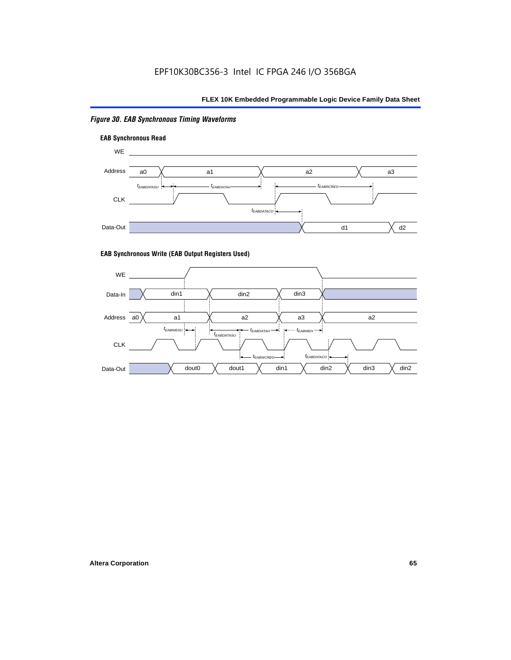## *Figure 30. EAB Synchronous Timing Waveforms*



#### **EAB Synchronous Write (EAB Output Registers Used)**

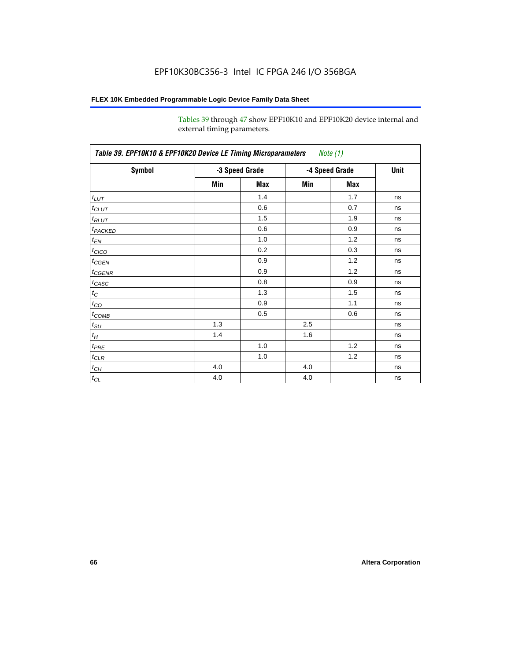Tables 39 through 47 show EPF10K10 and EPF10K20 device internal and external timing parameters.

| Table 39. EPF10K10 & EPF10K20 Device LE Timing Microparameters Note (1) |     |                |     |                |             |
|-------------------------------------------------------------------------|-----|----------------|-----|----------------|-------------|
| Symbol                                                                  |     | -3 Speed Grade |     | -4 Speed Grade | <b>Unit</b> |
|                                                                         | Min | Max            | Min | Max            |             |
| $t_{LUT}$                                                               |     | 1.4            |     | 1.7            | ns          |
| $t_{CLUT}$                                                              |     | 0.6            |     | 0.7            | ns          |
| $t_{RLUT}$                                                              |     | 1.5            |     | 1.9            | ns          |
| t <sub>PACKED</sub>                                                     |     | 0.6            |     | 0.9            | ns          |
| $t_{EN}$                                                                |     | 1.0            |     | 1.2            | ns          |
| $t_{CICO}$                                                              |     | 0.2            |     | 0.3            | ns          |
| $t_{\text{GEN}}$                                                        |     | 0.9            |     | 1.2            | ns          |
| $t_{\text{GENR}}$                                                       |     | 0.9            |     | 1.2            | ns          |
| $t_{CASC}$                                                              |     | 0.8            |     | 0.9            | ns          |
| $t_C$                                                                   |     | 1.3            |     | 1.5            | ns          |
| $t_{CO}$                                                                |     | 0.9            |     | 1.1            | ns          |
| $t_{\text{COMB}}$                                                       |     | 0.5            |     | 0.6            | ns          |
| $t_{\text{SU}}$                                                         | 1.3 |                | 2.5 |                | ns          |
| $t_H$                                                                   | 1.4 |                | 1.6 |                | ns          |
| $t_{PRE}$                                                               |     | 1.0            |     | 1.2            | ns          |
| $t_{\text{CLR}}$                                                        |     | 1.0            |     | 1.2            | ns          |
| $t_{CH}$                                                                | 4.0 |                | 4.0 |                | ns          |
| $t_{CL}$                                                                | 4.0 |                | 4.0 |                | ns          |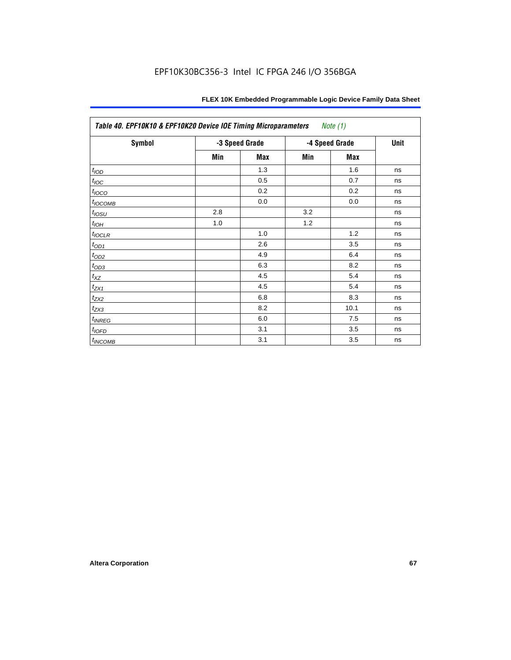| <b>Symbol</b>       |     | -3 Speed Grade | -4 Speed Grade |      | <b>Unit</b> |  |  |
|---------------------|-----|----------------|----------------|------|-------------|--|--|
|                     | Min | Max            | Min            | Max  |             |  |  |
| t <sub>IOD</sub>    |     | 1.3            |                | 1.6  | ns          |  |  |
| $t_{\text{IOC}}$    |     | 0.5            |                | 0.7  | ns          |  |  |
| $t_{IOCO}$          |     | 0.2            |                | 0.2  | ns          |  |  |
| t <sub>IOCOMB</sub> |     | 0.0            |                | 0.0  | ns          |  |  |
| $t_{IOSU}$          | 2.8 |                | 3.2            |      | ns          |  |  |
| $t_{IOH}$           | 1.0 |                | 1.2            |      | ns          |  |  |
| $t_{IOCLR}$         |     | 1.0            |                | 1.2  | ns          |  |  |
| $t_{OD1}$           |     | 2.6            |                | 3.5  | ns          |  |  |
| $t_{OD2}$           |     | 4.9            |                | 6.4  | ns          |  |  |
| $t_{OD3}$           |     | 6.3            |                | 8.2  | ns          |  |  |
| $t_{XZ}$            |     | 4.5            |                | 5.4  | ns          |  |  |
| $t_{ZX1}$           |     | 4.5            |                | 5.4  | ns          |  |  |
| $t_{ZX2}$           |     | 6.8            |                | 8.3  | ns          |  |  |
| $t_{ZX3}$           |     | 8.2            |                | 10.1 | ns          |  |  |
| t <sub>INREG</sub>  |     | 6.0            |                | 7.5  | ns          |  |  |
| $t_{IOFD}$          |     | 3.1            |                | 3.5  | ns          |  |  |
| t <sub>INCOMB</sub> |     | 3.1            |                | 3.5  | ns          |  |  |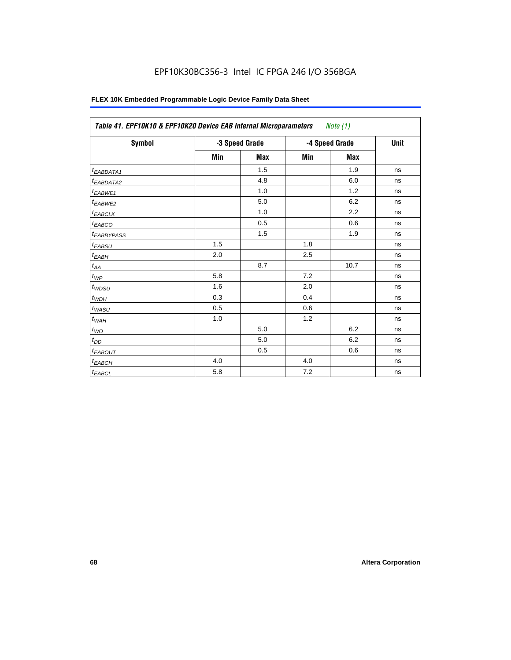# EPF10K30BC356-3 Intel IC FPGA 246 I/O 356BGA

| <b>Symbol</b>           |     | -3 Speed Grade |     | -4 Speed Grade | <b>Unit</b> |
|-------------------------|-----|----------------|-----|----------------|-------------|
|                         | Min | <b>Max</b>     | Min | <b>Max</b>     |             |
| $t_{EABDATA1}$          |     | 1.5            |     | 1.9            | ns          |
| $t_{EABDATA2}$          |     | 4.8            |     | 6.0            | ns          |
| t <sub>EABWE1</sub>     |     | 1.0            |     | 1.2            | ns          |
| t <sub>EABWE2</sub>     |     | 5.0            |     | 6.2            | ns          |
| $t_{EABCLK}$            |     | 1.0            |     | 2.2            | ns          |
| $t_{EABCO}$             |     | 0.5            |     | 0.6            | ns          |
| <b><i>EABBYPASS</i></b> |     | 1.5            |     | 1.9            | ns          |
| $t_{EABSU}$             | 1.5 |                | 1.8 |                | ns          |
| $t_{EABH}$              | 2.0 |                | 2.5 |                | ns          |
| $t_{AA}$                |     | 8.7            |     | 10.7           | ns          |
| $t_{\mathit{WP}}$       | 5.8 |                | 7.2 |                | ns          |
| $t_{WDSU}$              | 1.6 |                | 2.0 |                | ns          |
| $t_{WDH}$               | 0.3 |                | 0.4 |                | ns          |
| $t_{WASU}$              | 0.5 |                | 0.6 |                | ns          |
| $t_{W\!A H}$            | 1.0 |                | 1.2 |                | ns          |
| $t_{WO}$                |     | 5.0            |     | 6.2            | ns          |
| $t_{DD}$                |     | 5.0            |     | 6.2            | ns          |
| $t_{EABOUT}$            |     | 0.5            |     | 0.6            | ns          |
| $t_{EABCH}$             | 4.0 |                | 4.0 |                | ns          |
| $t_{EABCL}$             | 5.8 |                | 7.2 |                | ns          |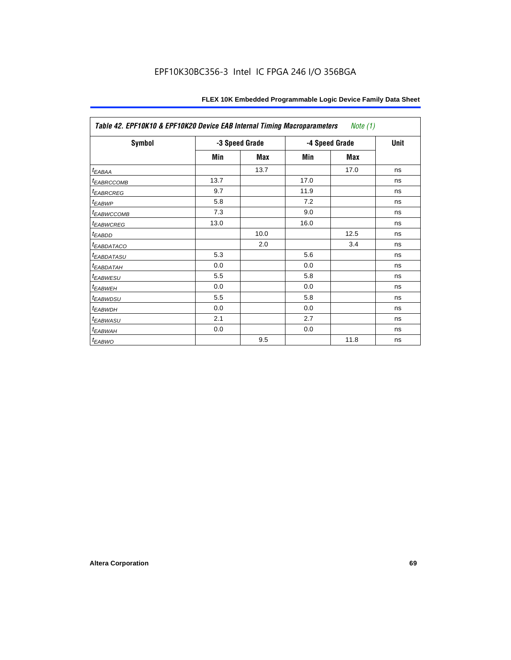| Table 42. EPF10K10 & EPF10K20 Device EAB Internal Timing Macroparameters<br>Note (1) |                |      |                |      |             |
|--------------------------------------------------------------------------------------|----------------|------|----------------|------|-------------|
| Symbol                                                                               | -3 Speed Grade |      | -4 Speed Grade |      | <b>Unit</b> |
|                                                                                      | Min            | Max  | Min            | Max  |             |
| <sup>t</sup> EABAA                                                                   |                | 13.7 |                | 17.0 | ns          |
| <sup>t</sup> EABRCCOMB                                                               | 13.7           |      | 17.0           |      | ns          |
| <b><i>EABRCREG</i></b>                                                               | 9.7            |      | 11.9           |      | ns          |
| <sup>t</sup> EABWP                                                                   | 5.8            |      | 7.2            |      | ns          |
| <sup>t</sup> EABWCCOMB                                                               | 7.3            |      | 9.0            |      | ns          |
| <sup>t</sup> EABWCREG                                                                | 13.0           |      | 16.0           |      | ns          |
| t <sub>EABDD</sub>                                                                   |                | 10.0 |                | 12.5 | ns          |
| <sup>t</sup> EABDATACO                                                               |                | 2.0  |                | 3.4  | ns          |
| <sup>t</sup> EABDATASU                                                               | 5.3            |      | 5.6            |      | ns          |
| <sup>t</sup> EABDATAH                                                                | 0.0            |      | 0.0            |      | ns          |
| <b><i>EABWESU</i></b>                                                                | 5.5            |      | 5.8            |      | ns          |
| <sup>t</sup> EABWEH                                                                  | 0.0            |      | 0.0            |      | ns          |
| <sup>t</sup> EABWDSU                                                                 | 5.5            |      | 5.8            |      | ns          |
| <sup>t</sup> EABWDH                                                                  | 0.0            |      | 0.0            |      | ns          |
| <sup>t</sup> EABWASU                                                                 | 2.1            |      | 2.7            |      | ns          |
| <sup>t</sup> EABWAH                                                                  | 0.0            |      | 0.0            |      | ns          |
| <sup>t</sup> EABWO                                                                   |                | 9.5  |                | 11.8 | ns          |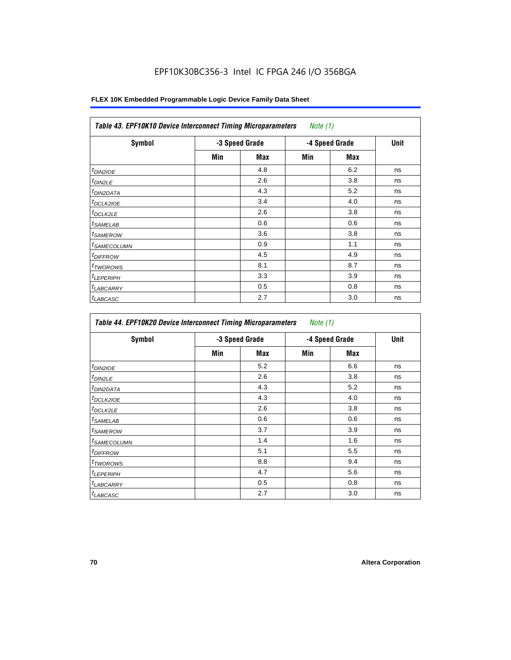| <b>Table 43. EPF10K10 Device Interconnect Timing Microparameters</b><br><i>Note</i> $(1)$ |                |     |                |            |             |  |
|-------------------------------------------------------------------------------------------|----------------|-----|----------------|------------|-------------|--|
| Symbol                                                                                    | -3 Speed Grade |     | -4 Speed Grade |            | <b>Unit</b> |  |
|                                                                                           | Min            | Max | Min            | <b>Max</b> |             |  |
| $t_{DINZIOE}$                                                                             |                | 4.8 |                | 6.2        | ns          |  |
| $t_{DIN2LE}$                                                                              |                | 2.6 |                | 3.8        | ns          |  |
| <sup>t</sup> DIN2DATA                                                                     |                | 4.3 |                | 5.2        | ns          |  |
| <sup>t</sup> DCLK2IOE                                                                     |                | 3.4 |                | 4.0        | ns          |  |
| <sup>t</sup> DCLK2LE                                                                      |                | 2.6 |                | 3.8        | ns          |  |
| <sup>t</sup> SAMELAB                                                                      |                | 0.6 |                | 0.6        | ns          |  |
| <sup>t</sup> SAMEROW                                                                      |                | 3.6 |                | 3.8        | ns          |  |
| <sup>t</sup> SAMECOLUMN                                                                   |                | 0.9 |                | 1.1        | ns          |  |
| <i><b>IDIFFROW</b></i>                                                                    |                | 4.5 |                | 4.9        | ns          |  |
| <sup>t</sup> TWOROWS                                                                      |                | 8.1 |                | 8.7        | ns          |  |
| <sup>t</sup> LEPERIPH                                                                     |                | 3.3 |                | 3.9        | ns          |  |
| <sup>t</sup> LABCARRY                                                                     |                | 0.5 |                | 0.8        | ns          |  |
| <sup>t</sup> LABCASC                                                                      |                | 2.7 |                | 3.0        | ns          |  |

| Symbol                  | -3 Speed Grade |     | -4 Speed Grade |     | Unit |
|-------------------------|----------------|-----|----------------|-----|------|
|                         | Min            | Max | Min            | Max |      |
| $t_{DIN2IOE}$           |                | 5.2 |                | 6.6 | ns   |
| <sup>t</sup> DIN2LE     |                | 2.6 |                | 3.8 | ns   |
| <sup>I</sup> DIN2DATA   |                | 4.3 |                | 5.2 | ns   |
| <sup>I</sup> DCLK2IOE   |                | 4.3 |                | 4.0 | ns   |
| t <sub>DCLK2LE</sub>    |                | 2.6 |                | 3.8 | ns   |
| <sup>I</sup> SAMELAB    |                | 0.6 |                | 0.6 | ns   |
| <sup>t</sup> SAMEROW    |                | 3.7 |                | 3.9 | ns   |
| <sup>t</sup> SAMECOLUMN |                | 1.4 |                | 1.6 | ns   |
| <sup>t</sup> DIFFROW    |                | 5.1 |                | 5.5 | ns   |
| <sup>t</sup> TWOROWS    |                | 8.8 |                | 9.4 | ns   |
| <sup>t</sup> LEPERIPH   |                | 4.7 |                | 5.6 | ns   |
| <b>LABCARRY</b>         |                | 0.5 |                | 0.8 | ns   |
| <sup>t</sup> LABCASC    |                | 2.7 |                | 3.0 | ns   |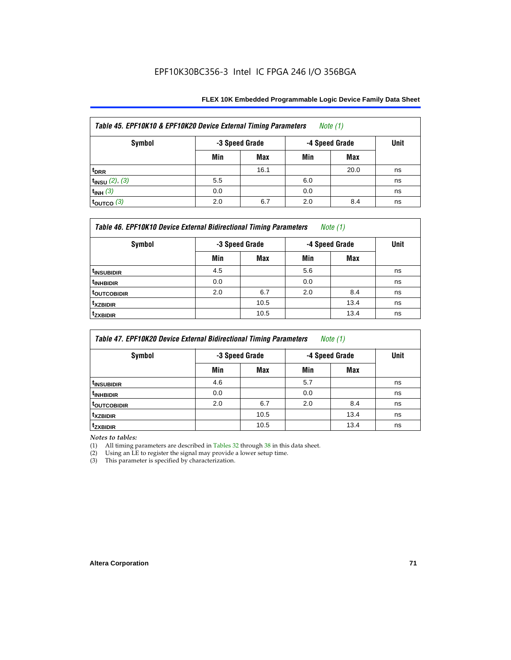| Table 45. EPF10K10 & EPF10K20 Device External Timing Parameters<br>Note $(1)$ |                                  |            |     |      |             |  |
|-------------------------------------------------------------------------------|----------------------------------|------------|-----|------|-------------|--|
| Symbol                                                                        | -3 Speed Grade<br>-4 Speed Grade |            |     |      | <b>Unit</b> |  |
|                                                                               | Min                              | <b>Max</b> | Min | Max  |             |  |
| t <sub>DRR</sub>                                                              |                                  | 16.1       |     | 20.0 | ns          |  |
| $t_{INSU}$ (2), (3)                                                           | 5.5                              |            | 6.0 |      | ns          |  |
| $t_{INH}$ (3)                                                                 | 0.0                              |            | 0.0 |      | ns          |  |
| $\vert$ toutco (3)                                                            | 2.0                              | 6.7        | 2.0 | 8.4  | ns          |  |

| Table 46. EPF10K10 Device External Bidirectional Timing Parameters<br>Note $(1)$ |                |            |                |      |             |  |
|----------------------------------------------------------------------------------|----------------|------------|----------------|------|-------------|--|
| Symbol                                                                           | -3 Speed Grade |            | -4 Speed Grade |      | <b>Unit</b> |  |
|                                                                                  | Min            | <b>Max</b> | Min            | Max  |             |  |
| <sup>t</sup> INSUBIDIR                                                           | 4.5            |            | 5.6            |      | ns          |  |
| <sup>t</sup> INHBIDIR                                                            | 0.0            |            | 0.0            |      | ns          |  |
| <sup>t</sup> OUTCOBIDIR                                                          | 2.0            | 6.7        | 2.0            | 8.4  | ns          |  |
| <b>txzbidir</b>                                                                  |                | 10.5       |                | 13.4 | ns          |  |
| <sup>t</sup> zxbidir                                                             |                | 10.5       |                | 13.4 | ns          |  |

| Table 47. EPF10K20 Device External Bidirectional Timing Parameters<br><i>Note</i> $(1)$ |                |      |                |      |             |  |  |
|-----------------------------------------------------------------------------------------|----------------|------|----------------|------|-------------|--|--|
| Symbol                                                                                  | -3 Speed Grade |      | -4 Speed Grade |      | <b>Unit</b> |  |  |
|                                                                                         | Min            | Max  | Min            | Max  |             |  |  |
| <sup>t</sup> INSUBIDIR                                                                  | 4.6            |      | 5.7            |      | ns          |  |  |
| <sup>t</sup> INHBIDIR                                                                   | 0.0            |      | 0.0            |      | ns          |  |  |
| <b>TOUTCOBIDIR</b>                                                                      | 2.0            | 6.7  | 2.0            | 8.4  | ns          |  |  |
| <sup>t</sup> xzbidir                                                                    |                | 10.5 |                | 13.4 | ns          |  |  |
| <sup>T</sup> ZXBIDIR                                                                    |                | 10.5 |                | 13.4 | ns          |  |  |

*Notes to tables:*

(1) All timing parameters are described in Tables 32 through 38 in this data sheet.

(2) Using an LE to register the signal may provide a lower setup time.

(3) This parameter is specified by characterization.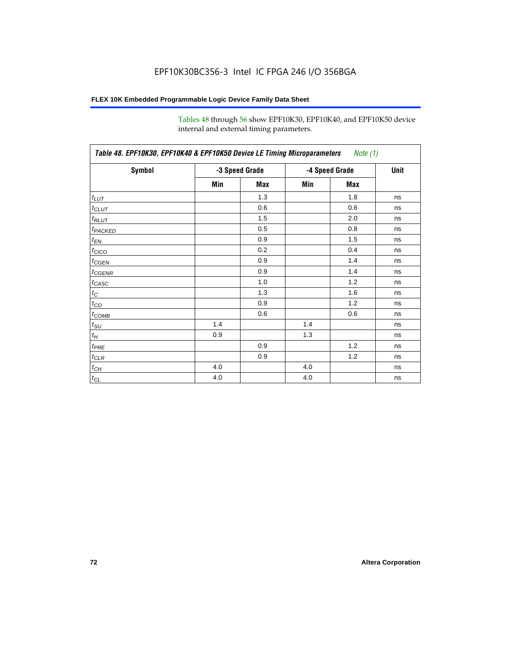Tables 48 through 56 show EPF10K30, EPF10K40, and EPF10K50 device internal and external timing parameters.

| Table 48. EPF10K30, EPF10K40 & EPF10K50 Device LE Timing Microparameters<br><i>Note</i> $(1)$ |                |     |                |      |    |  |  |  |
|-----------------------------------------------------------------------------------------------|----------------|-----|----------------|------|----|--|--|--|
| <b>Symbol</b>                                                                                 | -3 Speed Grade |     | -4 Speed Grade | Unit |    |  |  |  |
|                                                                                               | Min            | Max | Min            | Max  |    |  |  |  |
| $t_{LUT}$                                                                                     |                | 1.3 |                | 1.8  | ns |  |  |  |
| $t_{CLUT}$                                                                                    |                | 0.6 |                | 0.6  | ns |  |  |  |
| $t_{RLUT}$                                                                                    |                | 1.5 |                | 2.0  | ns |  |  |  |
| t <sub>PACKED</sub>                                                                           |                | 0.5 |                | 0.8  | ns |  |  |  |
| $t_{EN}$                                                                                      |                | 0.9 |                | 1.5  | ns |  |  |  |
| $t_{CICO}$                                                                                    |                | 0.2 |                | 0.4  | ns |  |  |  |
| $t_{\text{CGEN}}$                                                                             |                | 0.9 |                | 1.4  | ns |  |  |  |
| $t_{\sf GENR}$                                                                                |                | 0.9 |                | 1.4  | ns |  |  |  |
| $t_{CASC}$                                                                                    |                | 1.0 |                | 1.2  | ns |  |  |  |
| $t_{\rm C}$                                                                                   |                | 1.3 |                | 1.6  | ns |  |  |  |
| $t_{CO}$                                                                                      |                | 0.9 |                | 1.2  | ns |  |  |  |
| $t_{\text{COMB}}$                                                                             |                | 0.6 |                | 0.6  | ns |  |  |  |
| $t_{\sf SU}$                                                                                  | 1.4            |     | 1.4            |      | ns |  |  |  |
| $t_H$                                                                                         | 0.9            |     | 1.3            |      | ns |  |  |  |
| $t_{PRE}$                                                                                     |                | 0.9 |                | 1.2  | ns |  |  |  |
| $t_{\text{CLR}}$                                                                              |                | 0.9 |                | 1.2  | ns |  |  |  |
| $t_{CH}$                                                                                      | 4.0            |     | 4.0            |      | ns |  |  |  |
| $t_{CL}$                                                                                      | 4.0            |     | 4.0            |      | ns |  |  |  |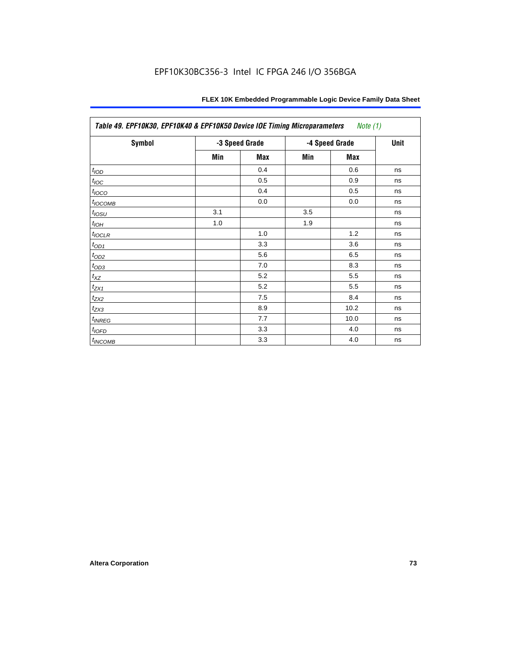| Table 49. EPF10K30, EPF10K40 & EPF10K50 Device IOE Timing Microparameters<br>Note $(1)$ |     |                |     |                |    |  |  |  |
|-----------------------------------------------------------------------------------------|-----|----------------|-----|----------------|----|--|--|--|
| Symbol                                                                                  |     | -3 Speed Grade |     | -4 Speed Grade |    |  |  |  |
|                                                                                         | Min | Max            | Min | Max            |    |  |  |  |
| t <sub>IOD</sub>                                                                        |     | 0.4            |     | 0.6            | ns |  |  |  |
| $t_{\text{IOC}}$                                                                        |     | 0.5            |     | 0.9            | ns |  |  |  |
| t <sub>IOCO</sub>                                                                       |     | 0.4            |     | 0.5            | ns |  |  |  |
| $t_{IOCOMB}$                                                                            |     | 0.0            |     | 0.0            | ns |  |  |  |
| $t_{IOSU}$                                                                              | 3.1 |                | 3.5 |                | ns |  |  |  |
| $t_{IOH}$                                                                               | 1.0 |                | 1.9 |                | ns |  |  |  |
| $t_{\text{OCLR}}$                                                                       |     | 1.0            |     | 1.2            | ns |  |  |  |
| $t_{OD1}$                                                                               |     | 3.3            |     | 3.6            | ns |  |  |  |
| $t_{OD2}$                                                                               |     | 5.6            |     | 6.5            | ns |  |  |  |
| $t_{OD3}$                                                                               |     | 7.0            |     | 8.3            | ns |  |  |  |
| $t_{\mathsf{XZ}}$                                                                       |     | 5.2            |     | 5.5            | ns |  |  |  |
| $t_{ZX1}$                                                                               |     | 5.2            |     | 5.5            | ns |  |  |  |
| $t_{ZX2}$                                                                               |     | 7.5            |     | 8.4            | ns |  |  |  |
| $t_{ZX3}$                                                                               |     | 8.9            |     | 10.2           | ns |  |  |  |
| $t_{INREG}$                                                                             |     | 7.7            |     | 10.0           | ns |  |  |  |
| $t_{IOFD}$                                                                              |     | 3.3            |     | 4.0            | ns |  |  |  |
| $t_{INCOMB}$                                                                            |     | 3.3            |     | 4.0            | ns |  |  |  |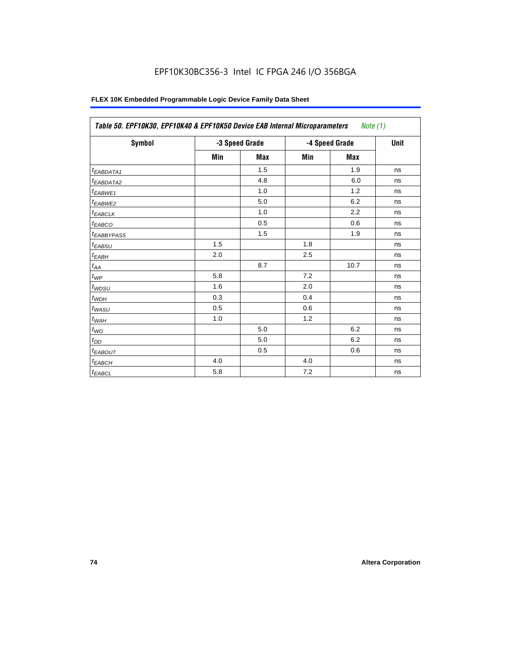| Symbol                         |     | -3 Speed Grade |     | -4 Speed Grade | <b>Unit</b> |
|--------------------------------|-----|----------------|-----|----------------|-------------|
|                                | Min | <b>Max</b>     | Min | Max            |             |
| <sup>t</sup> EABDATA1          |     | 1.5            |     | 1.9            | ns          |
| t <sub>EABDATA2</sub>          |     | 4.8            |     | 6.0            | ns          |
| t <sub>EABWE1</sub>            |     | 1.0            |     | 1.2            | ns          |
| t <sub>EABWE2</sub>            |     | 5.0            |     | 6.2            | ns          |
| $t_{EABCLK}$                   |     | 1.0            |     | 2.2            | ns          |
| $t_{EABCO}$                    |     | 0.5            |     | 0.6            | ns          |
| <i><b><i>EABBYPASS</i></b></i> |     | 1.5            |     | 1.9            | ns          |
| $t_{EABSU}$                    | 1.5 |                | 1.8 |                | ns          |
| $t_{EABH}$                     | 2.0 |                | 2.5 |                | ns          |
| $t_{AA}$                       |     | 8.7            |     | 10.7           | ns          |
| $t_{WP}$                       | 5.8 |                | 7.2 |                | ns          |
| $t_{WDSU}$                     | 1.6 |                | 2.0 |                | ns          |
| $t_{WDH}$                      | 0.3 |                | 0.4 |                | ns          |
| $t_{WASU}$                     | 0.5 |                | 0.6 |                | ns          |
| $t_{WAH}$                      | 1.0 |                | 1.2 |                | ns          |
| $t_{WO}$                       |     | 5.0            |     | 6.2            | ns          |
| $t_{DD}$                       |     | 5.0            |     | 6.2            | ns          |
| <sup>t</sup> EABOUT            |     | 0.5            |     | 0.6            | ns          |
| <sup>t</sup> ЕАВСН             | 4.0 |                | 4.0 |                | ns          |
| $t_{EABCL}$                    | 5.8 |                | 7.2 |                | ns          |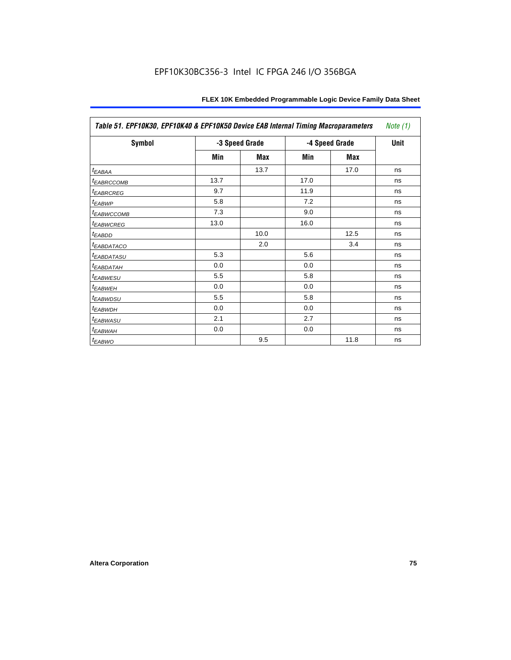| Table 51. EPF10K30, EPF10K40 & EPF10K50 Device EAB Internal Timing Macroparameters |      |                |      |                |             |  |
|------------------------------------------------------------------------------------|------|----------------|------|----------------|-------------|--|
| Symbol                                                                             |      | -3 Speed Grade |      | -4 Speed Grade | <b>Unit</b> |  |
|                                                                                    | Min  | Max            | Min  | Max            |             |  |
| $t_{EABA}$                                                                         |      | 13.7           |      | 17.0           | ns          |  |
| <b><i>EABRCCOMB</i></b>                                                            | 13.7 |                | 17.0 |                | ns          |  |
| <b><i>EABRCREG</i></b>                                                             | 9.7  |                | 11.9 |                | ns          |  |
| t <sub>EABWP</sub>                                                                 | 5.8  |                | 7.2  |                | ns          |  |
| <b><i>EABWCCOMB</i></b>                                                            | 7.3  |                | 9.0  |                | ns          |  |
| <b><i>EABWCREG</i></b>                                                             | 13.0 |                | 16.0 |                | ns          |  |
| <sup>t</sup> EABDD                                                                 |      | 10.0           |      | 12.5           | ns          |  |
| <b><i>EABDATACO</i></b>                                                            |      | 2.0            |      | 3.4            | ns          |  |
| <sup>t</sup> EABDATASU                                                             | 5.3  |                | 5.6  |                | ns          |  |
| <sup>T</sup> EABDATAH                                                              | 0.0  |                | 0.0  |                | ns          |  |
| <b><i>EABWESU</i></b>                                                              | 5.5  |                | 5.8  |                | ns          |  |
| <sup>t</sup> EABWEH                                                                | 0.0  |                | 0.0  |                | ns          |  |
| <sup>t</sup> EABWDSU                                                               | 5.5  |                | 5.8  |                | ns          |  |
| <sup>t</sup> EABWDH                                                                | 0.0  |                | 0.0  |                | ns          |  |
| <sup>t</sup> EABWASU                                                               | 2.1  |                | 2.7  |                | ns          |  |
| <sup>t</sup> EABWAH                                                                | 0.0  |                | 0.0  |                | ns          |  |
| $t_{EABWO}$                                                                        |      | 9.5            |      | 11.8           | ns          |  |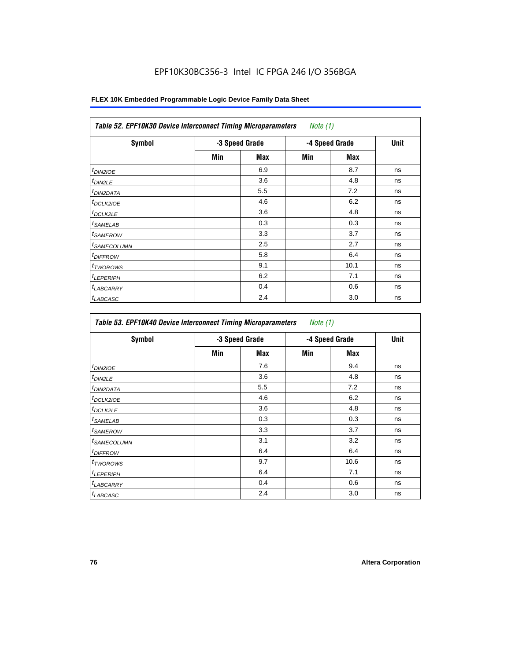## **FLEX 10K Embedded Programmable Logic Device Family Data Sheet**

| <b>Symbol</b>              |     | -3 Speed Grade |     | -4 Speed Grade | <b>Unit</b> |
|----------------------------|-----|----------------|-----|----------------|-------------|
|                            | Min | Max            | Min | <b>Max</b>     |             |
| t <sub>DIN2IOE</sub>       |     | 6.9            |     | 8.7            | ns          |
| $t_{DIN2LE}$               |     | 3.6            |     | 4.8            | ns          |
| <sup>t</sup> DIN2DATA      |     | 5.5            |     | 7.2            | ns          |
| <sup>t</sup> DCLK2IOE      |     | 4.6            |     | 6.2            | ns          |
| ${}^t$ DCLK2LE             |     | 3.6            |     | 4.8            | ns          |
| <sup>t</sup> SAMELAB       |     | 0.3            |     | 0.3            | ns          |
| <sup>t</sup> SAMEROW       |     | 3.3            |     | 3.7            | ns          |
| <sup>t</sup> SAMECOLUMN    |     | 2.5            |     | 2.7            | ns          |
| <i>t<sub>DIFFROW</sub></i> |     | 5.8            |     | 6.4            | ns          |
| <sup>t</sup> TWOROWS       |     | 9.1            |     | 10.1           | ns          |
| <sup>t</sup> LEPERIPH      |     | 6.2            |     | 7.1            | ns          |
| <sup>I</sup> LABCARRY      |     | 0.4            |     | 0.6            | ns          |
| <sup>t</sup> LABCASC       |     | 2.4            |     | 3.0            | ns          |

| <b>Symbol</b>           |     | -3 Speed Grade |     | -4 Speed Grade | Unit |
|-------------------------|-----|----------------|-----|----------------|------|
|                         | Min | Max            | Min | Max            |      |
| $t_{DINZIOE}$           |     | 7.6            |     | 9.4            | ns   |
| <sup>t</sup> DIN2LE     |     | 3.6            |     | 4.8            | ns   |
| <sup>t</sup> DIN2DATA   |     | 5.5            |     | 7.2            | ns   |
| <sup>t</sup> DCLK2IOE   |     | 4.6            |     | 6.2            | ns   |
| t <sub>DCLK2LE</sub>    |     | 3.6            |     | 4.8            | ns   |
| <sup>t</sup> SAMELAB    |     | 0.3            |     | 0.3            | ns   |
| <sup>t</sup> SAMEROW    |     | 3.3            |     | 3.7            | ns   |
| <sup>I</sup> SAMECOLUMN |     | 3.1            |     | 3.2            | ns   |
| <sup>t</sup> DIFFROW    |     | 6.4            |     | 6.4            | ns   |
| <sup>t</sup> TWOROWS    |     | 9.7            |     | 10.6           | ns   |
| <sup>t</sup> LEPERIPH   |     | 6.4            |     | 7.1            | ns   |
| <b>LABCARRY</b>         |     | 0.4            |     | 0.6            | ns   |
| <sup>t</sup> LABCASC    |     | 2.4            |     | 3.0            | ns   |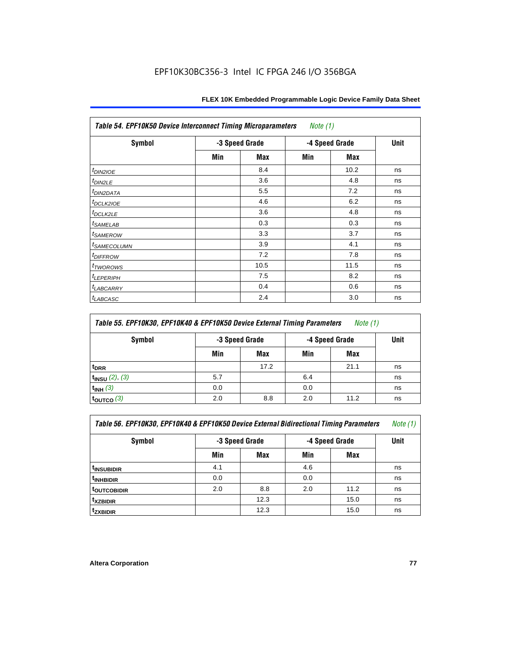| <b>Table 54. EPF10K50 Device Interconnect Timing Microparameters</b><br>Note $(1)$ |                |      |     |                |             |  |  |  |  |
|------------------------------------------------------------------------------------|----------------|------|-----|----------------|-------------|--|--|--|--|
| <b>Symbol</b>                                                                      | -3 Speed Grade |      |     | -4 Speed Grade | <b>Unit</b> |  |  |  |  |
|                                                                                    | Min            | Max  | Min | <b>Max</b>     |             |  |  |  |  |
| $t_{DIN2IOE}$                                                                      |                | 8.4  |     | 10.2           | ns          |  |  |  |  |
| $t_{DIN2LE}$                                                                       |                | 3.6  |     | 4.8            | ns          |  |  |  |  |
| <sup>t</sup> DIN2DATA                                                              |                | 5.5  |     | 7.2            | ns          |  |  |  |  |
| t <sub>DCLK2IOE</sub>                                                              |                | 4.6  |     | 6.2            | ns          |  |  |  |  |
| t <sub>DCLK2LE</sub>                                                               |                | 3.6  |     | 4.8            | ns          |  |  |  |  |
| <i>t<sub>SAMELAB</sub></i>                                                         |                | 0.3  |     | 0.3            | ns          |  |  |  |  |
| <i>t</i> SAMEROW                                                                   |                | 3.3  |     | 3.7            | ns          |  |  |  |  |
| <i>t<sub>SAMECOLUMN</sub></i>                                                      |                | 3.9  |     | 4.1            | ns          |  |  |  |  |
| <i>t<sub>DIFFROW</sub></i>                                                         |                | 7.2  |     | 7.8            | ns          |  |  |  |  |
| t <sub>TWOROWS</sub>                                                               |                | 10.5 |     | 11.5           | ns          |  |  |  |  |
| $t_{LEPERIPH}$                                                                     |                | 7.5  |     | 8.2            | ns          |  |  |  |  |
| $t_{LABCARRY}$                                                                     |                | 0.4  |     | 0.6            | ns          |  |  |  |  |
| $t_{LABCASC}$                                                                      |                | 2.4  |     | 3.0            | ns          |  |  |  |  |

| Table 55. EPF10K30, EPF10K40 & EPF10K50 Device External Timing Parameters<br>Note $(1)$ |     |                |     |                |    |  |  |  |
|-----------------------------------------------------------------------------------------|-----|----------------|-----|----------------|----|--|--|--|
| Symbol                                                                                  |     | -3 Speed Grade |     | -4 Speed Grade |    |  |  |  |
|                                                                                         | Min | Max            | Min | Max            |    |  |  |  |
| <sup>t</sup> DRR                                                                        |     | 17.2           |     | 21.1           | ns |  |  |  |
| $t_{INSU}$ (2), (3)                                                                     | 5.7 |                | 6.4 |                | ns |  |  |  |
| $t_{INH}$ (3)                                                                           | 0.0 |                | 0.0 |                | ns |  |  |  |
| $t_{\text{OUTCO}}(3)$                                                                   | 2.0 | 8.8            | 2.0 | 11.2           | ns |  |  |  |

| Table 56. EPF10K30, EPF10K40 & EPF10K50 Device External Bidirectional Timing Parameters<br>Note $(1)$ |                                  |      |     |      |             |  |  |  |  |
|-------------------------------------------------------------------------------------------------------|----------------------------------|------|-----|------|-------------|--|--|--|--|
| Symbol                                                                                                | -4 Speed Grade<br>-3 Speed Grade |      |     |      | <b>Unit</b> |  |  |  |  |
|                                                                                                       | Min                              | Max  | Min | Max  |             |  |  |  |  |
| <sup>t</sup> INSUBIDIR                                                                                | 4.1                              |      | 4.6 |      | ns          |  |  |  |  |
| <sup>t</sup> INHBIDIR                                                                                 | 0.0                              |      | 0.0 |      | ns          |  |  |  |  |
| t <sub>outcobidir</sub>                                                                               | 2.0                              | 8.8  | 2.0 | 11.2 | ns          |  |  |  |  |
| <sup>t</sup> xzbidir                                                                                  |                                  | 12.3 |     | 15.0 | ns          |  |  |  |  |
| <sup>t</sup> zxbidir                                                                                  |                                  | 12.3 |     | 15.0 | ns          |  |  |  |  |

r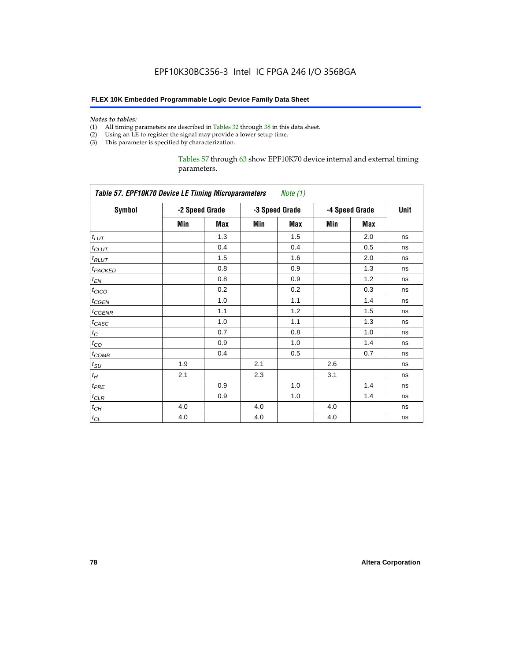#### **FLEX 10K Embedded Programmable Logic Device Family Data Sheet**

#### *Notes to tables:*

- (1) All timing parameters are described in Tables 32 through 38 in this data sheet.
- (2) Using an LE to register the signal may provide a lower setup time.
- (3) This parameter is specified by characterization.

Tables 57 through 63 show EPF10K70 device internal and external timing parameters.

| <b>Table 57. EPF10K70 Device LE Timing Microparameters</b><br>Note (1) |     |                |     |                |     |                |    |  |
|------------------------------------------------------------------------|-----|----------------|-----|----------------|-----|----------------|----|--|
| <b>Symbol</b>                                                          |     | -2 Speed Grade |     | -3 Speed Grade |     | -4 Speed Grade |    |  |
|                                                                        | Min | Max            | Min | Max            | Min | <b>Max</b>     |    |  |
| $t_{LUT}$                                                              |     | 1.3            |     | 1.5            |     | 2.0            | ns |  |
| $t_{CLUT}$                                                             |     | 0.4            |     | 0.4            |     | 0.5            | ns |  |
| $t_{RLUT}$                                                             |     | 1.5            |     | 1.6            |     | 2.0            | ns |  |
| <b>t</b> PACKED                                                        |     | 0.8            |     | 0.9            |     | 1.3            | ns |  |
| $t_{EN}$                                                               |     | 0.8            |     | 0.9            |     | 1.2            | ns |  |
| $t_{CICO}$                                                             |     | 0.2            |     | 0.2            |     | 0.3            | ns |  |
| $t_{GEN}$                                                              |     | 1.0            |     | 1.1            |     | 1.4            | ns |  |
| t <sub>CGENR</sub>                                                     |     | 1.1            |     | 1.2            |     | 1.5            | ns |  |
| $t_{CASC}$                                                             |     | 1.0            |     | 1.1            |     | 1.3            | ns |  |
| $t_C$                                                                  |     | 0.7            |     | 0.8            |     | 1.0            | ns |  |
| $t_{CO}$                                                               |     | 0.9            |     | 1.0            |     | 1.4            | ns |  |
| $t_{COMB}$                                                             |     | 0.4            |     | 0.5            |     | 0.7            | ns |  |
| $t_{\text{SU}}$                                                        | 1.9 |                | 2.1 |                | 2.6 |                | ns |  |
| $t_H$                                                                  | 2.1 |                | 2.3 |                | 3.1 |                | ns |  |
| $t_{PRE}$                                                              |     | 0.9            |     | 1.0            |     | 1.4            | ns |  |
| $t_{\text{CLR}}$                                                       |     | 0.9            |     | 1.0            |     | 1.4            | ns |  |
| $t_{CH}$                                                               | 4.0 |                | 4.0 |                | 4.0 |                | ns |  |
| $t_{CL}$                                                               | 4.0 |                | 4.0 |                | 4.0 |                | ns |  |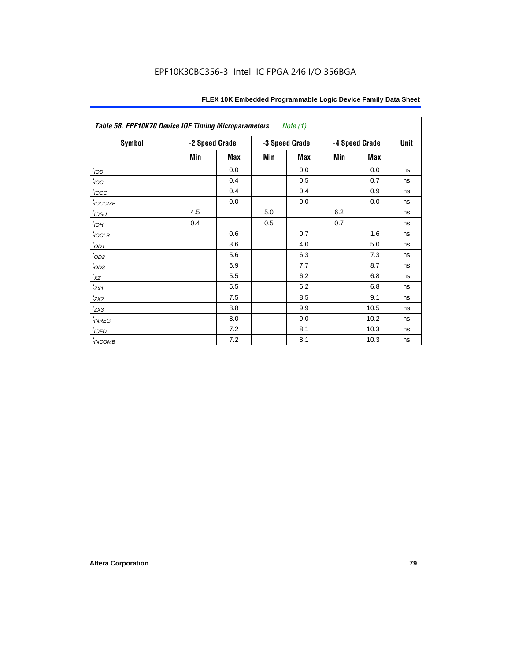| Table 58. EPF10K70 Device IOE Timing Microparameters<br>Note (1) |                |     |                |     |                |      |      |  |  |
|------------------------------------------------------------------|----------------|-----|----------------|-----|----------------|------|------|--|--|
| Symbol                                                           | -2 Speed Grade |     | -3 Speed Grade |     | -4 Speed Grade |      | Unit |  |  |
|                                                                  | Min            | Max | Min            | Max | Min            | Max  |      |  |  |
| t <sub>IOD</sub>                                                 |                | 0.0 |                | 0.0 |                | 0.0  | ns   |  |  |
| $t_{\text{IOC}}$                                                 |                | 0.4 |                | 0.5 |                | 0.7  | ns   |  |  |
| $t_{IOCO}$                                                       |                | 0.4 |                | 0.4 |                | 0.9  | ns   |  |  |
| $t_{IOCOMB}$                                                     |                | 0.0 |                | 0.0 |                | 0.0  | ns   |  |  |
| $t_{IOSU}$                                                       | 4.5            |     | 5.0            |     | 6.2            |      | ns   |  |  |
| $t_{IOH}$                                                        | 0.4            |     | 0.5            |     | 0.7            |      | ns   |  |  |
| $t_{IOCLR}$                                                      |                | 0.6 |                | 0.7 |                | 1.6  | ns   |  |  |
| $t_{OD1}$                                                        |                | 3.6 |                | 4.0 |                | 5.0  | ns   |  |  |
| $t_{OD2}$                                                        |                | 5.6 |                | 6.3 |                | 7.3  | ns   |  |  |
| $t_{\rm OD3}$                                                    |                | 6.9 |                | 7.7 |                | 8.7  | ns   |  |  |
| $t_{XZ}$                                                         |                | 5.5 |                | 6.2 |                | 6.8  | ns   |  |  |
| $t_{ZX1}$                                                        |                | 5.5 |                | 6.2 |                | 6.8  | ns   |  |  |
| $t_{ZX2}$                                                        |                | 7.5 |                | 8.5 |                | 9.1  | ns   |  |  |
| $t_{ZX3}$                                                        |                | 8.8 |                | 9.9 |                | 10.5 | ns   |  |  |
| $t_{INREG}$                                                      |                | 8.0 |                | 9.0 |                | 10.2 | ns   |  |  |
| $t_{IOFD}$                                                       |                | 7.2 |                | 8.1 |                | 10.3 | ns   |  |  |
| $t_{INCOMB}$                                                     |                | 7.2 |                | 8.1 |                | 10.3 | ns   |  |  |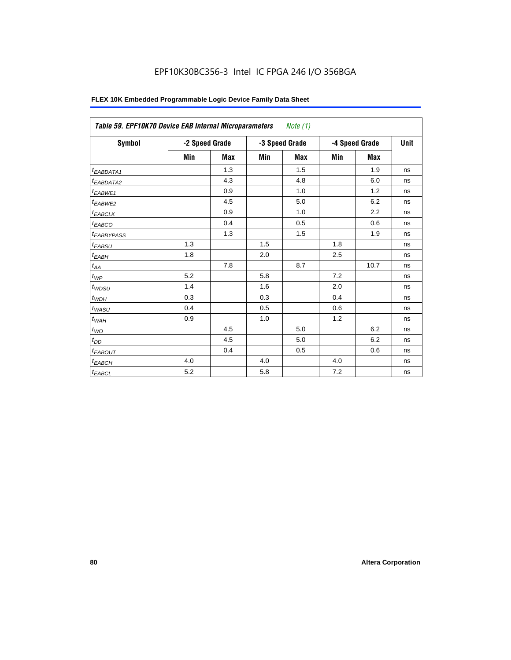| Table 59. EPF10K70 Device EAB Internal Microparameters |                |     |                | <i>Note</i> $(1)$ |                |             |    |
|--------------------------------------------------------|----------------|-----|----------------|-------------------|----------------|-------------|----|
| Symbol                                                 | -2 Speed Grade |     | -3 Speed Grade |                   | -4 Speed Grade | <b>Unit</b> |    |
|                                                        | Min            | Max | Min            | <b>Max</b>        | Min            | <b>Max</b>  |    |
| <sup>t</sup> EABDATA1                                  |                | 1.3 |                | 1.5               |                | 1.9         | ns |
| <sup>t</sup> EABDATA2                                  |                | 4.3 |                | 4.8               |                | 6.0         | ns |
| t <sub>EABWE1</sub>                                    |                | 0.9 |                | 1.0               |                | 1.2         | ns |
| t <sub>EABWE2</sub>                                    |                | 4.5 |                | 5.0               |                | 6.2         | ns |
| <sup>t</sup> EABCLK                                    |                | 0.9 |                | 1.0               |                | 2.2         | ns |
| <sup>t</sup> EABCO                                     |                | 0.4 |                | 0.5               |                | 0.6         | ns |
| <sup>t</sup> EABBYPASS                                 |                | 1.3 |                | 1.5               |                | 1.9         | ns |
| t <sub>EABSU</sub>                                     | 1.3            |     | 1.5            |                   | 1.8            |             | ns |
| t <sub>EABH</sub>                                      | 1.8            |     | 2.0            |                   | 2.5            |             | ns |
| $t_{AA}$                                               |                | 7.8 |                | 8.7               |                | 10.7        | ns |
| $t_{\mathit{WP}}$                                      | 5.2            |     | 5.8            |                   | 7.2            |             | ns |
| $t_{WDSU}$                                             | 1.4            |     | 1.6            |                   | 2.0            |             | ns |
| $t_{WDH}$                                              | 0.3            |     | 0.3            |                   | 0.4            |             | ns |
| $t_{WASU}$                                             | 0.4            |     | 0.5            |                   | 0.6            |             | ns |
| $t_{W\!\!AH}$                                          | 0.9            |     | 1.0            |                   | 1.2            |             | ns |
| $t_{WO}$                                               |                | 4.5 |                | 5.0               |                | 6.2         | ns |
| $t_{DD}$                                               |                | 4.5 |                | 5.0               |                | 6.2         | ns |
| <sup>t</sup> EABOUT                                    |                | 0.4 |                | 0.5               |                | 0.6         | ns |
| $t_{EABCH}$                                            | 4.0            |     | 4.0            |                   | 4.0            |             | ns |
| $t_{EABCL}$                                            | 5.2            |     | 5.8            |                   | 7.2            |             | ns |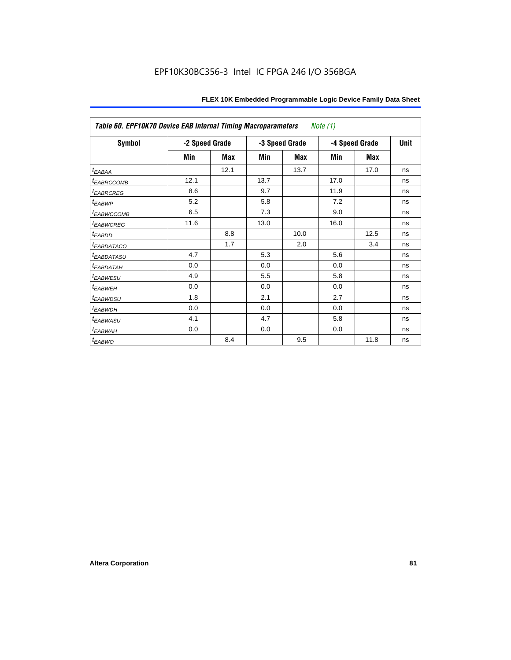| Table 60. EPF10K70 Device EAB Internal Timing Macroparameters<br><i>Note</i> $(1)$ |      |                |      |                |      |                |    |  |
|------------------------------------------------------------------------------------|------|----------------|------|----------------|------|----------------|----|--|
| Symbol                                                                             |      | -2 Speed Grade |      | -3 Speed Grade |      | -4 Speed Grade |    |  |
|                                                                                    | Min  | Max            | Min  | Max            | Min  | Max            |    |  |
| t <sub>EABAA</sub>                                                                 |      | 12.1           |      | 13.7           |      | 17.0           | ns |  |
| <sup>t</sup> EABRCCOMB                                                             | 12.1 |                | 13.7 |                | 17.0 |                | ns |  |
| <sup>t</sup> EABRCREG                                                              | 8.6  |                | 9.7  |                | 11.9 |                | ns |  |
| <sup>t</sup> EABWP                                                                 | 5.2  |                | 5.8  |                | 7.2  |                | ns |  |
| <sup>t</sup> EABWCCOMB                                                             | 6.5  |                | 7.3  |                | 9.0  |                | ns |  |
| <sup>t</sup> EABWCREG                                                              | 11.6 |                | 13.0 |                | 16.0 |                | ns |  |
| t <sub>EABDD</sub>                                                                 |      | 8.8            |      | 10.0           |      | 12.5           | ns |  |
| <b><i>EABDATACO</i></b>                                                            |      | 1.7            |      | 2.0            |      | 3.4            | ns |  |
| <sup>t</sup> EABDATASU                                                             | 4.7  |                | 5.3  |                | 5.6  |                | ns |  |
| <sup>t</sup> EABDATAH                                                              | 0.0  |                | 0.0  |                | 0.0  |                | ns |  |
| <sup>t</sup> EABWESU                                                               | 4.9  |                | 5.5  |                | 5.8  |                | ns |  |
| <sup>t</sup> EABWEH                                                                | 0.0  |                | 0.0  |                | 0.0  |                | ns |  |
| <sup>t</sup> EABWDSU                                                               | 1.8  |                | 2.1  |                | 2.7  |                | ns |  |
| <sup>t</sup> EABWDH                                                                | 0.0  |                | 0.0  |                | 0.0  |                | ns |  |
| <sup>t</sup> EABWASU                                                               | 4.1  |                | 4.7  |                | 5.8  |                | ns |  |
| <sup>t</sup> EABWAH                                                                | 0.0  |                | 0.0  |                | 0.0  |                | ns |  |
| <sup>t</sup> EABWO                                                                 |      | 8.4            |      | 9.5            |      | 11.8           | ns |  |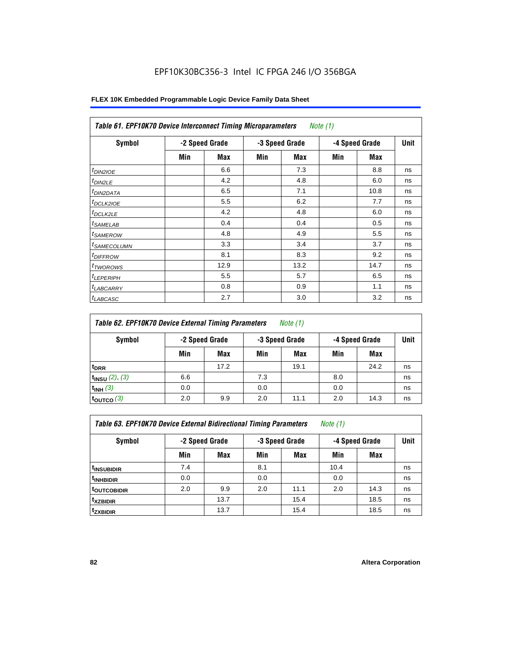| <b>Symbol</b>           | -2 Speed Grade |            |     | -3 Speed Grade | -4 Speed Grade | Unit       |    |
|-------------------------|----------------|------------|-----|----------------|----------------|------------|----|
|                         | Min            | <b>Max</b> | Min | Max            | Min            | <b>Max</b> |    |
| $t_{DINZIOE}$           |                | 6.6        |     | 7.3            |                | 8.8        | ns |
| <sup>t</sup> DIN2LE     |                | 4.2        |     | 4.8            |                | 6.0        | ns |
| <sup>t</sup> DIN2DATA   |                | 6.5        |     | 7.1            |                | 10.8       | ns |
| <sup>t</sup> DCLK2IOE   |                | 5.5        |     | 6.2            |                | 7.7        | ns |
| <sup>t</sup> DCLK2LE    |                | 4.2        |     | 4.8            |                | 6.0        | ns |
| <sup>t</sup> SAMELAB    |                | 0.4        |     | 0.4            |                | 0.5        | ns |
| <sup>t</sup> SAMEROW    |                | 4.8        |     | 4.9            |                | 5.5        | ns |
| <sup>t</sup> SAMECOLUMN |                | 3.3        |     | 3.4            |                | 3.7        | ns |
| <sup>t</sup> DIFFROW    |                | 8.1        |     | 8.3            |                | 9.2        | ns |
| <sup>T</sup> TWOROWS    |                | 12.9       |     | 13.2           |                | 14.7       | ns |
| <sup>t</sup> LEPERIPH   |                | 5.5        |     | 5.7            |                | 6.5        | ns |
| <sup>t</sup> LABCARRY   |                | 0.8        |     | 0.9            |                | 1.1        | ns |
| <sup>t</sup> LABCASC    |                | 2.7        |     | 3.0            |                | 3.2        | ns |

| Table 62. EPF10K70 Device External Timing Parameters<br>Note $(1)$ |                |      |     |                |     |                |    |  |  |
|--------------------------------------------------------------------|----------------|------|-----|----------------|-----|----------------|----|--|--|
| Symbol                                                             | -2 Speed Grade |      |     | -3 Speed Grade |     | -4 Speed Grade |    |  |  |
|                                                                    | Min            | Max  | Min | Max            | Min | Max            |    |  |  |
| <sup>t</sup> DRR                                                   |                | 17.2 |     | 19.1           |     | 24.2           | ns |  |  |
| $t_{INSU}$ (2), (3)                                                | 6.6            |      | 7.3 |                | 8.0 |                | ns |  |  |
| $t_{INH}$ (3)                                                      | 0.0            |      | 0.0 |                | 0.0 |                | ns |  |  |
| $t_{\rm OUTCO}$ (3)                                                | 2.0            | 9.9  | 2.0 | 11.1           | 2.0 | 14.3           | ns |  |  |

*Table 63. EPF10K70 Device External Bidirectional Timing Parameters Note (1)*

| <b>Symbol</b>           |     | -2 Speed Grade |     | -3 Speed Grade | -4 Speed Grade | <b>Unit</b> |    |
|-------------------------|-----|----------------|-----|----------------|----------------|-------------|----|
|                         | Min | <b>Max</b>     | Min | <b>Max</b>     | Min            | <b>Max</b>  |    |
| <sup>t</sup> INSUBIDIR  | 7.4 |                | 8.1 |                | 10.4           |             | ns |
| <sup>t</sup> INHBIDIR   | 0.0 |                | 0.0 |                | 0.0            |             | ns |
| <sup>t</sup> OUTCOBIDIR | 2.0 | 9.9            | 2.0 | 11.1           | 2.0            | 14.3        | ns |
| <sup>t</sup> xzbidir    |     | 13.7           |     | 15.4           |                | 18.5        | ns |
| <sup>t</sup> zxbidir    |     | 13.7           |     | 15.4           |                | 18.5        | ns |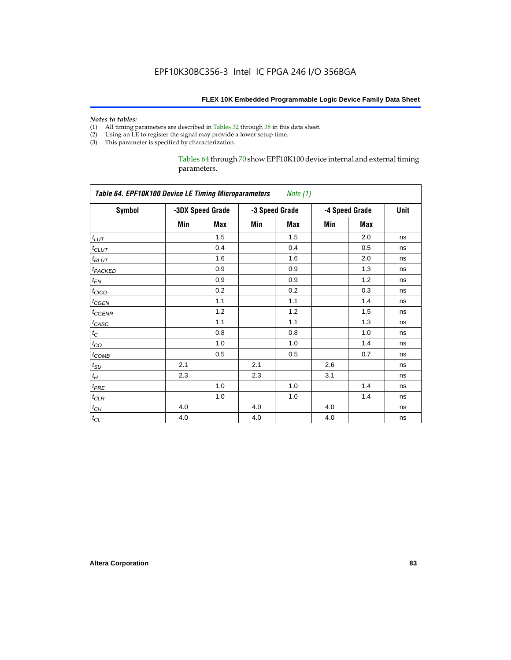# *Notes to tables:*<br>(1) All timing p

- All timing parameters are described in Tables 32 through 38 in this data sheet.
- (2) Using an LE to register the signal may provide a lower setup time.
- (3) This parameter is specified by characterization.

Tables 64 through 70 show EPF10K100 device internal and external timing parameters.

| <b>Symbol</b>       |     | -3DX Speed Grade | -3 Speed Grade |     | -4 Speed Grade | Unit       |    |
|---------------------|-----|------------------|----------------|-----|----------------|------------|----|
|                     | Min | Max              | Min            | Max | Min            | <b>Max</b> |    |
| $t_{LUT}$           |     | 1.5              |                | 1.5 |                | 2.0        | ns |
| $t_{CLUT}$          |     | 0.4              |                | 0.4 |                | 0.5        | ns |
| $t_{RLUT}$          |     | 1.6              |                | 1.6 |                | 2.0        | ns |
| t <sub>PACKED</sub> |     | 0.9              |                | 0.9 |                | 1.3        | ns |
| $t_{EN}$            |     | 0.9              |                | 0.9 |                | 1.2        | ns |
| $t_{CICO}$          |     | 0.2              |                | 0.2 |                | 0.3        | ns |
| $t_{GEN}$           |     | 1.1              |                | 1.1 |                | 1.4        | ns |
| $t_{GENR}$          |     | 1.2              |                | 1.2 |                | 1.5        | ns |
| $t_{CASC}$          |     | 1.1              |                | 1.1 |                | 1.3        | ns |
| $t_C$               |     | 0.8              |                | 0.8 |                | 1.0        | ns |
| $t_{CO}$            |     | 1.0              |                | 1.0 |                | 1.4        | ns |
| $t_{COMB}$          |     | 0.5              |                | 0.5 |                | 0.7        | ns |
| $t_{\rm SU}$        | 2.1 |                  | 2.1            |     | 2.6            |            | ns |
| $t_H$               | 2.3 |                  | 2.3            |     | 3.1            |            | ns |
| $t_{PRE}$           |     | 1.0              |                | 1.0 |                | 1.4        | ns |
| $t_{CLR}$           |     | 1.0              |                | 1.0 |                | 1.4        | ns |
| $t_{CH}$            | 4.0 |                  | 4.0            |     | 4.0            |            | ns |
| $t_{CL}$            | 4.0 |                  | 4.0            |     | 4.0            |            | ns |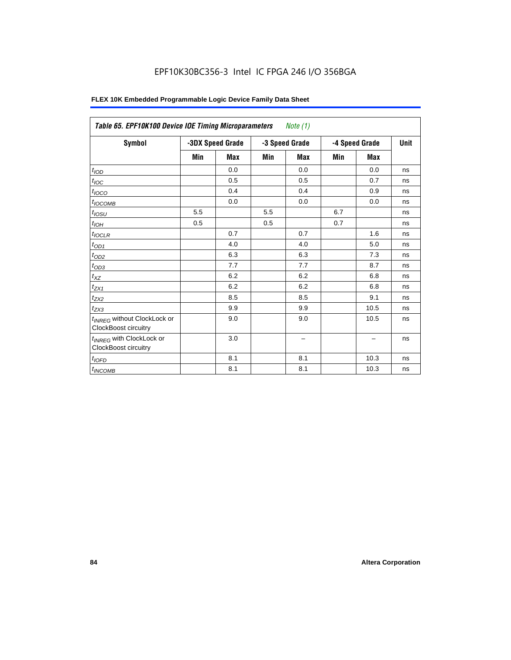| FLEX 10K Embedded Programmable Logic Device Family Data Sheet |  |
|---------------------------------------------------------------|--|
|---------------------------------------------------------------|--|

| Table 65. EPF10K100 Device IOE Timing Microparameters<br>Note $(1)$    |                  |     |                |     |                |            |             |
|------------------------------------------------------------------------|------------------|-----|----------------|-----|----------------|------------|-------------|
| <b>Symbol</b>                                                          | -3DX Speed Grade |     | -3 Speed Grade |     | -4 Speed Grade |            | <b>Unit</b> |
|                                                                        | <b>Min</b>       | Max | Min            | Max | Min            | <b>Max</b> |             |
| t <sub>IOD</sub>                                                       |                  | 0.0 |                | 0.0 |                | 0.0        | ns          |
| $t_{\text{IOC}}$                                                       |                  | 0.5 |                | 0.5 |                | 0.7        | ns          |
| $t_{IOCO}$                                                             |                  | 0.4 |                | 0.4 |                | 0.9        | ns          |
| $t_{IOCOMB}$                                                           |                  | 0.0 |                | 0.0 |                | 0.0        | ns          |
| $t_{\underline{OSU}}$                                                  | 5.5              |     | 5.5            |     | 6.7            |            | ns          |
| $t_{IOH}$                                                              | 0.5              |     | 0.5            |     | 0.7            |            | ns          |
| $t_{IOCLR}$                                                            |                  | 0.7 |                | 0.7 |                | 1.6        | ns          |
| $t_{OD1}$                                                              |                  | 4.0 |                | 4.0 |                | 5.0        | ns          |
| $t_{OD2}$                                                              |                  | 6.3 |                | 6.3 |                | 7.3        | ns          |
| $t_{0D3}$                                                              |                  | 7.7 |                | 7.7 |                | 8.7        | ns          |
| $t_{XZ}$                                                               |                  | 6.2 |                | 6.2 |                | 6.8        | ns          |
| $t_{ZX1}$                                                              |                  | 6.2 |                | 6.2 |                | 6.8        | ns          |
| t <sub>ZX2</sub>                                                       |                  | 8.5 |                | 8.5 |                | 9.1        | ns          |
| $t_{ZX3}$                                                              |                  | 9.9 |                | 9.9 |                | 10.5       | ns          |
| t <sub>INREG</sub> without ClockLock or<br><b>ClockBoost circuitry</b> |                  | 9.0 |                | 9.0 |                | 10.5       | ns          |
| t <sub>INREG</sub> with ClockLock or<br>ClockBoost circuitry           |                  | 3.0 |                | -   |                |            | ns          |
| $t_{IOFD}$                                                             |                  | 8.1 |                | 8.1 |                | 10.3       | ns          |
| t <sub>INCOMB</sub>                                                    |                  | 8.1 |                | 8.1 |                | 10.3       | ns          |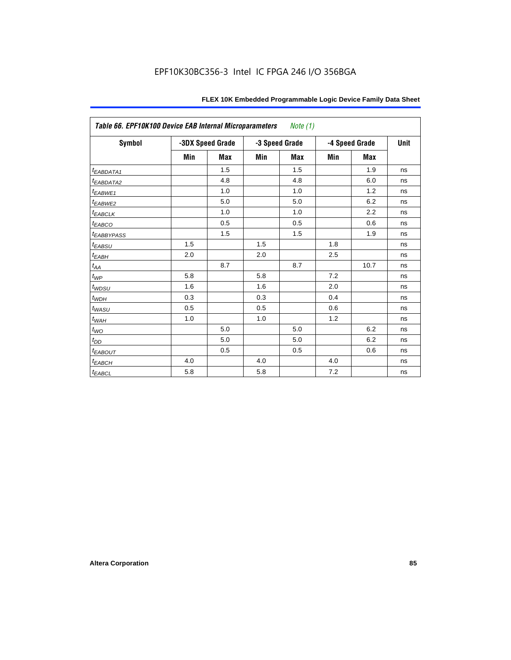| Table 66. EPF10K100 Device EAB Internal Microparameters<br>Note (1) |     |                  |     |                |     |                |    |  |  |
|---------------------------------------------------------------------|-----|------------------|-----|----------------|-----|----------------|----|--|--|
| Symbol                                                              |     | -3DX Speed Grade |     | -3 Speed Grade |     | -4 Speed Grade |    |  |  |
|                                                                     | Min | <b>Max</b>       | Min | Max            | Min | Max            |    |  |  |
| <i>EABDATA1</i>                                                     |     | 1.5              |     | 1.5            |     | 1.9            | ns |  |  |
| t <sub>EABDATA2</sub>                                               |     | 4.8              |     | 4.8            |     | 6.0            | ns |  |  |
| t <sub>EABWE1</sub>                                                 |     | 1.0              |     | 1.0            |     | 1.2            | ns |  |  |
| t <sub>EABWE2</sub>                                                 |     | 5.0              |     | 5.0            |     | 6.2            | ns |  |  |
| $t_{EABCLK}$                                                        |     | 1.0              |     | 1.0            |     | 2.2            | ns |  |  |
| $t_{EABCO}$                                                         |     | 0.5              |     | 0.5            |     | 0.6            | ns |  |  |
| <i><b>EABBYPASS</b></i>                                             |     | 1.5              |     | 1.5            |     | 1.9            | ns |  |  |
| $t_{EABSU}$                                                         | 1.5 |                  | 1.5 |                | 1.8 |                | ns |  |  |
| $t_{EABH}$                                                          | 2.0 |                  | 2.0 |                | 2.5 |                | ns |  |  |
| $t_{\mathit{AA}}$                                                   |     | 8.7              |     | 8.7            |     | 10.7           | ns |  |  |
| $t_{WP}$                                                            | 5.8 |                  | 5.8 |                | 7.2 |                | ns |  |  |
| $t_{WDSU}$                                                          | 1.6 |                  | 1.6 |                | 2.0 |                | ns |  |  |
| $t_{WDH}$                                                           | 0.3 |                  | 0.3 |                | 0.4 |                | ns |  |  |
| $t_{WASU}$                                                          | 0.5 |                  | 0.5 |                | 0.6 |                | ns |  |  |
| $t_{WAH}$                                                           | 1.0 |                  | 1.0 |                | 1.2 |                | ns |  |  |
| $t_{WO}$                                                            |     | 5.0              |     | 5.0            |     | 6.2            | ns |  |  |
| $t_{DD}$                                                            |     | 5.0              |     | 5.0            |     | 6.2            | ns |  |  |
| <b>EABOUT</b>                                                       |     | 0.5              |     | 0.5            |     | 0.6            | ns |  |  |
| $t_{EABCH}$                                                         | 4.0 |                  | 4.0 |                | 4.0 |                | ns |  |  |
| $t_{EABCL}$                                                         | 5.8 |                  | 5.8 |                | 7.2 |                | ns |  |  |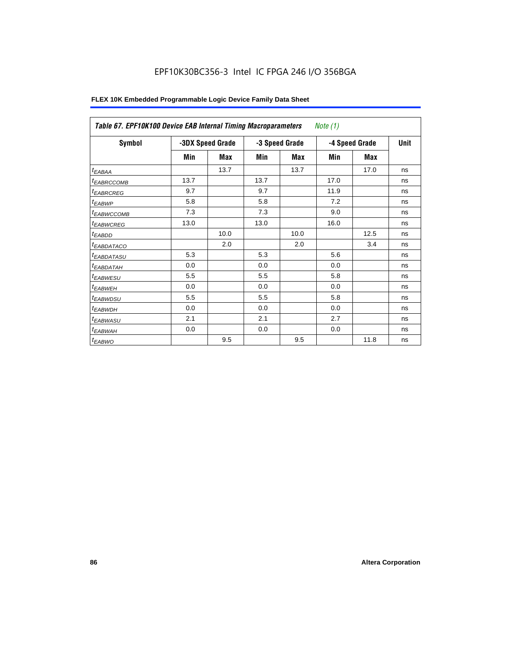| Table 67. EPF10K100 Device EAB Internal Timing Macroparameters<br>Note $(1)$ |      |                  |      |                |      |                |    |  |  |
|------------------------------------------------------------------------------|------|------------------|------|----------------|------|----------------|----|--|--|
| Symbol                                                                       |      | -3DX Speed Grade |      | -3 Speed Grade |      | -4 Speed Grade |    |  |  |
|                                                                              | Min  | Max              | Min  | Max            | Min  | Max            |    |  |  |
| $t_{EABA}$                                                                   |      | 13.7             |      | 13.7           |      | 17.0           | ns |  |  |
| <sup>t</sup> EABRCCOMB                                                       | 13.7 |                  | 13.7 |                | 17.0 |                | ns |  |  |
| <sup>t</sup> EABRCREG                                                        | 9.7  |                  | 9.7  |                | 11.9 |                | ns |  |  |
| <sup>t</sup> EABWP                                                           | 5.8  |                  | 5.8  |                | 7.2  |                | ns |  |  |
| <sup>t</sup> EABWCCOMB                                                       | 7.3  |                  | 7.3  |                | 9.0  |                | ns |  |  |
| <sup>t</sup> EABWCREG                                                        | 13.0 |                  | 13.0 |                | 16.0 |                | ns |  |  |
| <sup>t</sup> EABDD                                                           |      | 10.0             |      | 10.0           |      | 12.5           | ns |  |  |
| <sup>t</sup> EABDATACO                                                       |      | 2.0              |      | 2.0            |      | 3.4            | ns |  |  |
| <sup>t</sup> EABDATASU                                                       | 5.3  |                  | 5.3  |                | 5.6  |                | ns |  |  |
| <sup>t</sup> EABDATAH                                                        | 0.0  |                  | 0.0  |                | 0.0  |                | ns |  |  |
| <sup>t</sup> EABWESU                                                         | 5.5  |                  | 5.5  |                | 5.8  |                | ns |  |  |
| <sup>t</sup> EABWEH                                                          | 0.0  |                  | 0.0  |                | 0.0  |                | ns |  |  |
| <sup>t</sup> EABWDSU                                                         | 5.5  |                  | 5.5  |                | 5.8  |                | ns |  |  |
| <sup>t</sup> EABWDH                                                          | 0.0  |                  | 0.0  |                | 0.0  |                | ns |  |  |
| <sup>t</sup> EABWASU                                                         | 2.1  |                  | 2.1  |                | 2.7  |                | ns |  |  |
| <sup>t</sup> EABWAH                                                          | 0.0  |                  | 0.0  |                | 0.0  |                | ns |  |  |
| <sup>t</sup> EABWO                                                           |      | 9.5              |      | 9.5            |      | 11.8           | ns |  |  |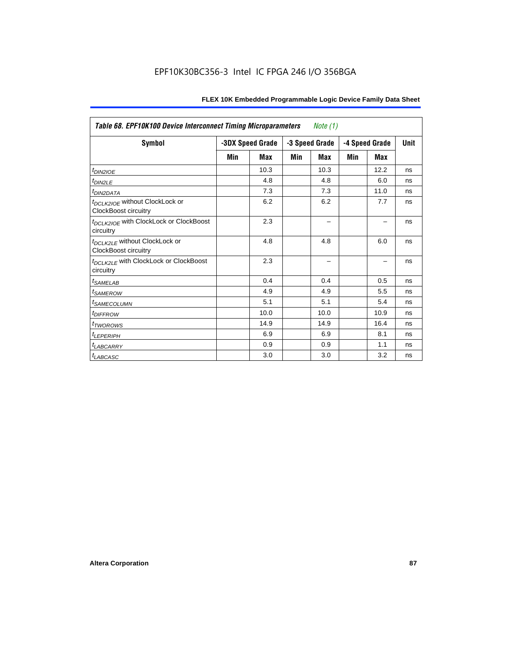| <b>Table 68. EPF10K100 Device Interconnect Timing Microparameters</b><br>Note (1) |                  |            |                |            |     |                |      |
|-----------------------------------------------------------------------------------|------------------|------------|----------------|------------|-----|----------------|------|
| Symbol                                                                            | -3DX Speed Grade |            | -3 Speed Grade |            |     | -4 Speed Grade | Unit |
|                                                                                   | Min              | <b>Max</b> | Min            | <b>Max</b> | Min | <b>Max</b>     |      |
| $t_{DINZIOE}$                                                                     |                  | 10.3       |                | 10.3       |     | 12.2           | ns   |
| t <sub>DIN2LE</sub>                                                               |                  | 4.8        |                | 4.8        |     | 6.0            | ns   |
| <sup>t</sup> DIN2DATA                                                             |                  | 7.3        |                | 7.3        |     | 11.0           | ns   |
| t <sub>DCLK2IOE</sub> without ClockLock or<br><b>ClockBoost circuitry</b>         |                  | 6.2        |                | 6.2        |     | 7.7            | ns   |
| t <sub>DCLK2IOE</sub> with ClockLock or ClockBoost<br>circuitry                   |                  | 2.3        |                |            |     |                | ns   |
| t <sub>DCLK2LE</sub> without ClockLock or<br><b>ClockBoost circuitry</b>          |                  | 4.8        |                | 4.8        |     | 6.0            | ns   |
| t <sub>DCLK2LE</sub> with ClockLock or ClockBoost<br>circuitry                    |                  | 2.3        |                |            |     |                | ns   |
| <sup>t</sup> SAMELAB                                                              |                  | 0.4        |                | 0.4        |     | 0.5            | ns   |
| <i>t</i> SAMEROW                                                                  |                  | 4.9        |                | 4.9        |     | 5.5            | ns   |
| <sup>t</sup> SAMECOLUMN                                                           |                  | 5.1        |                | 5.1        |     | 5.4            | ns   |
| <i>t<sub>DIFFROW</sub></i>                                                        |                  | 10.0       |                | 10.0       |     | 10.9           | ns   |
| $t_{TWOROWS}$                                                                     |                  | 14.9       |                | 14.9       |     | 16.4           | ns   |
| t <sub>LEPERIPH</sub>                                                             |                  | 6.9        |                | 6.9        |     | 8.1            | ns   |
| <b><i>LABCARRY</i></b>                                                            |                  | 0.9        |                | 0.9        |     | 1.1            | ns   |
| $t_{LABCASC}$                                                                     |                  | 3.0        |                | 3.0        |     | 3.2            | ns   |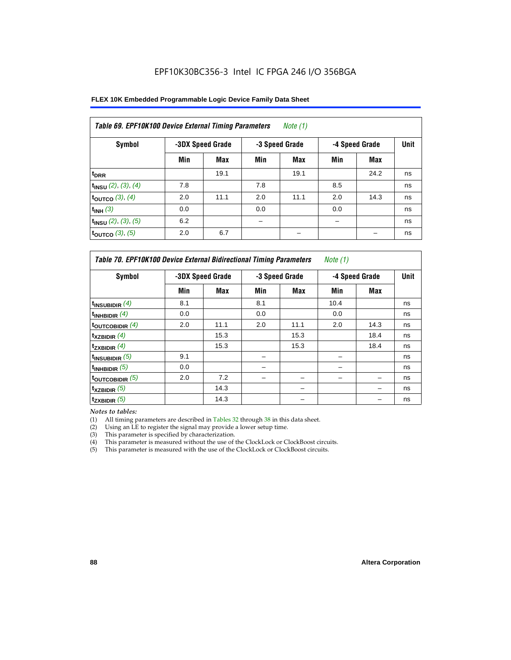| FLEX 10K Embedded Programmable Logic Device Family Data Sheet |  |
|---------------------------------------------------------------|--|
|---------------------------------------------------------------|--|

| Table 69. EPF10K100 Device External Timing Parameters<br>Note $(1)$ |     |                  |     |                |                |      |    |  |  |  |
|---------------------------------------------------------------------|-----|------------------|-----|----------------|----------------|------|----|--|--|--|
| <b>Symbol</b>                                                       |     | -3DX Speed Grade |     | -3 Speed Grade | -4 Speed Grade | Unit |    |  |  |  |
|                                                                     | Min | Max              | Min | Max            | Min            | Max  |    |  |  |  |
| $t_{\rm DRR}$                                                       |     | 19.1             |     | 19.1           |                | 24.2 | ns |  |  |  |
| $t_{INSU}$ (2), (3), (4)                                            | 7.8 |                  | 7.8 |                | 8.5            |      | ns |  |  |  |
| toutco $(3)$ , $(4)$                                                | 2.0 | 11.1             | 2.0 | 11.1           | 2.0            | 14.3 | ns |  |  |  |
| $t_{INH}$ (3)                                                       | 0.0 |                  | 0.0 |                | 0.0            |      | ns |  |  |  |
| $t_{INSU}$ (2), (3), (5)                                            | 6.2 |                  |     |                |                |      | ns |  |  |  |
| toutco $(3)$ , $(5)$                                                | 2.0 | 6.7              |     |                |                |      | ns |  |  |  |

| Table 70. EPF10K100 Device External Bidirectional Timing Parameters<br><i>Note</i> $(1)$ |     |                  |     |                |                |      |    |  |  |  |  |
|------------------------------------------------------------------------------------------|-----|------------------|-----|----------------|----------------|------|----|--|--|--|--|
| Symbol                                                                                   |     | -3DX Speed Grade |     | -3 Speed Grade | -4 Speed Grade | Unit |    |  |  |  |  |
|                                                                                          | Min | Max              | Min | Max            | Min            | Max  |    |  |  |  |  |
| t <sub>INSUBIDIR</sub> $(4)$                                                             | 8.1 |                  | 8.1 |                | 10.4           |      | ns |  |  |  |  |
| $t_{INHBIDIR}$ $(4)$                                                                     | 0.0 |                  | 0.0 |                | 0.0            |      | ns |  |  |  |  |
| toutcobidir $(4)$                                                                        | 2.0 | 11.1             | 2.0 | 11.1           | 2.0            | 14.3 | ns |  |  |  |  |
| $t_{XZBIDIR}$ (4)                                                                        |     | 15.3             |     | 15.3           |                | 18.4 | ns |  |  |  |  |
| $t_{ZXBIDIR}$ (4)                                                                        |     | 15.3             |     | 15.3           |                | 18.4 | ns |  |  |  |  |
| $t_{INSUBIDIR}$ (5)                                                                      | 9.1 |                  |     |                |                |      | ns |  |  |  |  |
| $t_{INHBIDIR}$ (5)                                                                       | 0.0 |                  |     |                |                |      | ns |  |  |  |  |
| toutcobidir $(5)$                                                                        | 2.0 | 7.2              |     |                |                |      | ns |  |  |  |  |
| $t_{XZBIDIR}$ (5)                                                                        |     | 14.3             |     |                |                |      | ns |  |  |  |  |
| $t_{ZXBIDIR}$ (5)                                                                        |     | 14.3             |     |                |                |      | ns |  |  |  |  |

*Notes to tables:*

(1) All timing parameters are described in Tables 32 through 38 in this data sheet.

(2) Using an  $LE$  to register the signal may provide a lower setup time.

(3) This parameter is specified by characterization.

(4) This parameter is measured without the use of the ClockLock or ClockBoost circuits.

(5) This parameter is measured with the use of the ClockLock or ClockBoost circuits.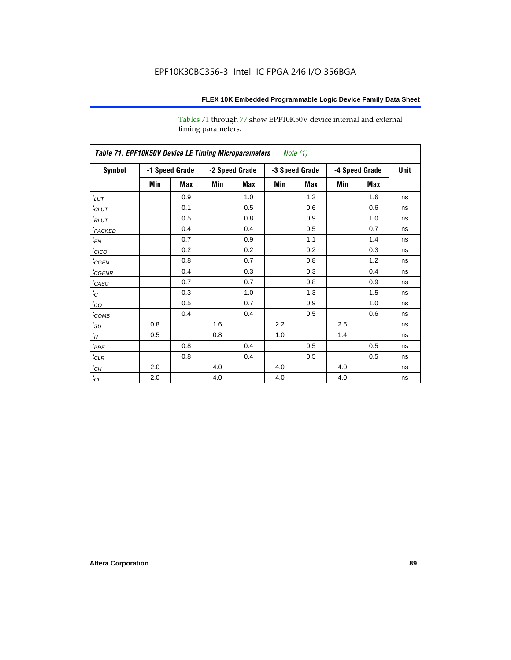Tables 71 through 77 show EPF10K50V device internal and external timing parameters.

| Table 71. EPF10K50V Device LE Timing Microparameters Note (1) |     |                |     |                |     |                |     |                |             |  |  |
|---------------------------------------------------------------|-----|----------------|-----|----------------|-----|----------------|-----|----------------|-------------|--|--|
| Symbol                                                        |     | -1 Speed Grade |     | -2 Speed Grade |     | -3 Speed Grade |     | -4 Speed Grade | <b>Unit</b> |  |  |
|                                                               | Min | Max            | Min | Max            | Min | Max            | Min | Max            |             |  |  |
| $t_{LUT}$                                                     |     | 0.9            |     | 1.0            |     | 1.3            |     | 1.6            | ns          |  |  |
| $t_{CLUT}$                                                    |     | 0.1            |     | 0.5            |     | 0.6            |     | 0.6            | ns          |  |  |
| $t_{RLUT}$                                                    |     | 0.5            |     | 0.8            |     | 0.9            |     | 1.0            | ns          |  |  |
| t <sub>PACKED</sub>                                           |     | 0.4            |     | 0.4            |     | 0.5            |     | 0.7            | ns          |  |  |
| $t_{EN}$                                                      |     | 0.7            |     | 0.9            |     | 1.1            |     | 1.4            | ns          |  |  |
| $t_{CICO}$                                                    |     | 0.2            |     | 0.2            |     | 0.2            |     | 0.3            | ns          |  |  |
| $t_{CGEN}$                                                    |     | 0.8            |     | 0.7            |     | 0.8            |     | 1.2            | ns          |  |  |
| $t_{\text{GENR}}$                                             |     | 0.4            |     | 0.3            |     | 0.3            |     | 0.4            | ns          |  |  |
| $t_{CASC}$                                                    |     | 0.7            |     | 0.7            |     | 0.8            |     | 0.9            | ns          |  |  |
| $t_C$                                                         |     | 0.3            |     | 1.0            |     | 1.3            |     | 1.5            | ns          |  |  |
| $t_{CO}$                                                      |     | 0.5            |     | 0.7            |     | 0.9            |     | 1.0            | ns          |  |  |
| $t_{COMB}$                                                    |     | 0.4            |     | 0.4            |     | 0.5            |     | 0.6            | ns          |  |  |
| $t_{\rm SU}$                                                  | 0.8 |                | 1.6 |                | 2.2 |                | 2.5 |                | ns          |  |  |
| $t_{\!H}$                                                     | 0.5 |                | 0.8 |                | 1.0 |                | 1.4 |                | ns          |  |  |
| $t_{PRE}$                                                     |     | 0.8            |     | 0.4            |     | 0.5            |     | 0.5            | ns          |  |  |
| $t_{CLR}$                                                     |     | 0.8            |     | 0.4            |     | 0.5            |     | 0.5            | ns          |  |  |
| $t_{\mathit{CH}}$                                             | 2.0 |                | 4.0 |                | 4.0 |                | 4.0 |                | ns          |  |  |
| $t_{\rm CL}$                                                  | 2.0 |                | 4.0 |                | 4.0 |                | 4.0 |                | ns          |  |  |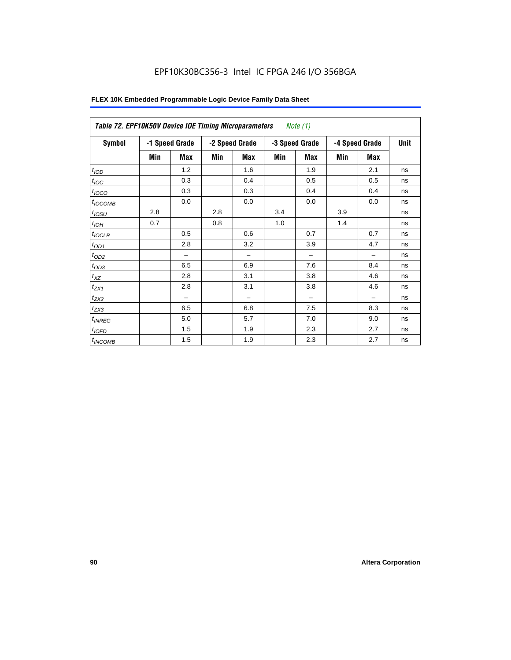| Symbol           |     | -1 Speed Grade |     | -2 Speed Grade |     | -3 Speed Grade |     | -4 Speed Grade |             |
|------------------|-----|----------------|-----|----------------|-----|----------------|-----|----------------|-------------|
|                  | Min | Max            | Min | <b>Max</b>     | Min | <b>Max</b>     | Min | <b>Max</b>     | <b>Unit</b> |
| t <sub>IOD</sub> |     | 1.2            |     | 1.6            |     | 1.9            |     | 2.1            | ns          |
| $t_{\text{IOC}}$ |     | 0.3            |     | 0.4            |     | 0.5            |     | 0.5            | ns          |
| $t_{IOCO}$       |     | 0.3            |     | 0.3            |     | 0.4            |     | 0.4            | ns          |
| $t_{IOCOMB}$     |     | 0.0            |     | 0.0            |     | 0.0            |     | 0.0            | ns          |
| $t_{IOSU}$       | 2.8 |                | 2.8 |                | 3.4 |                | 3.9 |                | ns          |
| $t_{IOH}$        | 0.7 |                | 0.8 |                | 1.0 |                | 1.4 |                | ns          |
| $t_{IOCLR}$      |     | 0.5            |     | 0.6            |     | 0.7            |     | 0.7            | ns          |
| $t_{OD1}$        |     | 2.8            |     | 3.2            |     | 3.9            |     | 4.7            | ns          |
| $t_{OD2}$        |     | -              |     | -              |     | -              |     | —              | ns          |
| $t_{OD3}$        |     | 6.5            |     | 6.9            |     | 7.6            |     | 8.4            | ns          |
| $t_{XZ}$         |     | 2.8            |     | 3.1            |     | 3.8            |     | 4.6            | ns          |
| $t_{ZX1}$        |     | 2.8            |     | 3.1            |     | 3.8            |     | 4.6            | ns          |
| $t_{ZX2}$        |     |                |     |                |     | -              |     |                | ns          |
| $t_{ZX3}$        |     | 6.5            |     | 6.8            |     | 7.5            |     | 8.3            | ns          |
| $t_{INREG}$      |     | 5.0            |     | 5.7            |     | 7.0            |     | 9.0            | ns          |
| $t_{IOFD}$       |     | 1.5            |     | 1.9            |     | 2.3            |     | 2.7            | ns          |
| $t_{INCOMB}$     |     | 1.5            |     | 1.9            |     | 2.3            |     | 2.7            | ns          |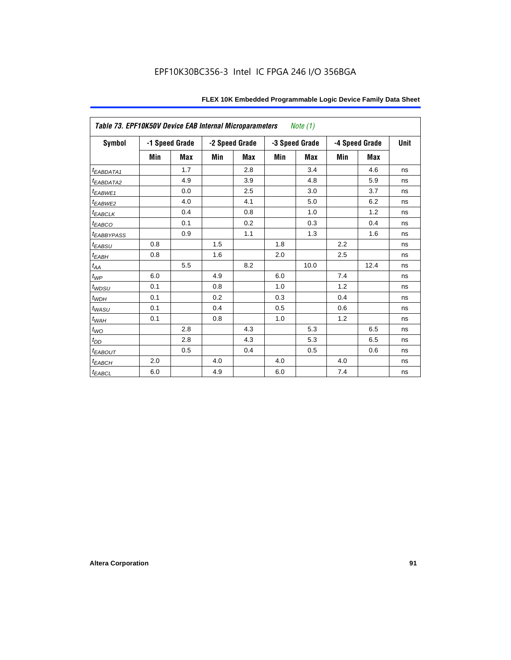| Table 73. EPF10K50V Device EAB Internal Microparameters<br>Note $(1)$ |     |                |     |                |     |                |     |                |             |  |
|-----------------------------------------------------------------------|-----|----------------|-----|----------------|-----|----------------|-----|----------------|-------------|--|
| Symbol                                                                |     | -1 Speed Grade |     | -2 Speed Grade |     | -3 Speed Grade |     | -4 Speed Grade | <b>Unit</b> |  |
|                                                                       | Min | <b>Max</b>     | Min | <b>Max</b>     | Min | <b>Max</b>     | Min | <b>Max</b>     |             |  |
| <i>EABDATA1</i>                                                       |     | 1.7            |     | 2.8            |     | 3.4            |     | 4.6            | ns          |  |
| t <sub>EABDATA2</sub>                                                 |     | 4.9            |     | 3.9            |     | 4.8            |     | 5.9            | ns          |  |
| t <sub>EABWE1</sub>                                                   |     | 0.0            |     | 2.5            |     | 3.0            |     | 3.7            | ns          |  |
| t <sub>EABWE2</sub>                                                   |     | 4.0            |     | 4.1            |     | 5.0            |     | 6.2            | ns          |  |
| <sup>t</sup> EABCLK                                                   |     | 0.4            |     | 0.8            |     | 1.0            |     | 1.2            | ns          |  |
| $t_{EABCO}$                                                           |     | 0.1            |     | 0.2            |     | 0.3            |     | 0.4            | ns          |  |
| <i><b>EABBYPASS</b></i>                                               |     | 0.9            |     | 1.1            |     | 1.3            |     | 1.6            | ns          |  |
| $t_{EABSU}$                                                           | 0.8 |                | 1.5 |                | 1.8 |                | 2.2 |                | ns          |  |
| $t_{EABH}$                                                            | 0.8 |                | 1.6 |                | 2.0 |                | 2.5 |                | ns          |  |
| $t_{AA}$                                                              |     | 5.5            |     | 8.2            |     | 10.0           |     | 12.4           | ns          |  |
| $t_{WP}$                                                              | 6.0 |                | 4.9 |                | 6.0 |                | 7.4 |                | ns          |  |
| $t_{WDSU}$                                                            | 0.1 |                | 0.8 |                | 1.0 |                | 1.2 |                | ns          |  |
| $t_{WDH}$                                                             | 0.1 |                | 0.2 |                | 0.3 |                | 0.4 |                | ns          |  |
| $t_{WASU}$                                                            | 0.1 |                | 0.4 |                | 0.5 |                | 0.6 |                | ns          |  |
| $t_{WAH}$                                                             | 0.1 |                | 0.8 |                | 1.0 |                | 1.2 |                | ns          |  |
| $t_{WO}$                                                              |     | 2.8            |     | 4.3            |     | 5.3            |     | 6.5            | ns          |  |
| $t_{DD}$                                                              |     | 2.8            |     | 4.3            |     | 5.3            |     | 6.5            | ns          |  |
| $t_{EABOUT}$                                                          |     | 0.5            |     | 0.4            |     | 0.5            |     | 0.6            | ns          |  |
| $t_{EABCH}$                                                           | 2.0 |                | 4.0 |                | 4.0 |                | 4.0 |                | ns          |  |
| $t_{EABCL}$                                                           | 6.0 |                | 4.9 |                | 6.0 |                | 7.4 |                | ns          |  |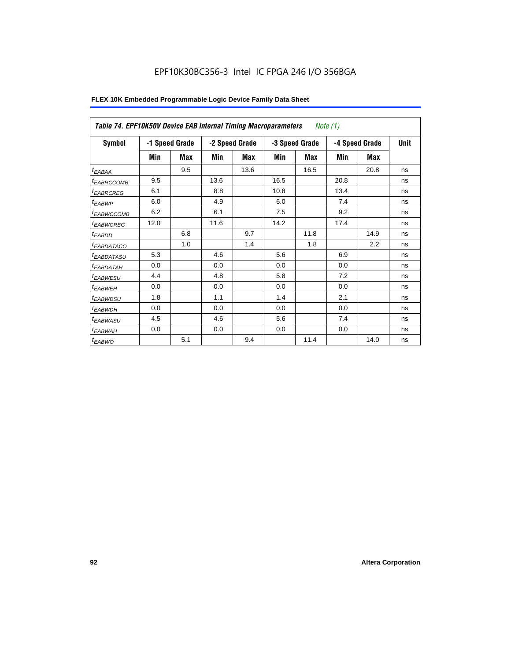| Table 74. EPF10K50V Device EAB Internal Timing Macroparameters |      |                |      |                |      |                | Note (1) |                |    |
|----------------------------------------------------------------|------|----------------|------|----------------|------|----------------|----------|----------------|----|
| Symbol                                                         |      | -1 Speed Grade |      | -2 Speed Grade |      | -3 Speed Grade |          | -4 Speed Grade |    |
|                                                                | Min  | Max            | Min  | Max            | Min  | Max            | Min      | Max            |    |
| $t_{EABA}$                                                     |      | 9.5            |      | 13.6           |      | 16.5           |          | 20.8           | ns |
| <sup>t</sup> EABRCCOMB                                         | 9.5  |                | 13.6 |                | 16.5 |                | 20.8     |                | ns |
| <b><i>EABRCREG</i></b>                                         | 6.1  |                | 8.8  |                | 10.8 |                | 13.4     |                | ns |
| t <sub>EABWP</sub>                                             | 6.0  |                | 4.9  |                | 6.0  |                | 7.4      |                | ns |
| <sup>t</sup> ЕАВWССОМВ                                         | 6.2  |                | 6.1  |                | 7.5  |                | 9.2      |                | ns |
| <sup>t</sup> EABWCREG                                          | 12.0 |                | 11.6 |                | 14.2 |                | 17.4     |                | ns |
| <sup>t</sup> EABDD                                             |      | 6.8            |      | 9.7            |      | 11.8           |          | 14.9           | ns |
| <sup>t</sup> EABDATACO                                         |      | 1.0            |      | 1.4            |      | 1.8            |          | 2.2            | ns |
| <sup>t</sup> EABDATASU                                         | 5.3  |                | 4.6  |                | 5.6  |                | 6.9      |                | ns |
| <sup>t</sup> EABDATAH                                          | 0.0  |                | 0.0  |                | 0.0  |                | 0.0      |                | ns |
| <sup>t</sup> EABWESU                                           | 4.4  |                | 4.8  |                | 5.8  |                | 7.2      |                | ns |
| t <sub>EABWEH</sub>                                            | 0.0  |                | 0.0  |                | 0.0  |                | 0.0      |                | ns |
| <sup>t</sup> EABWDSU                                           | 1.8  |                | 1.1  |                | 1.4  |                | 2.1      |                | ns |
| <sup>t</sup> EABWDH                                            | 0.0  |                | 0.0  |                | 0.0  |                | 0.0      |                | ns |
| <sup>t</sup> EABWASU                                           | 4.5  |                | 4.6  |                | 5.6  |                | 7.4      |                | ns |
| <sup>t</sup> EABWAH                                            | 0.0  |                | 0.0  |                | 0.0  |                | 0.0      |                | ns |
| $t_{EABWO}$                                                    |      | 5.1            |      | 9.4            |      | 11.4           |          | 14.0           | ns |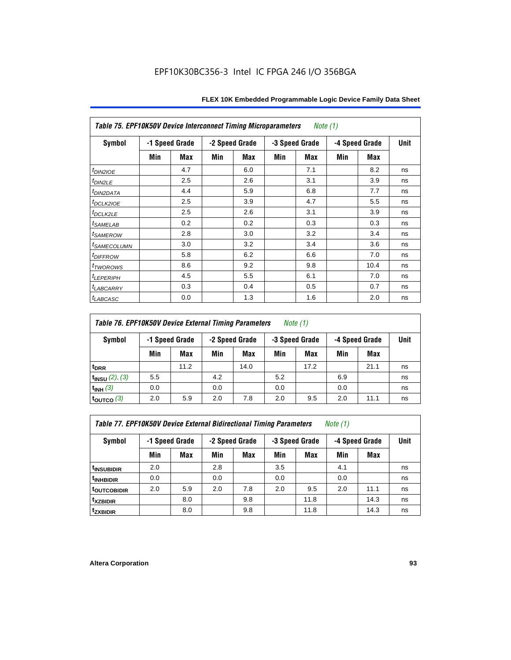| Table 75. EPF10K50V Device Interconnect Timing Microparameters<br>Note (1) |     |                |                |     |                |     |                |      |             |  |
|----------------------------------------------------------------------------|-----|----------------|----------------|-----|----------------|-----|----------------|------|-------------|--|
| Symbol                                                                     |     | -1 Speed Grade | -2 Speed Grade |     | -3 Speed Grade |     | -4 Speed Grade |      | <b>Unit</b> |  |
|                                                                            | Min | Max            | Min            | Max | Min            | Max | Min            | Max  |             |  |
| $t_{DINZIOE}$                                                              |     | 4.7            |                | 6.0 |                | 7.1 |                | 8.2  | ns          |  |
| t <sub>DIN2LE</sub>                                                        |     | 2.5            |                | 2.6 |                | 3.1 |                | 3.9  | ns          |  |
| <sup>t</sup> DIN2DATA                                                      |     | 4.4            |                | 5.9 |                | 6.8 |                | 7.7  | ns          |  |
| t <sub>DCLK2IOE</sub>                                                      |     | 2.5            |                | 3.9 |                | 4.7 |                | 5.5  | ns          |  |
| $t_{DCLK2LE}$                                                              |     | 2.5            |                | 2.6 |                | 3.1 |                | 3.9  | ns          |  |
| <i>t<sub>SAMELAB</sub></i>                                                 |     | 0.2            |                | 0.2 |                | 0.3 |                | 0.3  | ns          |  |
| <sup>t</sup> SAMEROW                                                       |     | 2.8            |                | 3.0 |                | 3.2 |                | 3.4  | ns          |  |
| <sup>t</sup> SAMECOLUMN                                                    |     | 3.0            |                | 3.2 |                | 3.4 |                | 3.6  | ns          |  |
| <i>t<sub>DIFFROW</sub></i>                                                 |     | 5.8            |                | 6.2 |                | 6.6 |                | 7.0  | ns          |  |
| t <sub>TWOROWS</sub>                                                       |     | 8.6            |                | 9.2 |                | 9.8 |                | 10.4 | ns          |  |
| $t_{LEPERIPH}$                                                             |     | 4.5            |                | 5.5 |                | 6.1 |                | 7.0  | ns          |  |
| t <sub>LABCARRY</sub>                                                      |     | 0.3            |                | 0.4 |                | 0.5 |                | 0.7  | ns          |  |
| <i>t<sub>LABCASC</sub></i>                                                 |     | 0.0            |                | 1.3 |                | 1.6 |                | 2.0  | ns          |  |

## *Table 76. EPF10K50V Device External Timing Parameters Note (1)*

| Symbol                   | -1 Speed Grade |      | -2 Speed Grade |      | -3 Speed Grade |      | -4 Speed Grade |      | <b>Unit</b> |
|--------------------------|----------------|------|----------------|------|----------------|------|----------------|------|-------------|
|                          | Min            | Max  | Min            | Max  | Min            | Max  | Min            | Max  |             |
| t <sub>DRR</sub>         |                | 11.2 |                | 14.0 |                | 17.2 |                | 21.1 | ns          |
| $t_{INSU}$ (2), (3)      | 5.5            |      | 4.2            |      | 5.2            |      | 6.9            |      | ns          |
| $t_{INH}$ (3)            | 0.0            |      | 0.0            |      | 0.0            |      | 0.0            |      | ns          |
| $\tt_{\text{OUTCO}}$ (3) | 2.0            | 5.9  | 2.0            | 7.8  | 2.0            | 9.5  | 2.0            | 11.1 | ns          |

*Table 77. EPF10K50V Device External Bidirectional Timing Parameters Note (1)*

| Symbol                  | -1 Speed Grade |     | -2 Speed Grade |     | -3 Speed Grade |            | -4 Speed Grade |            | Unit |
|-------------------------|----------------|-----|----------------|-----|----------------|------------|----------------|------------|------|
|                         | Min            | Max | Min            | Max | Min            | <b>Max</b> | Min            | <b>Max</b> |      |
| <b>t</b> INSUBIDIR      | 2.0            |     | 2.8            |     | 3.5            |            | 4.1            |            | ns   |
| <sup>t</sup> INHBIDIR   | 0.0            |     | 0.0            |     | 0.0            |            | 0.0            |            | ns   |
| t <sub>outcobidir</sub> | 2.0            | 5.9 | 2.0            | 7.8 | 2.0            | 9.5        | 2.0            | 11.1       | ns   |
| <sup>t</sup> xzbidir    |                | 8.0 |                | 9.8 |                | 11.8       |                | 14.3       | ns   |
| <sup>t</sup> zxbidir    |                | 8.0 |                | 9.8 |                | 11.8       |                | 14.3       | ns   |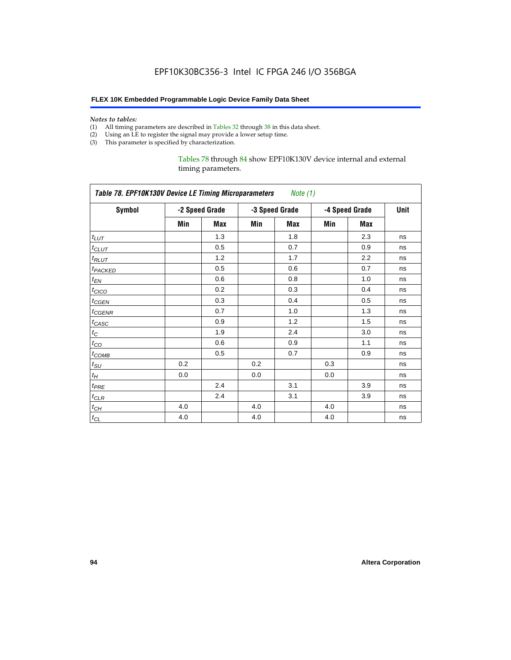#### **FLEX 10K Embedded Programmable Logic Device Family Data Sheet**

#### *Notes to tables:*

- (1) All timing parameters are described in Tables 32 through 38 in this data sheet.
- (2) Using an LE to register the signal may provide a lower setup time.
- (3) This parameter is specified by characterization.

#### Tables 78 through 84 show EPF10K130V device internal and external timing parameters.

| <b>Symbol</b>       |     | -2 Speed Grade |     | -3 Speed Grade | -4 Speed Grade | <b>Unit</b> |    |
|---------------------|-----|----------------|-----|----------------|----------------|-------------|----|
|                     | Min | Max            | Min | <b>Max</b>     | Min            | <b>Max</b>  |    |
| $t_{LUT}$           |     | 1.3            |     | 1.8            |                | 2.3         | ns |
| $t_{CLUT}$          |     | 0.5            |     | 0.7            |                | 0.9         | ns |
| $t_{RLUT}$          |     | 1.2            |     | 1.7            |                | 2.2         | ns |
| t <sub>PACKED</sub> |     | 0.5            |     | 0.6            |                | 0.7         | ns |
| $t_{EN}$            |     | 0.6            |     | 0.8            |                | 1.0         | ns |
| $t_{CICO}$          |     | 0.2            |     | 0.3            |                | 0.4         | ns |
| $t_{CSEN}$          |     | 0.3            |     | 0.4            |                | 0.5         | ns |
| t <sub>CGENR</sub>  |     | 0.7            |     | 1.0            |                | 1.3         | ns |
| $t_{CASC}$          |     | 0.9            |     | 1.2            |                | 1.5         | ns |
| $t_C$               |     | 1.9            |     | 2.4            |                | 3.0         | ns |
| $t_{CO}$            |     | 0.6            |     | 0.9            |                | 1.1         | ns |
| $t_{COMB}$          |     | 0.5            |     | 0.7            |                | 0.9         | ns |
| $t_{\text{SU}}$     | 0.2 |                | 0.2 |                | 0.3            |             | ns |
| $t_H$               | 0.0 |                | 0.0 |                | 0.0            |             | ns |
| $t_{PRE}$           |     | 2.4            |     | 3.1            |                | 3.9         | ns |
| $t_{CLR}$           |     | 2.4            |     | 3.1            |                | 3.9         | ns |
| $t_{CH}$            | 4.0 |                | 4.0 |                | 4.0            |             | ns |
| $t_{CL}$            | 4.0 |                | 4.0 |                | 4.0            |             | ns |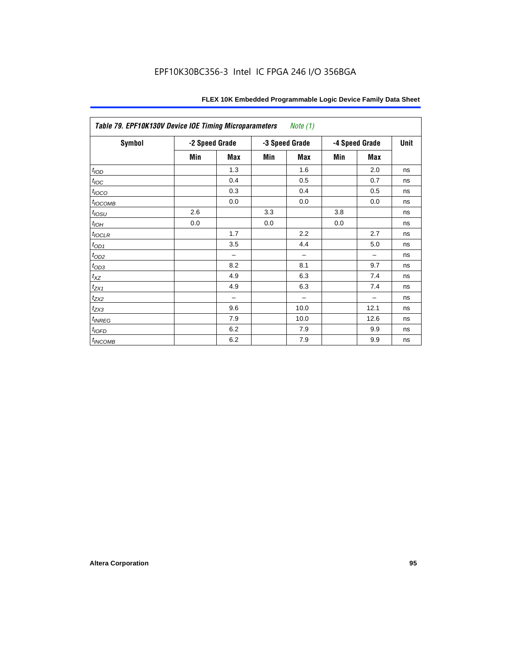| Table 79. EPF10K130V Device IOE Timing Microparameters<br>Note (1) |                |            |                |            |     |                |      |  |  |  |
|--------------------------------------------------------------------|----------------|------------|----------------|------------|-----|----------------|------|--|--|--|
| Symbol                                                             | -2 Speed Grade |            | -3 Speed Grade |            |     | -4 Speed Grade | Unit |  |  |  |
|                                                                    | Min            | <b>Max</b> | Min            | <b>Max</b> | Min | <b>Max</b>     |      |  |  |  |
| t <sub>IOD</sub>                                                   |                | 1.3        |                | 1.6        |     | 2.0            | ns   |  |  |  |
| $t_{\text{IOC}}$                                                   |                | 0.4        |                | 0.5        |     | 0.7            | ns   |  |  |  |
| $t_{IOCO}$                                                         |                | 0.3        |                | 0.4        |     | 0.5            | ns   |  |  |  |
| $t_{IOCOMB}$                                                       |                | 0.0        |                | 0.0        |     | 0.0            | ns   |  |  |  |
| $t_{IOSU}$                                                         | 2.6            |            | 3.3            |            | 3.8 |                | ns   |  |  |  |
| $t_{IOH}$                                                          | 0.0            |            | 0.0            |            | 0.0 |                | ns   |  |  |  |
| $t_{IOCLR}$                                                        |                | 1.7        |                | 2.2        |     | 2.7            | ns   |  |  |  |
| $t_{OD1}$                                                          |                | 3.5        |                | 4.4        |     | 5.0            | ns   |  |  |  |
| $t_{OD2}$                                                          |                | -          |                |            |     |                | ns   |  |  |  |
| $t_{OD3}$                                                          |                | 8.2        |                | 8.1        |     | 9.7            | ns   |  |  |  |
| $t_{XZ}$                                                           |                | 4.9        |                | 6.3        |     | 7.4            | ns   |  |  |  |
| $t_{ZX1}$                                                          |                | 4.9        |                | 6.3        |     | 7.4            | ns   |  |  |  |
| $t_{ZX2}$                                                          |                |            |                |            |     |                | ns   |  |  |  |
| $t_{ZX3}$                                                          |                | 9.6        |                | 10.0       |     | 12.1           | ns   |  |  |  |
| $t_{INREG}$                                                        |                | 7.9        |                | 10.0       |     | 12.6           | ns   |  |  |  |
| $t_{IOED}$                                                         |                | 6.2        |                | 7.9        |     | 9.9            | ns   |  |  |  |
| $t_{INCOMB}$                                                       |                | 6.2        |                | 7.9        |     | 9.9            | ns   |  |  |  |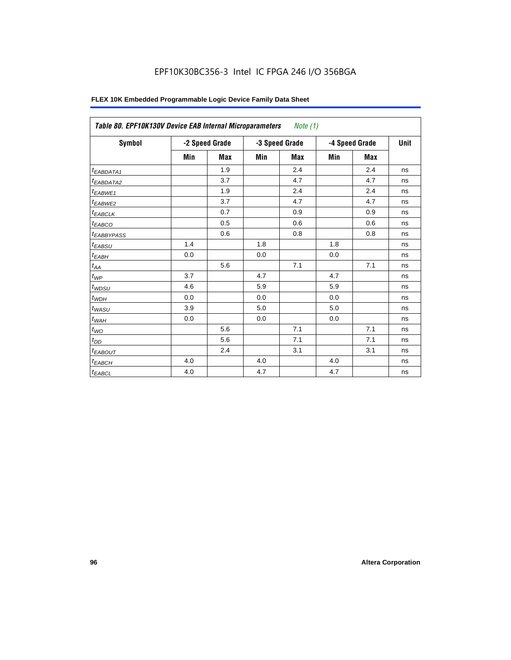| Symbol                 |     | -2 Speed Grade |     | -3 Speed Grade | -4 Speed Grade | <b>Unit</b> |    |
|------------------------|-----|----------------|-----|----------------|----------------|-------------|----|
|                        | Min | <b>Max</b>     | Min | <b>Max</b>     | Min            | <b>Max</b>  |    |
| <sup>t</sup> EABDATA1  |     | 1.9            |     | 2.4            |                | 2.4         | ns |
| <sup>t</sup> EABDATA2  |     | 3.7            |     | 4.7            |                | 4.7         | ns |
| <sup>t</sup> EABWE1    |     | 1.9            |     | 2.4            |                | 2.4         | ns |
| <sup>t</sup> EABWE2    |     | 3.7            |     | 4.7            |                | 4.7         | ns |
| t <sub>EABCLK</sub>    |     | 0.7            |     | 0.9            |                | 0.9         | ns |
| <sup>t</sup> ЕАВСО     |     | 0.5            |     | 0.6            |                | 0.6         | ns |
| <sup>t</sup> EABBYPASS |     | 0.6            |     | 0.8            |                | 0.8         | ns |
| t <sub>EABSU</sub>     | 1.4 |                | 1.8 |                | 1.8            |             | ns |
| t <sub>ЕАВН</sub>      | 0.0 |                | 0.0 |                | 0.0            |             | ns |
| $t_{AA}$               |     | 5.6            |     | 7.1            |                | 7.1         | ns |
| $t_{\mathit{WP}}$      | 3.7 |                | 4.7 |                | 4.7            |             | ns |
| $t_{WDSU}$             | 4.6 |                | 5.9 |                | 5.9            |             | ns |
| $t_{WDH}$              | 0.0 |                | 0.0 |                | 0.0            |             | ns |
| $t_{WASU}$             | 3.9 |                | 5.0 |                | 5.0            |             | ns |
| $t_{\sf WAH}$          | 0.0 |                | 0.0 |                | 0.0            |             | ns |
| $t_{WO}$               |     | 5.6            |     | 7.1            |                | 7.1         | ns |
| $t_{DD}$               |     | 5.6            |     | 7.1            |                | 7.1         | ns |
| <sup>t</sup> EABOUT    |     | 2.4            |     | 3.1            |                | 3.1         | ns |
| $t_{EABCH}$            | 4.0 |                | 4.0 |                | 4.0            |             | ns |
| $t_{EABCL}$            | 4.0 |                | 4.7 |                | 4.7            |             | ns |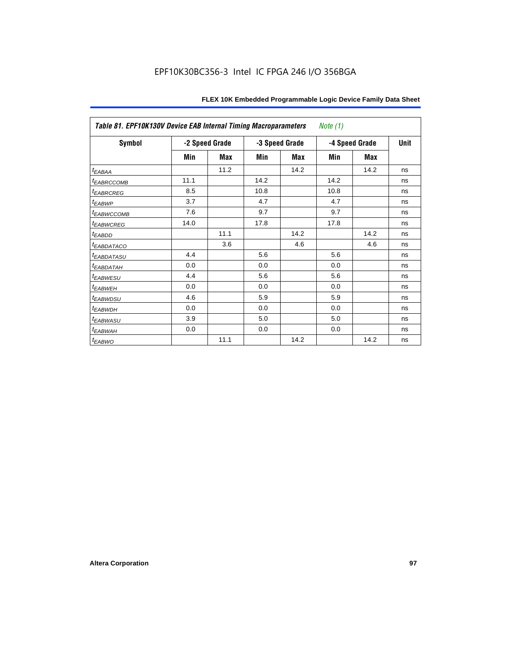| Table 81. EPF10K130V Device EAB Internal Timing Macroparameters |      |                |      |                | Note $(1)$ |                |             |  |
|-----------------------------------------------------------------|------|----------------|------|----------------|------------|----------------|-------------|--|
| <b>Symbol</b>                                                   |      | -2 Speed Grade |      | -3 Speed Grade |            | -4 Speed Grade | <b>Unit</b> |  |
|                                                                 | Min  | <b>Max</b>     | Min  | Max            | Min        | Max            |             |  |
| <sup>t</sup> EABAA                                              |      | 11.2           |      | 14.2           |            | 14.2           | ns          |  |
| <b><i>EABRCCOMB</i></b>                                         | 11.1 |                | 14.2 |                | 14.2       |                | ns          |  |
| <b><i>EABRCREG</i></b>                                          | 8.5  |                | 10.8 |                | 10.8       |                | ns          |  |
| <sup>t</sup> EABWP                                              | 3.7  |                | 4.7  |                | 4.7        |                | ns          |  |
| <b><i>EABWCCOMB</i></b>                                         | 7.6  |                | 9.7  |                | 9.7        |                | ns          |  |
| <sup>t</sup> EABWCREG                                           | 14.0 |                | 17.8 |                | 17.8       |                | ns          |  |
| t <sub>EABDD</sub>                                              |      | 11.1           |      | 14.2           |            | 14.2           | ns          |  |
| <i>EABDATACO</i>                                                |      | 3.6            |      | 4.6            |            | 4.6            | ns          |  |
| <sup>t</sup> EABDATASU                                          | 4.4  |                | 5.6  |                | 5.6        |                | ns          |  |
| <b>EABDATAH</b>                                                 | 0.0  |                | 0.0  |                | 0.0        |                | ns          |  |
| <sup>t</sup> EABWESU                                            | 4.4  |                | 5.6  |                | 5.6        |                | ns          |  |
| <sup>t</sup> EABWEH                                             | 0.0  |                | 0.0  |                | 0.0        |                | ns          |  |
| <sup>t</sup> EABWDSU                                            | 4.6  |                | 5.9  |                | 5.9        |                | ns          |  |
| t <sub>EABWDH</sub>                                             | 0.0  |                | 0.0  |                | 0.0        |                | ns          |  |
| <sup>t</sup> EABWASU                                            | 3.9  |                | 5.0  |                | 5.0        |                | ns          |  |
| <sup>t</sup> EABWAH                                             | 0.0  |                | 0.0  |                | 0.0        |                | ns          |  |
| <sup>t</sup> EABWO                                              |      | 11.1           |      | 14.2           |            | 14.2           | ns          |  |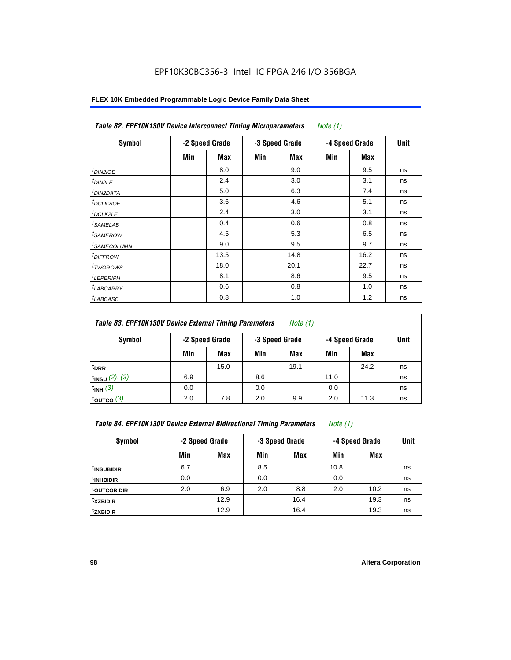| Symbol                  |     | -2 Speed Grade |     | -3 Speed Grade |     | -4 Speed Grade | <b>Unit</b> |  |
|-------------------------|-----|----------------|-----|----------------|-----|----------------|-------------|--|
|                         | Min | Max            | Min | Max            | Min | Max            |             |  |
| $t_{DINZIOE}$           |     | 8.0            |     | 9.0            |     | 9.5            | ns          |  |
| t <sub>DIN2LE</sub>     |     | 2.4            |     | 3.0            |     | 3.1            | ns          |  |
| <sup>t</sup> DIN2DATA   |     | 5.0            |     | 6.3            |     | 7.4            | ns          |  |
| <sup>t</sup> DCLK2IOE   |     | 3.6            |     | 4.6            |     | 5.1            | ns          |  |
| $t$ DCLK2LE             |     | 2.4            |     | 3.0            |     | 3.1            | ns          |  |
| <sup>t</sup> SAMELAB    |     | 0.4            |     | 0.6            |     | 0.8            | ns          |  |
| <sup>t</sup> SAMEROW    |     | 4.5            |     | 5.3            |     | 6.5            | ns          |  |
| <sup>t</sup> SAMECOLUMN |     | 9.0            |     | 9.5            |     | 9.7            | ns          |  |
| <i><b>IDIFFROW</b></i>  |     | 13.5           |     | 14.8           |     | 16.2           | ns          |  |
| <sup>T</sup> TWOROWS    |     | 18.0           |     | 20.1           |     | 22.7           | ns          |  |
| <sup>t</sup> LEPERIPH   |     | 8.1            |     | 8.6            |     | 9.5            | ns          |  |
| <sup>t</sup> LABCARRY   |     | 0.6            |     | 0.8            |     | 1.0            | ns          |  |
| <sup>t</sup> LABCASC    |     | 0.8            |     | 1.0            |     | 1.2            | ns          |  |

## **FLEX 10K Embedded Programmable Logic Device Family Data Sheet**

| Table 83. EPF10K130V Device External Timing Parameters | Note (1) |
|--------------------------------------------------------|----------|
|--------------------------------------------------------|----------|

| Symbol                 |     | -2 Speed Grade |     | -3 Speed Grade |      | -4 Speed Grade | Unit |
|------------------------|-----|----------------|-----|----------------|------|----------------|------|
|                        | Min | Max            | Min | Max            | Min  | Max            |      |
| t <sub>DRR</sub>       |     | 15.0           |     | 19.1           |      | 24.2           | ns   |
| $t_{INSU}$ (2), (3)    | 6.9 |                | 8.6 |                | 11.0 |                | ns   |
| $t_{INH}$ (3)          | 0.0 |                | 0.0 |                | 0.0  |                | ns   |
| $t_{\text{OUTCO}}$ (3) | 2.0 | 7.8            | 2.0 | 9.9            | 2.0  | 11.3           | ns   |

| Table 84. EPF10K130V Device External Bidirectional Timing Parameters | Note (1) |  |  |
|----------------------------------------------------------------------|----------|--|--|
|----------------------------------------------------------------------|----------|--|--|

**Symbol -2 Speed Grade -3 Speed Grade -4 Speed Grade Unit** Min | Max | Min | Max | Min | Max

| <sup>t</sup> INSUBIDIR  | 6.7 |      | 8.5 |      | 10.8 |      | ns |
|-------------------------|-----|------|-----|------|------|------|----|
| <sup>t</sup> INHBIDIR   | 0.0 |      | 0.0 |      | 0.0  |      | ns |
| <sup>t</sup> OUTCOBIDIR | 2.0 | 6.9  | 2.0 | 8.8  | 2.0  | 10.2 | ns |
| <sup>t</sup> xzbidir    |     | 12.9 |     | 16.4 |      | 19.3 | ns |
| <sup>t</sup> zxbidir    |     | 12.9 |     | 16.4 |      | 19.3 | ns |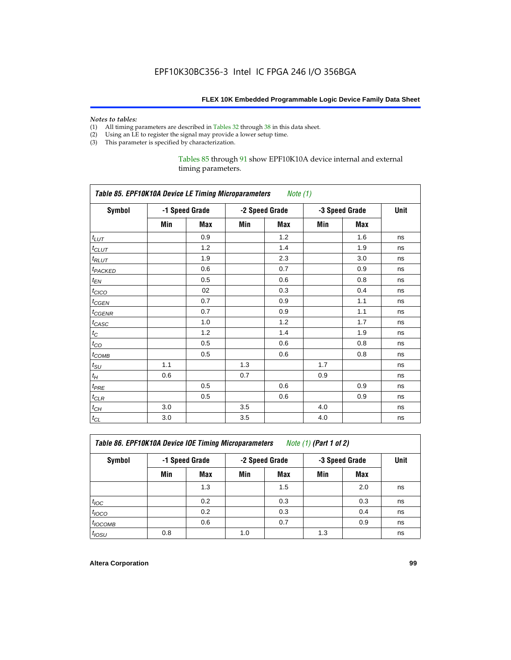# *Notes to tables:*<br>(1) All timing p

- (1) All timing parameters are described in Tables 32 through 38 in this data sheet.<br>(2) Using an LE to register the signal may provide a lower setup time.
- Using an LE to register the signal may provide a lower setup time.
- (3) This parameter is specified by characterization.

#### Tables 85 through 91 show EPF10K10A device internal and external timing parameters.

|                            | <b>Table 85. EPF10K10A Device LE Timing Microparameters</b> Note (1) |                |     |                                  |     |     |      |  |  |  |
|----------------------------|----------------------------------------------------------------------|----------------|-----|----------------------------------|-----|-----|------|--|--|--|
| <b>Symbol</b>              |                                                                      | -1 Speed Grade |     | -2 Speed Grade<br>-3 Speed Grade |     |     | Unit |  |  |  |
|                            | Min                                                                  | Max            | Min | Max                              | Min | Max |      |  |  |  |
| $t_{LUT}$                  |                                                                      | 0.9            |     | 1.2                              |     | 1.6 | ns   |  |  |  |
| $t_{CLUT}$                 |                                                                      | 1.2            |     | 1.4                              |     | 1.9 | ns   |  |  |  |
| $t_{RLUT}$                 |                                                                      | 1.9            |     | 2.3                              |     | 3.0 | ns   |  |  |  |
| <b>t</b> <sub>PACKED</sub> |                                                                      | 0.6            |     | 0.7                              |     | 0.9 | ns   |  |  |  |
| $t_{EN}$                   |                                                                      | 0.5            |     | 0.6                              |     | 0.8 | ns   |  |  |  |
| $t_{CICO}$                 |                                                                      | 02             |     | 0.3                              |     | 0.4 | ns   |  |  |  |
| $t_{GEN}$                  |                                                                      | 0.7            |     | 0.9                              |     | 1.1 | ns   |  |  |  |
| $t_{GENR}$                 |                                                                      | 0.7            |     | 0.9                              |     | 1.1 | ns   |  |  |  |
| $t_{CASC}$                 |                                                                      | 1.0            |     | 1.2                              |     | 1.7 | ns   |  |  |  |
| $t_C$                      |                                                                      | 1.2            |     | 1.4                              |     | 1.9 | ns   |  |  |  |
| $t_{CO}$                   |                                                                      | 0.5            |     | 0.6                              |     | 0.8 | ns   |  |  |  |
| $t_{COMB}$                 |                                                                      | 0.5            |     | 0.6                              |     | 0.8 | ns   |  |  |  |
| $t_{\rm SU}$               | 1.1                                                                  |                | 1.3 |                                  | 1.7 |     | ns   |  |  |  |
| $t_H$                      | 0.6                                                                  |                | 0.7 |                                  | 0.9 |     | ns   |  |  |  |
| $t_{PRE}$                  |                                                                      | 0.5            |     | 0.6                              |     | 0.9 | ns   |  |  |  |
| $t_{CLR}$                  |                                                                      | 0.5            |     | 0.6                              |     | 0.9 | ns   |  |  |  |
| $t_{CH}$                   | 3.0                                                                  |                | 3.5 |                                  | 4.0 |     | ns   |  |  |  |
| $t_{CL}$                   | 3.0                                                                  |                | 3.5 |                                  | 4.0 |     | ns   |  |  |  |

*Table 86. EPF10K10A Device IOE Timing Microparameters Note (1) (Part 1 of 2)*

| Symbol           |     | -1 Speed Grade |     | -2 Speed Grade |     | -3 Speed Grade |    |  |
|------------------|-----|----------------|-----|----------------|-----|----------------|----|--|
|                  | Min | <b>Max</b>     | Min | Max            | Min | <b>Max</b>     |    |  |
|                  |     | 1.3            |     | 1.5            |     | 2.0            | ns |  |
| $t_{\text{IOC}}$ |     | 0.2            |     | 0.3            |     | 0.3            | ns |  |
| $t_{IOCO}$       |     | 0.2            |     | 0.3            |     | 0.4            | ns |  |
| $t_{IOCOMB}$     |     | 0.6            |     | 0.7            |     | 0.9            | ns |  |
| $t_{IOSU}$       | 0.8 |                | 1.0 |                | 1.3 |                | ns |  |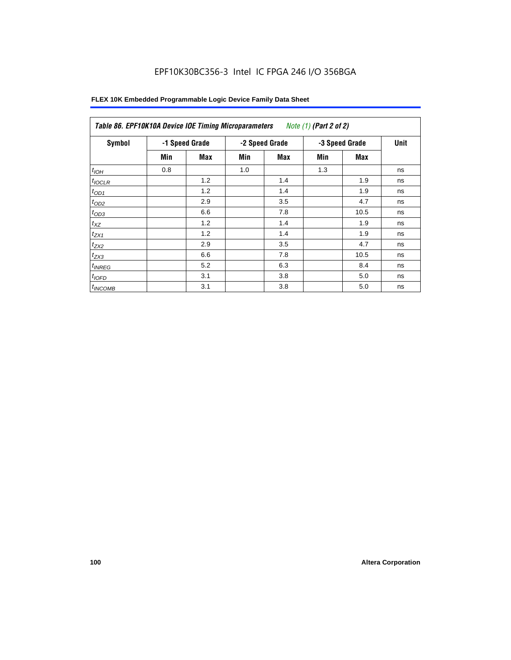| Symbol             |     | -1 Speed Grade |     | -2 Speed Grade | -3 Speed Grade | Unit |    |
|--------------------|-----|----------------|-----|----------------|----------------|------|----|
|                    | Min | Max            | Min | Max            | Min            | Max  |    |
| $t_{IOH}$          | 0.8 |                | 1.0 |                | 1.3            |      | ns |
| $t_{IOCLR}$        |     | 1.2            |     | 1.4            |                | 1.9  | ns |
| $t_{OD1}$          |     | 1.2            |     | 1.4            |                | 1.9  | ns |
| $t_{OD2}$          |     | 2.9            |     | 3.5            |                | 4.7  | ns |
| $t_{OD3}$          |     | 6.6            |     | 7.8            |                | 10.5 | ns |
| $t_{XZ}$           |     | 1.2            |     | 1.4            |                | 1.9  | ns |
| $t_{ZX1}$          |     | 1.2            |     | 1.4            |                | 1.9  | ns |
| $t_{ZX2}$          |     | 2.9            |     | 3.5            |                | 4.7  | ns |
| $t_{ZX3}$          |     | 6.6            |     | 7.8            |                | 10.5 | ns |
| <sup>t</sup> INREG |     | 5.2            |     | 6.3            |                | 8.4  | ns |
| $t_{IOFD}$         |     | 3.1            |     | 3.8            |                | 5.0  | ns |
| $t_{INCOMB}$       |     | 3.1            |     | 3.8            |                | 5.0  | ns |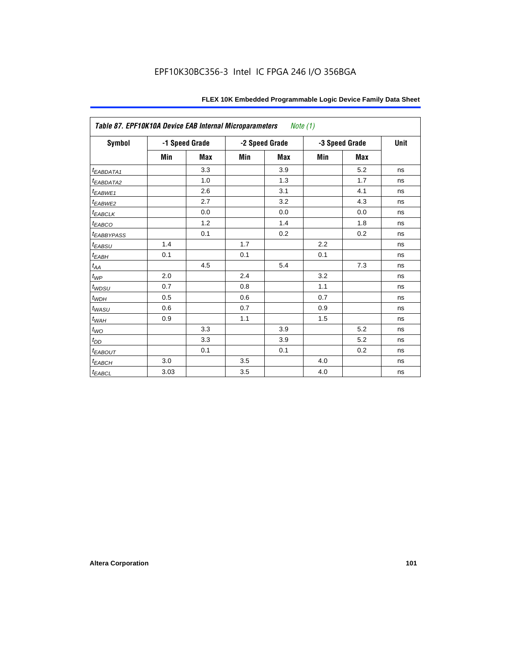| Table 87. EPF10K10A Device EAB Internal Microparameters |      |                |     | Note (1)       |     |                |      |
|---------------------------------------------------------|------|----------------|-----|----------------|-----|----------------|------|
| <b>Symbol</b>                                           |      | -1 Speed Grade |     | -2 Speed Grade |     | -3 Speed Grade | Unit |
|                                                         | Min  | <b>Max</b>     | Min | <b>Max</b>     | Min | <b>Max</b>     |      |
| t <sub>EABDATA1</sub>                                   |      | 3.3            |     | 3.9            |     | 5.2            | ns   |
| t <sub>EABDATA2</sub>                                   |      | 1.0            |     | 1.3            |     | 1.7            | ns   |
| $t_{EABWE1}$                                            |      | 2.6            |     | 3.1            |     | 4.1            | ns   |
| t <sub>EABWE2</sub>                                     |      | 2.7            |     | 3.2            |     | 4.3            | ns   |
| $t_{EABCLK}$                                            |      | 0.0            |     | 0.0            |     | 0.0            | ns   |
| $t_{EABCO}$                                             |      | 1.2            |     | 1.4            |     | 1.8            | ns   |
| <i><b>EABBYPASS</b></i>                                 |      | 0.1            |     | 0.2            |     | 0.2            | ns   |
| $t_{EABSU}$                                             | 1.4  |                | 1.7 |                | 2.2 |                | ns   |
| $t_{EABH}$                                              | 0.1  |                | 0.1 |                | 0.1 |                | ns   |
| $t_{\mathit{AA}}$                                       |      | 4.5            |     | 5.4            |     | 7.3            | ns   |
| $t_{\mathit{WP}}$                                       | 2.0  |                | 2.4 |                | 3.2 |                | ns   |
| $t_{W\!D\!S\!U}$                                        | 0.7  |                | 0.8 |                | 1.1 |                | ns   |
| $t_{WDH}$                                               | 0.5  |                | 0.6 |                | 0.7 |                | ns   |
| $t_{WASU}$                                              | 0.6  |                | 0.7 |                | 0.9 |                | ns   |
| $t_{WAH}$                                               | 0.9  |                | 1.1 |                | 1.5 |                | ns   |
| $t_{WO}$                                                |      | 3.3            |     | 3.9            |     | 5.2            | ns   |
| $t_{DD}$                                                |      | 3.3            |     | 3.9            |     | 5.2            | ns   |
| $t_{EABOUT}$                                            |      | 0.1            |     | 0.1            |     | 0.2            | ns   |
| $t_{EABCH}$                                             | 3.0  |                | 3.5 |                | 4.0 |                | ns   |
| $t_{EABCL}$                                             | 3.03 |                | 3.5 |                | 4.0 |                | ns   |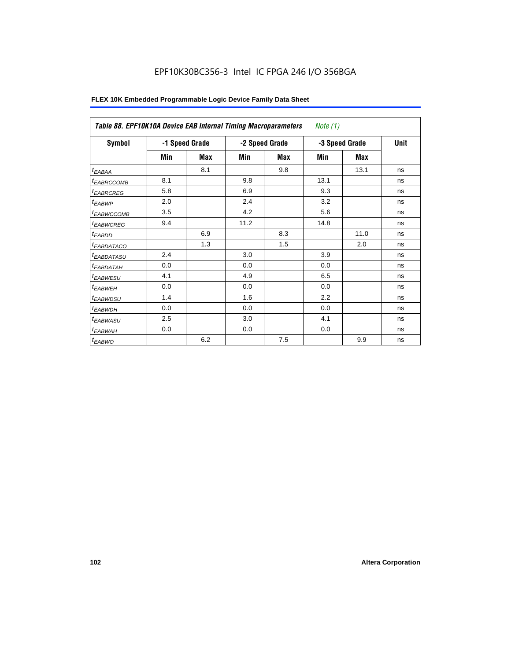| Table 88. EPF10K10A Device EAB Internal Timing Macroparameters |     |                |      |                | Note (1)       |             |    |
|----------------------------------------------------------------|-----|----------------|------|----------------|----------------|-------------|----|
| <b>Symbol</b>                                                  |     | -1 Speed Grade |      | -2 Speed Grade | -3 Speed Grade | <b>Unit</b> |    |
|                                                                | Min | <b>Max</b>     | Min  | Max            | Min            | Max         |    |
| $t_{EABA}$                                                     |     | 8.1            |      | 9.8            |                | 13.1        | ns |
| <sup>t</sup> EABRCCOMB                                         | 8.1 |                | 9.8  |                | 13.1           |             | ns |
| <sup>t</sup> EABRCREG                                          | 5.8 |                | 6.9  |                | 9.3            |             | ns |
| <sup>t</sup> EABWP                                             | 2.0 |                | 2.4  |                | 3.2            |             | ns |
| <sup>I</sup> EABWCCOMB                                         | 3.5 |                | 4.2  |                | 5.6            |             | ns |
| <sup>t</sup> EABWCREG                                          | 9.4 |                | 11.2 |                | 14.8           |             | ns |
| <sup>t</sup> EABDD                                             |     | 6.9            |      | 8.3            |                | 11.0        | ns |
| <sup>t</sup> EABDATACO                                         |     | 1.3            |      | 1.5            |                | 2.0         | ns |
| <sup>t</sup> EABDATASU                                         | 2.4 |                | 3.0  |                | 3.9            |             | ns |
| <sup>t</sup> EABDATAH                                          | 0.0 |                | 0.0  |                | 0.0            |             | ns |
| <sup>t</sup> EABWESU                                           | 4.1 |                | 4.9  |                | 6.5            |             | ns |
| <sup>t</sup> EABWEH                                            | 0.0 |                | 0.0  |                | 0.0            |             | ns |
| <sup>t</sup> EABWDSU                                           | 1.4 |                | 1.6  |                | 2.2            |             | ns |
| <sup>t</sup> EABWDH                                            | 0.0 |                | 0.0  |                | 0.0            |             | ns |
| <sup>t</sup> EABWASU                                           | 2.5 |                | 3.0  |                | 4.1            |             | ns |
| <sup>t</sup> EABWAH                                            | 0.0 |                | 0.0  |                | 0.0            |             | ns |
| <sup>t</sup> EABWO                                             |     | 6.2            |      | 7.5            |                | 9.9         | ns |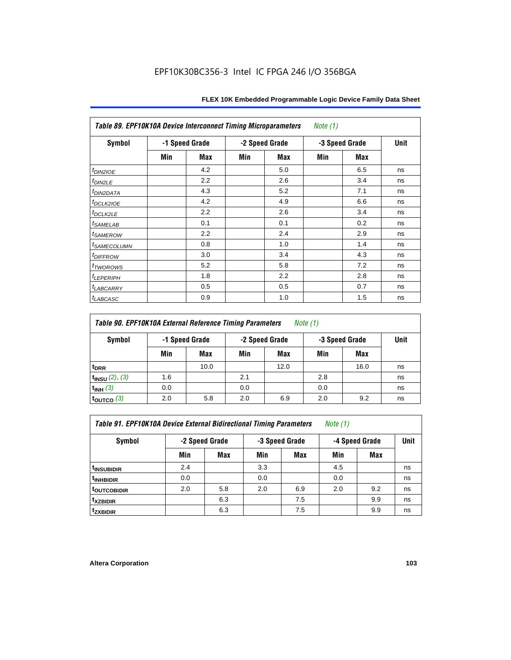| Table 89. EPF10K10A Device Interconnect Timing Microparameters<br>Note $(1)$ |                |     |     |                |     |                |    |  |  |  |
|------------------------------------------------------------------------------|----------------|-----|-----|----------------|-----|----------------|----|--|--|--|
| Symbol                                                                       | -1 Speed Grade |     |     | -2 Speed Grade |     | -3 Speed Grade |    |  |  |  |
|                                                                              | Min            | Max | Min | Max            | Min | <b>Max</b>     |    |  |  |  |
| $tD$ IN2IOE                                                                  |                | 4.2 |     | 5.0            |     | 6.5            | ns |  |  |  |
| t <sub>DIN2LE</sub>                                                          |                | 2.2 |     | 2.6            |     | 3.4            | ns |  |  |  |
| <sup>t</sup> DIN2DATA                                                        |                | 4.3 |     | 5.2            |     | 7.1            | ns |  |  |  |
| t <sub>DCLK2IOE</sub>                                                        |                | 4.2 |     | 4.9            |     | 6.6            | ns |  |  |  |
| t <sub>DCLK2LE</sub>                                                         |                | 2.2 |     | 2.6            |     | 3.4            | ns |  |  |  |
| <i>t<sub>SAMELAB</sub></i>                                                   |                | 0.1 |     | 0.1            |     | 0.2            | ns |  |  |  |
| <i>t<sub>SAMEROW</sub></i>                                                   |                | 2.2 |     | 2.4            |     | 2.9            | ns |  |  |  |
| <i>t<sub>SAMECOLUMN</sub></i>                                                |                | 0.8 |     | 1.0            |     | 1.4            | ns |  |  |  |
| <i>t<sub>DIFFROW</sub></i>                                                   |                | 3.0 |     | 3.4            |     | 4.3            | ns |  |  |  |
| <i>t</i> <sub>TWOROWS</sub>                                                  |                | 5.2 |     | 5.8            |     | 7.2            | ns |  |  |  |
| <b><i>LEPERIPH</i></b>                                                       |                | 1.8 |     | 2.2            |     | 2.8            | ns |  |  |  |
| <sup>t</sup> LABCARRY                                                        |                | 0.5 |     | 0.5            |     | 0.7            | ns |  |  |  |
| t <sub>LABCASC</sub>                                                         |                | 0.9 |     | 1.0            |     | 1.5            | ns |  |  |  |

| Table 90. EPF10K10A External Reference Timing Parameters | Note (1) |
|----------------------------------------------------------|----------|
|----------------------------------------------------------|----------|

| Symbol                 | -1 Speed Grade |      | -2 Speed Grade |      | -3 Speed Grade | Unit |    |
|------------------------|----------------|------|----------------|------|----------------|------|----|
|                        | Min            | Max  | Min            | Max  | Min            | Max  |    |
| t <sub>DRR</sub>       |                | 10.0 |                | 12.0 |                | 16.0 | ns |
| $t_{INSU} (2), (3)$    | 1.6            |      | 2.1            |      | 2.8            |      | ns |
| $t_{INH}$ (3)          | 0.0            |      | 0.0            |      | 0.0            |      | ns |
| $t_{\text{OUTCO}}$ (3) | 2.0            | 5.8  | 2.0            | 6.9  | 2.0            | 9.2  | ns |

*Table 91. EPF10K10A Device External Bidirectional Timing Parameters Note (1)*

| Symbol                  | -2 Speed Grade |     |     | -3 Speed Grade | -4 Speed Grade | Unit       |    |
|-------------------------|----------------|-----|-----|----------------|----------------|------------|----|
|                         | Min            | Max | Min | <b>Max</b>     | Min            | <b>Max</b> |    |
| <sup>t</sup> insubidir  | 2.4            |     | 3.3 |                | 4.5            |            | ns |
| <sup>T</sup> INHBIDIR   | 0.0            |     | 0.0 |                | 0.0            |            | ns |
| <sup>t</sup> OUTCOBIDIR | 2.0            | 5.8 | 2.0 | 6.9            | 2.0            | 9.2        | ns |
| <sup>t</sup> xzbidir    |                | 6.3 |     | 7.5            |                | 9.9        | ns |
| <sup>t</sup> zxbidir    |                | 6.3 |     | 7.5            |                | 9.9        | ns |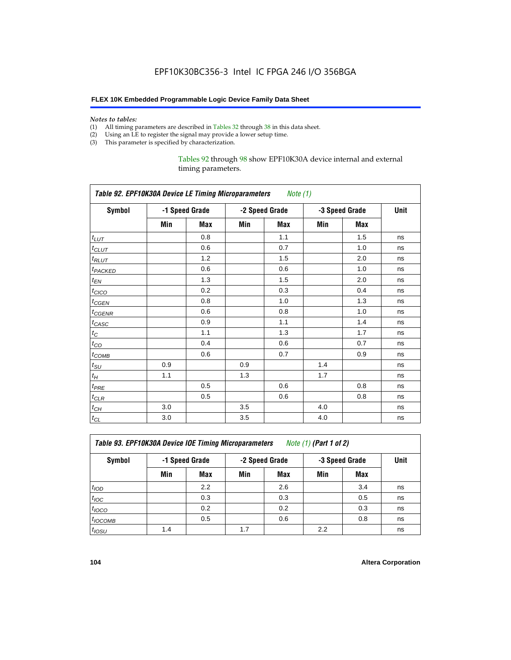#### **FLEX 10K Embedded Programmable Logic Device Family Data Sheet**

#### *Notes to tables:*

- (1) All timing parameters are described in Tables 32 through 38 in this data sheet.
- (2) Using an LE to register the signal may provide a lower setup time.
- (3) This parameter is specified by characterization.

Tables 92 through 98 show EPF10K30A device internal and external timing parameters.

| Table 92. EPF10K30A Device LE Timing Microparameters Note (1) |     |                |     |                |     |                |    |  |  |
|---------------------------------------------------------------|-----|----------------|-----|----------------|-----|----------------|----|--|--|
| <b>Symbol</b>                                                 |     | -1 Speed Grade |     | -2 Speed Grade |     | -3 Speed Grade |    |  |  |
|                                                               | Min | <b>Max</b>     | Min | Max            | Min | Max            |    |  |  |
| $t_{LUT}$                                                     |     | 0.8            |     | 1.1            |     | 1.5            | ns |  |  |
| $t_{CLUT}$                                                    |     | 0.6            |     | 0.7            |     | 1.0            | ns |  |  |
| $t_{RLUT}$                                                    |     | 1.2            |     | 1.5            |     | 2.0            | ns |  |  |
| t <sub>PACKED</sub>                                           |     | 0.6            |     | 0.6            |     | 1.0            | ns |  |  |
| $t_{EN}$                                                      |     | 1.3            |     | 1.5            |     | 2.0            | ns |  |  |
| $t_{CICO}$                                                    |     | 0.2            |     | 0.3            |     | 0.4            | ns |  |  |
| $t_{\text{GEN}}$                                              |     | 0.8            |     | 1.0            |     | 1.3            | ns |  |  |
| $t_{\text{GENR}}$                                             |     | 0.6            |     | 0.8            |     | 1.0            | ns |  |  |
| $t_{CASC}$                                                    |     | 0.9            |     | 1.1            |     | 1.4            | ns |  |  |
| $t_C$                                                         |     | 1.1            |     | 1.3            |     | 1.7            | ns |  |  |
| $t_{CO}$                                                      |     | 0.4            |     | 0.6            |     | 0.7            | ns |  |  |
| $t_{\text{COMB}}$                                             |     | 0.6            |     | 0.7            |     | 0.9            | ns |  |  |
| $t_{\rm SU}$                                                  | 0.9 |                | 0.9 |                | 1.4 |                | ns |  |  |
| $t_H$                                                         | 1.1 |                | 1.3 |                | 1.7 |                | ns |  |  |
| $t_{PRE}$                                                     |     | 0.5            |     | 0.6            |     | 0.8            | ns |  |  |
| $t_{CLR}$                                                     |     | 0.5            |     | 0.6            |     | 0.8            | ns |  |  |
| $t_{CH}$                                                      | 3.0 |                | 3.5 |                | 4.0 |                | ns |  |  |
| $t_{\rm CL}$                                                  | 3.0 |                | 3.5 |                | 4.0 |                | ns |  |  |

*Table 93. EPF10K30A Device IOE Timing Microparameters Note (1) (Part 1 of 2)*

| Symbol            | -1 Speed Grade |     | -2 Speed Grade |            | -3 Speed Grade | Unit       |    |
|-------------------|----------------|-----|----------------|------------|----------------|------------|----|
|                   | Min            | Max | Min            | <b>Max</b> | Min            | <b>Max</b> |    |
| t <sub>IOD</sub>  |                | 2.2 |                | 2.6        |                | 3.4        | ns |
| $t_{\text{IOC}}$  |                | 0.3 |                | 0.3        |                | 0.5        | ns |
| $t_{IOCO}$        |                | 0.2 |                | 0.2        |                | 0.3        | ns |
| $t_{IOCOMB}$      |                | 0.5 |                | 0.6        |                | 0.8        | ns |
| t <sub>IOSU</sub> | 1.4            |     | 1.7            |            | 2.2            |            | ns |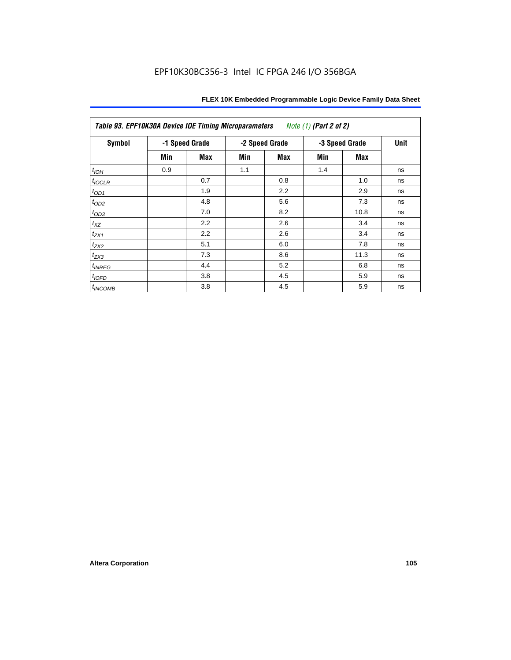| Table 93. EPF10K30A Device IOE Timing Microparameters<br>Note (1) (Part 2 of 2) |     |                |     |                |     |                |    |  |  |  |
|---------------------------------------------------------------------------------|-----|----------------|-----|----------------|-----|----------------|----|--|--|--|
| <b>Symbol</b>                                                                   |     | -1 Speed Grade |     | -2 Speed Grade |     | -3 Speed Grade |    |  |  |  |
|                                                                                 | Min | <b>Max</b>     | Min | Max            | Min | Max            |    |  |  |  |
| $t_{IOH}$                                                                       | 0.9 |                | 1.1 |                | 1.4 |                | ns |  |  |  |
| $t_{IOCLR}$                                                                     |     | 0.7            |     | 0.8            |     | 1.0            | ns |  |  |  |
| $t_{OD1}$                                                                       |     | 1.9            |     | 2.2            |     | 2.9            | ns |  |  |  |
| $t_{OD2}$                                                                       |     | 4.8            |     | 5.6            |     | 7.3            | ns |  |  |  |
| $t_{OD3}$                                                                       |     | 7.0            |     | 8.2            |     | 10.8           | ns |  |  |  |
| $t_{XZ}$                                                                        |     | 2.2            |     | 2.6            |     | 3.4            | ns |  |  |  |
| $t_{ZX1}$                                                                       |     | 2.2            |     | 2.6            |     | 3.4            | ns |  |  |  |
| $t_{ZX2}$                                                                       |     | 5.1            |     | 6.0            |     | 7.8            | ns |  |  |  |
| $t_{ZX3}$                                                                       |     | 7.3            |     | 8.6            |     | 11.3           | ns |  |  |  |
| $t_{INREG}$                                                                     |     | 4.4            |     | 5.2            |     | 6.8            | ns |  |  |  |
| $t_{IOFD}$                                                                      |     | 3.8            |     | 4.5            |     | 5.9            | ns |  |  |  |
| $t_{INCOMB}$                                                                    |     | 3.8            |     | 4.5            |     | 5.9            | ns |  |  |  |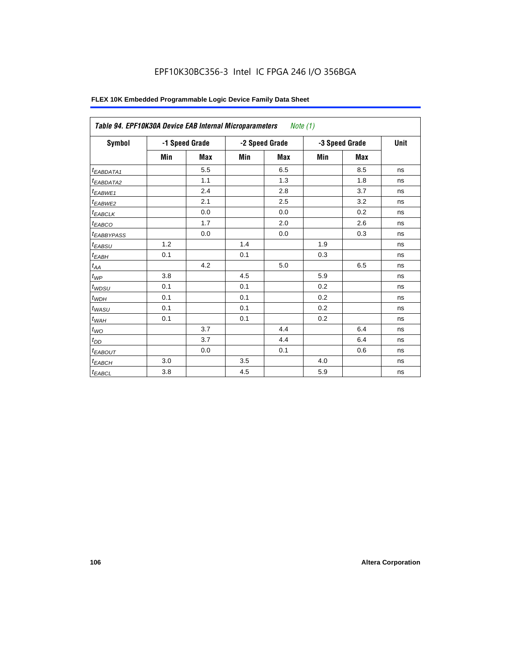| <b>Symbol</b>          | -1 Speed Grade |            |     | -2 Speed Grade | -3 Speed Grade |            | Unit |
|------------------------|----------------|------------|-----|----------------|----------------|------------|------|
|                        | Min            | <b>Max</b> | Min | <b>Max</b>     | Min            | <b>Max</b> |      |
| <sup>t</sup> EABDATA1  |                | 5.5        |     | 6.5            |                | 8.5        | ns   |
| <sup>t</sup> EABDATA2  |                | 1.1        |     | 1.3            |                | 1.8        | ns   |
| <sup>t</sup> EABWE1    |                | 2.4        |     | 2.8            |                | 3.7        | ns   |
| <sup>t</sup> EABWE2    |                | 2.1        |     | 2.5            |                | 3.2        | ns   |
| <sup>t</sup> EABCLK    |                | 0.0        |     | 0.0            |                | 0.2        | ns   |
| <sup>t</sup> EABCO     |                | 1.7        |     | 2.0            |                | 2.6        | ns   |
| <sup>t</sup> EABBYPASS |                | 0.0        |     | 0.0            |                | 0.3        | ns   |
| <sup>t</sup> EABSU     | 1.2            |            | 1.4 |                | 1.9            |            | ns   |
| t <sub>ЕАВН</sub>      | 0.1            |            | 0.1 |                | 0.3            |            | ns   |
| $t_{AA}$               |                | 4.2        |     | 5.0            |                | 6.5        | ns   |
| $t_{\mathcal{WP}}$     | 3.8            |            | 4.5 |                | 5.9            |            | ns   |
| $t_{W\!D\!S\!U}$       | 0.1            |            | 0.1 |                | 0.2            |            | ns   |
| $t_{WDH}$              | 0.1            |            | 0.1 |                | 0.2            |            | ns   |
| $t_{WASU}$             | 0.1            |            | 0.1 |                | 0.2            |            | ns   |
| $t_{WAH}$              | 0.1            |            | 0.1 |                | 0.2            |            | ns   |
| $t_{WO}$               |                | 3.7        |     | 4.4            |                | 6.4        | ns   |
| $t_{DD}$               |                | 3.7        |     | 4.4            |                | 6.4        | ns   |
| <sup>t</sup> EABOUT    |                | 0.0        |     | 0.1            |                | 0.6        | ns   |
| <sup>t</sup> EABCH     | 3.0            |            | 3.5 |                | 4.0            |            | ns   |
| $t_{EABCL}$            | 3.8            |            | 4.5 |                | 5.9            |            | ns   |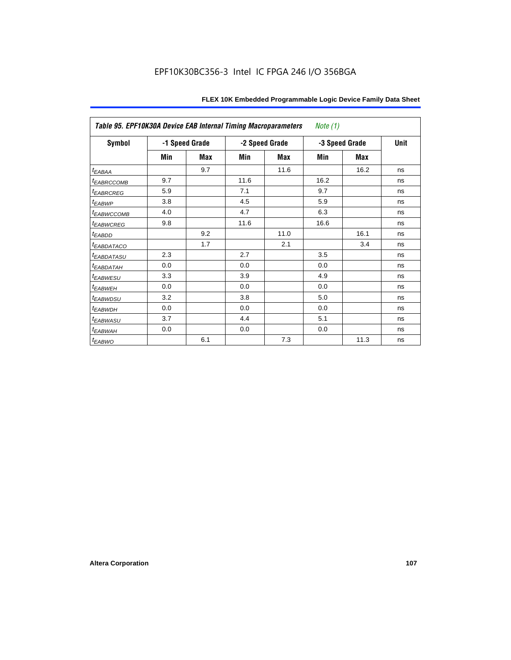| Table 95. EPF10K30A Device EAB Internal Timing Macroparameters<br>Note $(1)$ |                |            |                |            |                |            |             |  |  |
|------------------------------------------------------------------------------|----------------|------------|----------------|------------|----------------|------------|-------------|--|--|
| Symbol                                                                       | -1 Speed Grade |            | -2 Speed Grade |            | -3 Speed Grade |            | <b>Unit</b> |  |  |
|                                                                              | Min            | <b>Max</b> | Min            | <b>Max</b> | Min            | <b>Max</b> |             |  |  |
| $t_{EABA}$                                                                   |                | 9.7        |                | 11.6       |                | 16.2       | ns          |  |  |
| <sup>t</sup> EABRCCOMB                                                       | 9.7            |            | 11.6           |            | 16.2           |            | ns          |  |  |
| <i><b>EABRCREG</b></i>                                                       | 5.9            |            | 7.1            |            | 9.7            |            | ns          |  |  |
| t <sub>EABWP</sub>                                                           | 3.8            |            | 4.5            |            | 5.9            |            | ns          |  |  |
| <sup>t</sup> ЕАВWССОМВ                                                       | 4.0            |            | 4.7            |            | 6.3            |            | ns          |  |  |
| <sup>t</sup> EABWCREG                                                        | 9.8            |            | 11.6           |            | 16.6           |            | ns          |  |  |
| $t_{EABDD}$                                                                  |                | 9.2        |                | 11.0       |                | 16.1       | ns          |  |  |
| <b><i>EABDATACO</i></b>                                                      |                | 1.7        |                | 2.1        |                | 3.4        | ns          |  |  |
| <sup>t</sup> EABDATASU                                                       | 2.3            |            | 2.7            |            | 3.5            |            | ns          |  |  |
| <sup>t</sup> EABDATAH                                                        | 0.0            |            | 0.0            |            | 0.0            |            | ns          |  |  |
| <sup>t</sup> EABWESU                                                         | 3.3            |            | 3.9            |            | 4.9            |            | ns          |  |  |
| t <sub>EABWEH</sub>                                                          | 0.0            |            | 0.0            |            | 0.0            |            | ns          |  |  |
| t <sub>EABWDSU</sub>                                                         | 3.2            |            | 3.8            |            | 5.0            |            | ns          |  |  |
| t <sub>EABWDH</sub>                                                          | 0.0            |            | 0.0            |            | 0.0            |            | ns          |  |  |
| t <sub>EABWASU</sub>                                                         | 3.7            |            | 4.4            |            | 5.1            |            | ns          |  |  |
| <sup>t</sup> EABWAH                                                          | 0.0            |            | 0.0            |            | 0.0            |            | ns          |  |  |
| $t_{EABWO}$                                                                  |                | 6.1        |                | 7.3        |                | 11.3       | ns          |  |  |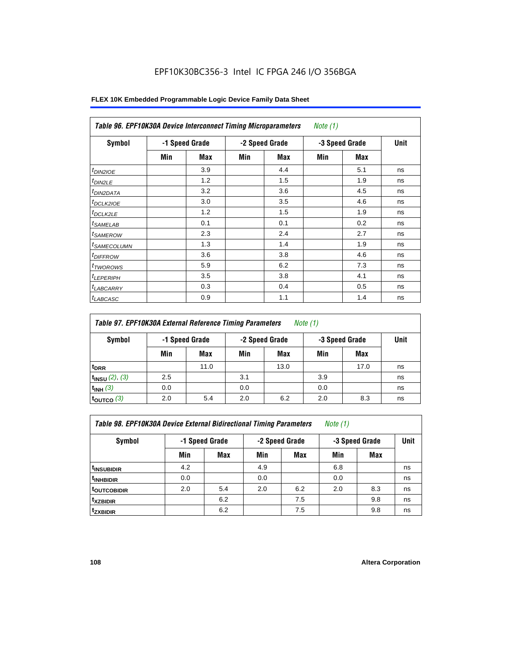| <b>Symbol</b>              |     | -1 Speed Grade |     | -2 Speed Grade | -3 Speed Grade | <b>Unit</b> |    |
|----------------------------|-----|----------------|-----|----------------|----------------|-------------|----|
|                            | Min | Max            | Min | Max            | Min            | Max         |    |
| $t_{DINZIOE}$              |     | 3.9            |     | 4.4            |                | 5.1         | ns |
| t <sub>DIN2LE</sub>        |     | 1.2            |     | 1.5            |                | 1.9         | ns |
| <sup>t</sup> DIN2DATA      |     | 3.2            |     | 3.6            |                | 4.5         | ns |
| t <sub>DCLK2IOE</sub>      |     | 3.0            |     | 3.5            |                | 4.6         | ns |
| <sup>t</sup> DCLK2LE       |     | 1.2            |     | 1.5            |                | 1.9         | ns |
| <sup>t</sup> SAMELAB       |     | 0.1            |     | 0.1            |                | 0.2         | ns |
| <sup>t</sup> SAMEROW       |     | 2.3            |     | 2.4            |                | 2.7         | ns |
| <sup>t</sup> SAMECOLUMN    |     | 1.3            |     | 1.4            |                | 1.9         | ns |
| <i>t<sub>DIFFROW</sub></i> |     | 3.6            |     | 3.8            |                | 4.6         | ns |
| <sup>t</sup> TWOROWS       |     | 5.9            |     | 6.2            |                | 7.3         | ns |
| <sup>t</sup> LEPERIPH      |     | 3.5            |     | 3.8            |                | 4.1         | ns |
| <b>LABCARRY</b>            |     | 0.3            |     | 0.4            |                | 0.5         | ns |
| <sup>t</sup> LABCASC       |     | 0.9            |     | 1.1            |                | 1.4         | ns |

## **FLEX 10K Embedded Programmable Logic Device Family Data Sheet**

| Table 97. EPF10K30A External Reference Timing Parameters<br><i>Note</i> $(1)$ |     |                |     |                |     |                |      |  |  |  |
|-------------------------------------------------------------------------------|-----|----------------|-----|----------------|-----|----------------|------|--|--|--|
| Symbol                                                                        |     | -1 Speed Grade |     | -2 Speed Grade |     | -3 Speed Grade | Unit |  |  |  |
|                                                                               | Min | Max            | Min | <b>Max</b>     | Min | <b>Max</b>     |      |  |  |  |
| t <sub>DRR</sub>                                                              |     | 11.0           |     | 13.0           |     | 17.0           | ns   |  |  |  |
| $t_{INSU}$ (2), (3)                                                           | 2.5 |                | 3.1 |                | 3.9 |                | ns   |  |  |  |
| $t_{INH}$ (3)                                                                 | 0.0 |                | 0.0 |                | 0.0 |                | ns   |  |  |  |
| $t_{\text{OUTCO}}$ (3)                                                        | 2.0 | 5.4            | 2.0 | 6.2            | 2.0 | 8.3            | ns   |  |  |  |

*Table 98. EPF10K30A Device External Bidirectional Timing Parameters Note (1)*

| Symbol                 |     | -1 Speed Grade |     | -2 Speed Grade |     | -3 Speed Grade |    |  |
|------------------------|-----|----------------|-----|----------------|-----|----------------|----|--|
|                        | Min | <b>Max</b>     | Min | <b>Max</b>     | Min | <b>Max</b>     |    |  |
| <sup>t</sup> INSUBIDIR | 4.2 |                | 4.9 |                | 6.8 |                | ns |  |
| <sup>t</sup> INHBIDIR  | 0.0 |                | 0.0 |                | 0.0 |                | ns |  |
| <b>toutcobidir</b>     | 2.0 | 5.4            | 2.0 | 6.2            | 2.0 | 8.3            | ns |  |
| <sup>t</sup> xzbidir   |     | 6.2            |     | 7.5            |     | 9.8            | ns |  |
| <i>t</i> zxbidir       |     | 6.2            |     | 7.5            |     | 9.8            | ns |  |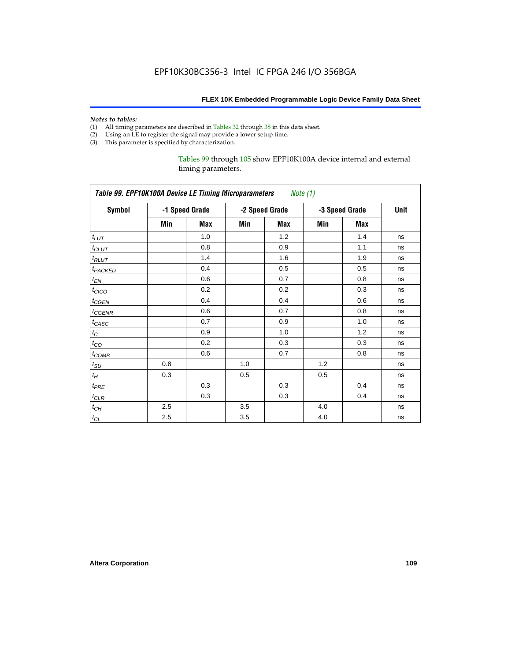#### *Notes to tables:*

- (1) All timing parameters are described in Tables 32 through 38 in this data sheet.
- (2) Using an LE to register the signal may provide a lower setup time.
- (3) This parameter is specified by characterization.

Tables 99 through 105 show EPF10K100A device internal and external timing parameters.

| Table 99. EPF10K100A Device LE Timing Microparameters Note (1) |     |                |     |                |     |                |      |  |  |
|----------------------------------------------------------------|-----|----------------|-----|----------------|-----|----------------|------|--|--|
| <b>Symbol</b>                                                  |     | -1 Speed Grade |     | -2 Speed Grade |     | -3 Speed Grade | Unit |  |  |
|                                                                | Min | Max            | Min | Max            | Min | Max            |      |  |  |
| $t_{LUT}$                                                      |     | 1.0            |     | 1.2            |     | 1.4            | ns   |  |  |
| $t_{CLUT}$                                                     |     | 0.8            |     | 0.9            |     | 1.1            | ns   |  |  |
| $t_{RLUT}$                                                     |     | 1.4            |     | 1.6            |     | 1.9            | ns   |  |  |
| t <sub>PACKED</sub>                                            |     | 0.4            |     | 0.5            |     | 0.5            | ns   |  |  |
| $t_{EN}$                                                       |     | 0.6            |     | 0.7            |     | 0.8            | ns   |  |  |
| $t_{CICO}$                                                     |     | 0.2            |     | 0.2            |     | 0.3            | ns   |  |  |
| $t_{CGEN}$                                                     |     | 0.4            |     | 0.4            |     | 0.6            | ns   |  |  |
| $t_{\text{GENR}}$                                              |     | 0.6            |     | 0.7            |     | 0.8            | ns   |  |  |
| t <sub>CASC</sub>                                              |     | 0.7            |     | 0.9            |     | 1.0            | ns   |  |  |
| $t_{\rm C}$                                                    |     | 0.9            |     | 1.0            |     | 1.2            | ns   |  |  |
| $t_{CO}$                                                       |     | 0.2            |     | 0.3            |     | 0.3            | ns   |  |  |
| $t_{COMB}$                                                     |     | 0.6            |     | 0.7            |     | 0.8            | ns   |  |  |
| $t_{\rm SU}$                                                   | 0.8 |                | 1.0 |                | 1.2 |                | ns   |  |  |
| $t_H\,$                                                        | 0.3 |                | 0.5 |                | 0.5 |                | ns   |  |  |
| $t_{PRE}$                                                      |     | 0.3            |     | 0.3            |     | 0.4            | ns   |  |  |
| $t_{CLR}$                                                      |     | 0.3            |     | 0.3            |     | 0.4            | ns   |  |  |
| $t_{CH}$                                                       | 2.5 |                | 3.5 |                | 4.0 |                | ns   |  |  |
| $t_{CL}$                                                       | 2.5 |                | 3.5 |                | 4.0 |                | ns   |  |  |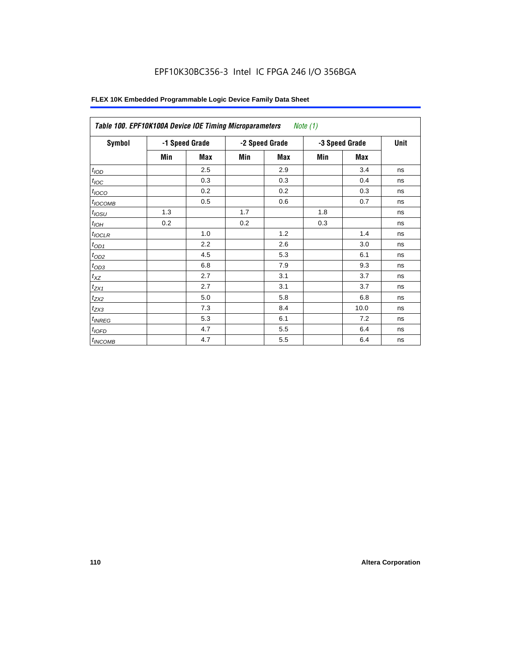| Symbol           | -1 Speed Grade |     |     | -2 Speed Grade | -3 Speed Grade | Unit |    |
|------------------|----------------|-----|-----|----------------|----------------|------|----|
|                  | Min            | Max | Min | <b>Max</b>     | Min            | Max  |    |
| t <sub>IOD</sub> |                | 2.5 |     | 2.9            |                | 3.4  | ns |
| $t_{\text{IOC}}$ |                | 0.3 |     | 0.3            |                | 0.4  | ns |
| $t_{IOCO}$       |                | 0.2 |     | 0.2            |                | 0.3  | ns |
| $t_{IOCOMB}$     |                | 0.5 |     | 0.6            |                | 0.7  | ns |
| $t_{IOSU}$       | 1.3            |     | 1.7 |                | 1.8            |      | ns |
| $t_{IOH}$        | 0.2            |     | 0.2 |                | 0.3            |      | ns |
| $t_{IOCLR}$      |                | 1.0 |     | 1.2            |                | 1.4  | ns |
| $t_{OD1}$        |                | 2.2 |     | 2.6            |                | 3.0  | ns |
| $t_{OD2}$        |                | 4.5 |     | 5.3            |                | 6.1  | ns |
| $t_{OD3}$        |                | 6.8 |     | 7.9            |                | 9.3  | ns |
| $t_{XZ}$         |                | 2.7 |     | 3.1            |                | 3.7  | ns |
| $t_{ZX1}$        |                | 2.7 |     | 3.1            |                | 3.7  | ns |
| $t_{ZX2}$        |                | 5.0 |     | 5.8            |                | 6.8  | ns |
| $t_{ZX3}$        |                | 7.3 |     | 8.4            |                | 10.0 | ns |
| $t_{INREG}$      |                | 5.3 |     | 6.1            |                | 7.2  | ns |
| $t_{IOED}$       |                | 4.7 |     | 5.5            |                | 6.4  | ns |
| $t_{INCOMB}$     |                | 4.7 |     | 5.5            |                | 6.4  | ns |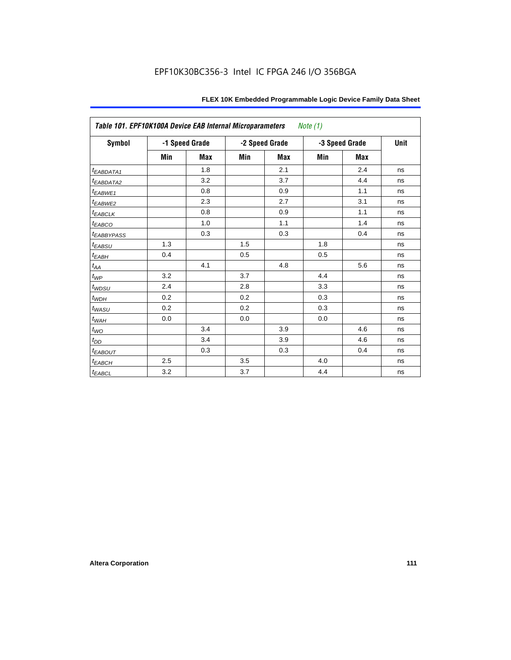| Table 101. EPF10K100A Device EAB Internal Microparameters |     |                |     |                | Note (1) |                |      |
|-----------------------------------------------------------|-----|----------------|-----|----------------|----------|----------------|------|
| Symbol                                                    |     | -1 Speed Grade |     | -2 Speed Grade |          | -3 Speed Grade | Unit |
|                                                           | Min | Max            | Min | <b>Max</b>     | Min      | <b>Max</b>     |      |
| $t_{EABDATA1}$                                            |     | 1.8            |     | 2.1            |          | 2.4            | ns   |
| $t_{EABDATA2}$                                            |     | 3.2            |     | 3.7            |          | 4.4            | ns   |
| $t_{EABWE1}$                                              |     | 0.8            |     | 0.9            |          | 1.1            | ns   |
| $t_{EABWE2}$                                              |     | 2.3            |     | 2.7            |          | 3.1            | ns   |
| $t_{EABCLK}$                                              |     | 0.8            |     | 0.9            |          | 1.1            | ns   |
| $t_{EABCO}$                                               |     | 1.0            |     | 1.1            |          | 1.4            | ns   |
| <i><b>EABBYPASS</b></i>                                   |     | 0.3            |     | 0.3            |          | 0.4            | ns   |
| $t_{EABSU}$                                               | 1.3 |                | 1.5 |                | 1.8      |                | ns   |
| $t_{EABH}$                                                | 0.4 |                | 0.5 |                | 0.5      |                | ns   |
| $t_{AA}$                                                  |     | 4.1            |     | 4.8            |          | 5.6            | ns   |
| $t_{WP}$                                                  | 3.2 |                | 3.7 |                | 4.4      |                | ns   |
| $t_{WDSU}$                                                | 2.4 |                | 2.8 |                | 3.3      |                | ns   |
| $t_{WDH}$                                                 | 0.2 |                | 0.2 |                | 0.3      |                | ns   |
| $t_{WASU}$                                                | 0.2 |                | 0.2 |                | 0.3      |                | ns   |
| $t_{W\!\!AH}$                                             | 0.0 |                | 0.0 |                | 0.0      |                | ns   |
| $t_{WO}$                                                  |     | 3.4            |     | 3.9            |          | 4.6            | ns   |
| $t_{DD}$                                                  |     | 3.4            |     | 3.9            |          | 4.6            | ns   |
| $t_{EABOUT}$                                              |     | 0.3            |     | 0.3            |          | 0.4            | ns   |
| $t_{EABCH}$                                               | 2.5 |                | 3.5 |                | 4.0      |                | ns   |
| $t_{EABCL}$                                               | 3.2 |                | 3.7 |                | 4.4      |                | ns   |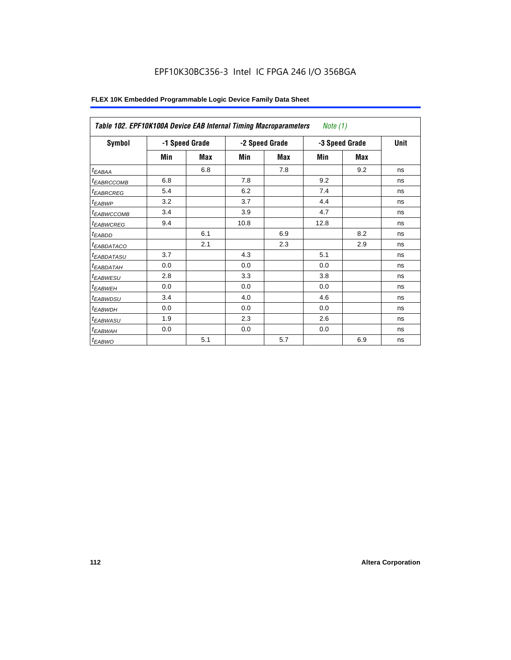|                        | Table 102. EPF10K100A Device EAB Internal Timing Macroparameters<br>Note (1) |            |      |                |      |                |    |  |  |  |  |
|------------------------|------------------------------------------------------------------------------|------------|------|----------------|------|----------------|----|--|--|--|--|
| Symbol                 | -1 Speed Grade                                                               |            |      | -2 Speed Grade |      | -3 Speed Grade |    |  |  |  |  |
|                        | Min                                                                          | <b>Max</b> | Min  | Max            | Min  | Max            |    |  |  |  |  |
| $t_{EABA}$             |                                                                              | 6.8        |      | 7.8            |      | 9.2            | ns |  |  |  |  |
| <sup>t</sup> EABRCCOMB | 6.8                                                                          |            | 7.8  |                | 9.2  |                | ns |  |  |  |  |
| <sup>t</sup> EABRCREG  | 5.4                                                                          |            | 6.2  |                | 7.4  |                | ns |  |  |  |  |
| <sup>t</sup> EABWP     | 3.2                                                                          |            | 3.7  |                | 4.4  |                | ns |  |  |  |  |
| <sup>t</sup> EABWCCOMB | 3.4                                                                          |            | 3.9  |                | 4.7  |                | ns |  |  |  |  |
| <sup>t</sup> EABWCREG  | 9.4                                                                          |            | 10.8 |                | 12.8 |                | ns |  |  |  |  |
| <sup>t</sup> EABDD     |                                                                              | 6.1        |      | 6.9            |      | 8.2            | ns |  |  |  |  |
| <sup>t</sup> EABDATACO |                                                                              | 2.1        |      | 2.3            |      | 2.9            | ns |  |  |  |  |
| <sup>t</sup> EABDATASU | 3.7                                                                          |            | 4.3  |                | 5.1  |                | ns |  |  |  |  |
| <sup>I</sup> EABDATAH  | 0.0                                                                          |            | 0.0  |                | 0.0  |                | ns |  |  |  |  |
| <sup>t</sup> EABWESU   | 2.8                                                                          |            | 3.3  |                | 3.8  |                | ns |  |  |  |  |
| <sup>t</sup> EABWEH    | 0.0                                                                          |            | 0.0  |                | 0.0  |                | ns |  |  |  |  |
| <sup>t</sup> EABWDSU   | 3.4                                                                          |            | 4.0  |                | 4.6  |                | ns |  |  |  |  |
| <sup>t</sup> EABWDH    | 0.0                                                                          |            | 0.0  |                | 0.0  |                | ns |  |  |  |  |
| <sup>t</sup> EABWASU   | 1.9                                                                          |            | 2.3  |                | 2.6  |                | ns |  |  |  |  |
| <sup>t</sup> EABWAH    | 0.0                                                                          |            | 0.0  |                | 0.0  |                | ns |  |  |  |  |
| $t_{EABWO}$            |                                                                              | 5.1        |      | 5.7            |      | 6.9            | ns |  |  |  |  |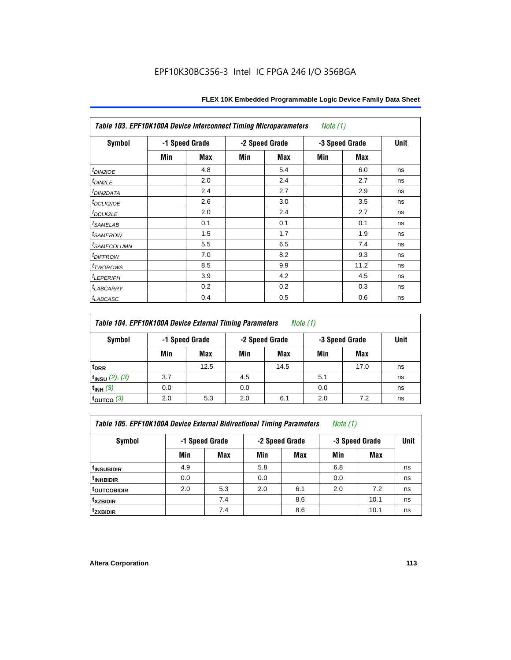| Table 103. EPF10K100A Device Interconnect Timing Microparameters<br>Note $(1)$ |                |     |     |                |                |            |    |  |  |  |
|--------------------------------------------------------------------------------|----------------|-----|-----|----------------|----------------|------------|----|--|--|--|
| <b>Symbol</b>                                                                  | -1 Speed Grade |     |     | -2 Speed Grade | -3 Speed Grade | Unit       |    |  |  |  |
|                                                                                | Min            | Max | Min | Max            | Min            | <b>Max</b> |    |  |  |  |
| $t_{DINZIOE}$                                                                  |                | 4.8 |     | 5.4            |                | 6.0        | ns |  |  |  |
| t <sub>DIN2LE</sub>                                                            |                | 2.0 |     | 2.4            |                | 2.7        | ns |  |  |  |
| <sup>t</sup> DIN2DATA                                                          |                | 2.4 |     | 2.7            |                | 2.9        | ns |  |  |  |
| t <sub>DCLK2IOE</sub>                                                          |                | 2.6 |     | 3.0            |                | 3.5        | ns |  |  |  |
| t <sub>DCLK2LE</sub>                                                           |                | 2.0 |     | 2.4            |                | 2.7        | ns |  |  |  |
| <i>t<sub>SAMELAB</sub></i>                                                     |                | 0.1 |     | 0.1            |                | 0.1        | ns |  |  |  |
| <i>t<sub>SAMEROW</sub></i>                                                     |                | 1.5 |     | 1.7            |                | 1.9        | ns |  |  |  |
| <sup>t</sup> SAMECOLUMN                                                        |                | 5.5 |     | 6.5            |                | 7.4        | ns |  |  |  |
| t <sub>DIFFROW</sub>                                                           |                | 7.0 |     | 8.2            |                | 9.3        | ns |  |  |  |
| <i>t</i> <sub>TWOROWS</sub>                                                    |                | 8.5 |     | 9.9            |                | 11.2       | ns |  |  |  |
| <b><i>LEPERIPH</i></b>                                                         |                | 3.9 |     | 4.2            |                | 4.5        | ns |  |  |  |
| t <sub>LABCARRY</sub>                                                          |                | 0.2 |     | 0.2            |                | 0.3        | ns |  |  |  |
| $t_{LABCASC}$                                                                  |                | 0.4 |     | 0.5            |                | 0.6        | ns |  |  |  |

| Table 104. EPF10K100A Device External Timing Parameters | Note (1) |
|---------------------------------------------------------|----------|
|---------------------------------------------------------|----------|

| Symbol                 | -1 Speed Grade |      | -2 Speed Grade |      | -3 Speed Grade | Unit       |    |
|------------------------|----------------|------|----------------|------|----------------|------------|----|
|                        | Min            | Max  | Min            | Max  | Min            | <b>Max</b> |    |
| t <sub>DRR</sub>       |                | 12.5 |                | 14.5 |                | 17.0       | ns |
| $t_{INSU}$ (2), (3)    | 3.7            |      | 4.5            |      | 5.1            |            | ns |
| $t_{INH}$ (3)          | 0.0            |      | 0.0            |      | 0.0            |            | ns |
| $t_{\text{OUTCO}}$ (3) | 2.0            | 5.3  | 2.0            | 6.1  | 2.0            | 7.2        | ns |

| Table 105. EPF10K100A Device External Bidirectional Timing Parameters | Note (1) |  |  |
|-----------------------------------------------------------------------|----------|--|--|
|-----------------------------------------------------------------------|----------|--|--|

| Symbol                    | -1 Speed Grade |     |     | -2 Speed Grade | -3 Speed Grade | <b>Unit</b> |    |
|---------------------------|----------------|-----|-----|----------------|----------------|-------------|----|
|                           | Min            | Max | Min | <b>Max</b>     | Min            | Max         |    |
| <sup>t</sup> INSUBIDIR    | 4.9            |     | 5.8 |                | 6.8            |             | ns |
| <sup>t</sup> INHBIDIR     | 0.0            |     | 0.0 |                | 0.0            |             | ns |
| <b><i>toutcobidir</i></b> | 2.0            | 5.3 | 2.0 | 6.1            | 2.0            | 7.2         | ns |
| <sup>t</sup> xzbidir      |                | 7.4 |     | 8.6            |                | 10.1        | ns |
| <b>tzxbidir</b>           |                | 7.4 |     | 8.6            |                | 10.1        | ns |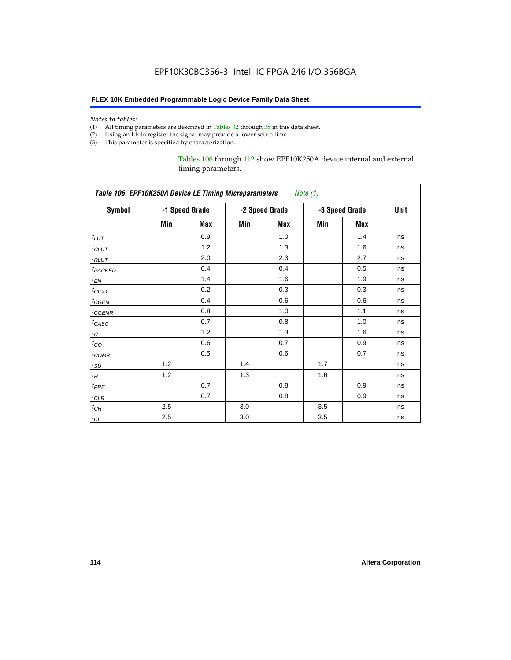#### **FLEX 10K Embedded Programmable Logic Device Family Data Sheet**

#### *Notes to tables:*

- (1) All timing parameters are described in Tables 32 through 38 in this data sheet.
- (2) Using an LE to register the signal may provide a lower setup time.
- (3) This parameter is specified by characterization.

## Tables 106 through 112 show EPF10K250A device internal and external timing parameters.

| Table 106. EPF10K250A Device LE Timing Microparameters Note (1) |     |                |     |                |     |                |    |  |
|-----------------------------------------------------------------|-----|----------------|-----|----------------|-----|----------------|----|--|
| <b>Symbol</b>                                                   |     | -1 Speed Grade |     | -2 Speed Grade |     | -3 Speed Grade |    |  |
|                                                                 | Min | Max            | Min | Max            | Min | <b>Max</b>     |    |  |
| $t_{LUT}$                                                       |     | 0.9            |     | 1.0            |     | 1.4            | ns |  |
| $t_{CLUT}$                                                      |     | 1.2            |     | 1.3            |     | 1.6            | ns |  |
| $t_{RLUT}$                                                      |     | 2.0            |     | 2.3            |     | 2.7            | ns |  |
| <b>t</b> <sub>PACKED</sub>                                      |     | 0.4            |     | 0.4            |     | 0.5            | ns |  |
| $t_{EN}$                                                        |     | 1.4            |     | 1.6            |     | 1.9            | ns |  |
| $t_{CICO}$                                                      |     | 0.2            |     | 0.3            |     | 0.3            | ns |  |
| $t_{CGEN}$                                                      |     | 0.4            |     | 0.6            |     | 0.6            | ns |  |
| t <sub>CGENR</sub>                                              |     | 0.8            |     | 1.0            |     | 1.1            | ns |  |
| $t_{CASC}$                                                      |     | 0.7            |     | 0.8            |     | 1.0            | ns |  |
| $t_C$                                                           |     | 1.2            |     | 1.3            |     | 1.6            | ns |  |
| $t_{CO}$                                                        |     | 0.6            |     | 0.7            |     | 0.9            | ns |  |
| $t_{COMB}$                                                      |     | 0.5            |     | 0.6            |     | 0.7            | ns |  |
| $t_{\rm SU}$                                                    | 1.2 |                | 1.4 |                | 1.7 |                | ns |  |
| $t_{\mathcal{H}}$                                               | 1.2 |                | 1.3 |                | 1.6 |                | ns |  |
| $t_{PRE}$                                                       |     | 0.7            |     | 0.8            |     | 0.9            | ns |  |
| $t_{CLR}$                                                       |     | 0.7            |     | 0.8            |     | 0.9            | ns |  |
| $t_{CH}$                                                        | 2.5 |                | 3.0 |                | 3.5 |                | ns |  |
| $t_{CL}$                                                        | 2.5 |                | 3.0 |                | 3.5 |                | ns |  |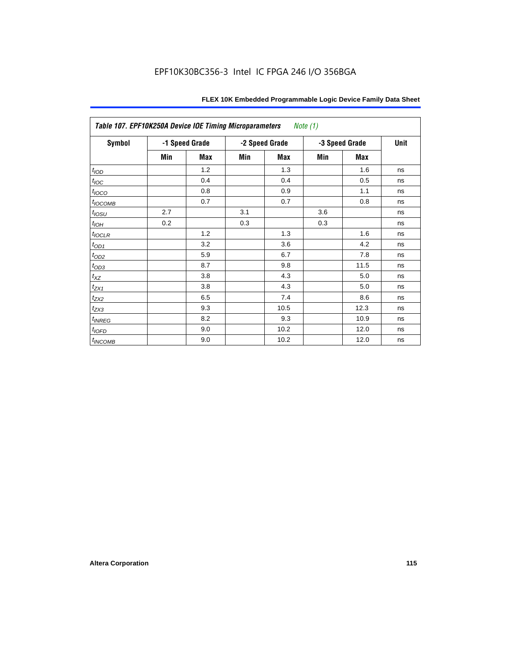| Table 107. EPF10K250A Device IOE Timing Microparameters<br><i>Note</i> $(1)$ |     |                |                |      |                |      |    |
|------------------------------------------------------------------------------|-----|----------------|----------------|------|----------------|------|----|
| <b>Symbol</b>                                                                |     | -1 Speed Grade | -2 Speed Grade |      | -3 Speed Grade | Unit |    |
|                                                                              | Min | Max            | Min            | Max  | Min            | Max  |    |
| t <sub>IOD</sub>                                                             |     | 1.2            |                | 1.3  |                | 1.6  | ns |
| $t_{\text{loc}}$                                                             |     | 0.4            |                | 0.4  |                | 0.5  | ns |
| $t_{IOCO}$                                                                   |     | 0.8            |                | 0.9  |                | 1.1  | ns |
| $t_{IOCOMB}$                                                                 |     | 0.7            |                | 0.7  |                | 0.8  | ns |
| $t_{IOSU}$                                                                   | 2.7 |                | 3.1            |      | 3.6            |      | ns |
| $t_{IOH}$                                                                    | 0.2 |                | 0.3            |      | 0.3            |      | ns |
| $t_{IOCLR}$                                                                  |     | 1.2            |                | 1.3  |                | 1.6  | ns |
| $t_{OD1}$                                                                    |     | 3.2            |                | 3.6  |                | 4.2  | ns |
| $t_{OD2}$                                                                    |     | 5.9            |                | 6.7  |                | 7.8  | ns |
| $t_{0D3}$                                                                    |     | 8.7            |                | 9.8  |                | 11.5 | ns |
| $t_{\mathsf{XZ}}$                                                            |     | 3.8            |                | 4.3  |                | 5.0  | ns |
| $t_{ZX1}$                                                                    |     | 3.8            |                | 4.3  |                | 5.0  | ns |
| $t_{ZX2}$                                                                    |     | 6.5            |                | 7.4  |                | 8.6  | ns |
| $t_{ZX3}$                                                                    |     | 9.3            |                | 10.5 |                | 12.3 | ns |
| $t_{INREG}$                                                                  |     | 8.2            |                | 9.3  |                | 10.9 | ns |
| $t_{IOFD}$                                                                   |     | 9.0            |                | 10.2 |                | 12.0 | ns |
| t <sub>INCOMB</sub>                                                          |     | 9.0            |                | 10.2 |                | 12.0 | ns |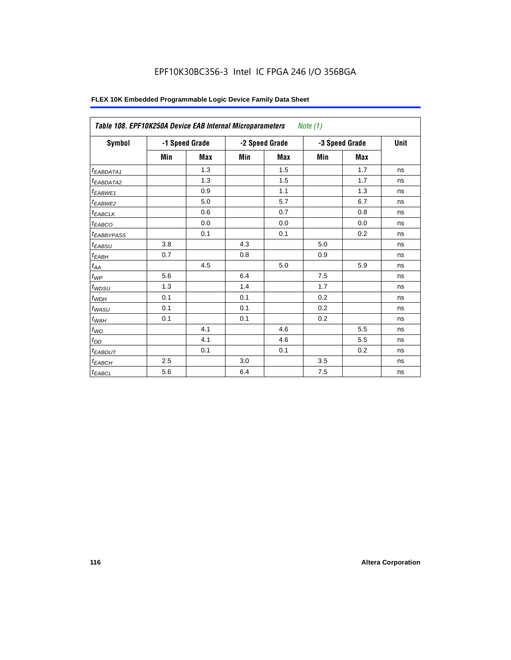| Symbol                 |     | -1 Speed Grade |     | -2 Speed Grade |     | -3 Speed Grade | Unit |
|------------------------|-----|----------------|-----|----------------|-----|----------------|------|
|                        | Min | <b>Max</b>     | Min | <b>Max</b>     | Min | <b>Max</b>     |      |
| <sup>t</sup> EABDATA1  |     | 1.3            |     | 1.5            |     | 1.7            | ns   |
| <sup>t</sup> EABDATA2  |     | 1.3            |     | 1.5            |     | 1.7            | ns   |
| <sup>t</sup> EABWE1    |     | 0.9            |     | 1.1            |     | 1.3            | ns   |
| <sup>t</sup> EABWE2    |     | 5.0            |     | 5.7            |     | 6.7            | ns   |
| t <sub>EABCLK</sub>    |     | 0.6            |     | 0.7            |     | 0.8            | ns   |
| <sup>t</sup> EABCO     |     | 0.0            |     | 0.0            |     | 0.0            | ns   |
| <sup>t</sup> EABBYPASS |     | 0.1            |     | 0.1            |     | 0.2            | ns   |
| t <sub>EABSU</sub>     | 3.8 |                | 4.3 |                | 5.0 |                | ns   |
| t <sub>ЕАВН</sub>      | 0.7 |                | 0.8 |                | 0.9 |                | ns   |
| $t_{AA}$               |     | 4.5            |     | 5.0            |     | 5.9            | ns   |
| $t_{\mathcal{WP}}$     | 5.6 |                | 6.4 |                | 7.5 |                | ns   |
| $t_{W\!D\!S\!U}$       | 1.3 |                | 1.4 |                | 1.7 |                | ns   |
| $t_{WDH}$              | 0.1 |                | 0.1 |                | 0.2 |                | ns   |
| $t_{WASU}$             | 0.1 |                | 0.1 |                | 0.2 |                | ns   |
| $t_{WAH}$              | 0.1 |                | 0.1 |                | 0.2 |                | ns   |
| $t_{WO}$               |     | 4.1            |     | 4.6            |     | 5.5            | ns   |
| $t_{DD}$               |     | 4.1            |     | 4.6            |     | 5.5            | ns   |
| t <sub>EABOUT</sub>    |     | 0.1            |     | 0.1            |     | 0.2            | ns   |
| <sup>t</sup> EABCH     | 2.5 |                | 3.0 |                | 3.5 |                | ns   |
| $t_{EABCL}$            | 5.6 |                | 6.4 |                | 7.5 |                | ns   |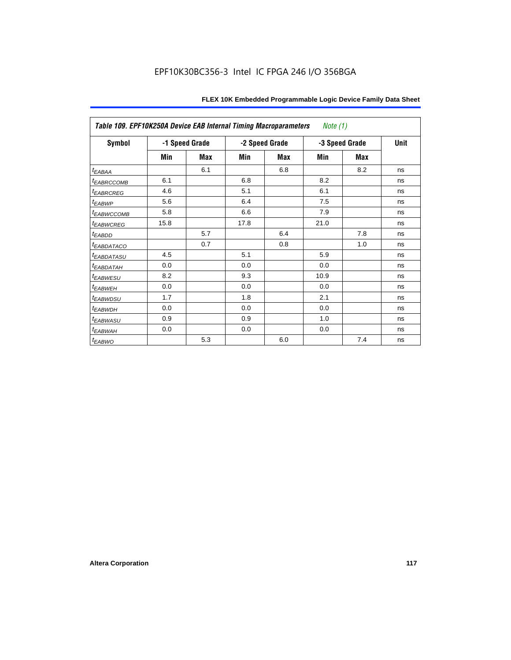| Table 109. EPF10K250A Device EAB Internal Timing Macroparameters<br><i>Note</i> $(1)$ |      |                |      |                |      |                |    |  |
|---------------------------------------------------------------------------------------|------|----------------|------|----------------|------|----------------|----|--|
| Symbol                                                                                |      | -1 Speed Grade |      | -2 Speed Grade |      | -3 Speed Grade |    |  |
|                                                                                       | Min  | <b>Max</b>     | Min  | Max            | Min  | <b>Max</b>     |    |  |
| $t_{EABA}$                                                                            |      | 6.1            |      | 6.8            |      | 8.2            | ns |  |
| <sup>t</sup> EABRCCOMB                                                                | 6.1  |                | 6.8  |                | 8.2  |                | ns |  |
| <i><b>EABRCREG</b></i>                                                                | 4.6  |                | 5.1  |                | 6.1  |                | ns |  |
| t <sub>EABWP</sub>                                                                    | 5.6  |                | 6.4  |                | 7.5  |                | ns |  |
| <sup>t</sup> ЕАВWССОМВ                                                                | 5.8  |                | 6.6  |                | 7.9  |                | ns |  |
| <sup>t</sup> EABWCREG                                                                 | 15.8 |                | 17.8 |                | 21.0 |                | ns |  |
| $t_{EABDD}$                                                                           |      | 5.7            |      | 6.4            |      | 7.8            | ns |  |
| <sup>t</sup> EABDATACO                                                                |      | 0.7            |      | 0.8            |      | 1.0            | ns |  |
| <sup>t</sup> EABDATASU                                                                | 4.5  |                | 5.1  |                | 5.9  |                | ns |  |
| <sup>t</sup> EABDATAH                                                                 | 0.0  |                | 0.0  |                | 0.0  |                | ns |  |
| <sup>t</sup> EABWESU                                                                  | 8.2  |                | 9.3  |                | 10.9 |                | ns |  |
| t <sub>EABWEH</sub>                                                                   | 0.0  |                | 0.0  |                | 0.0  |                | ns |  |
| t <sub>EABWDSU</sub>                                                                  | 1.7  |                | 1.8  |                | 2.1  |                | ns |  |
| t <sub>EABWDH</sub>                                                                   | 0.0  |                | 0.0  |                | 0.0  |                | ns |  |
| t <sub>EABWASU</sub>                                                                  | 0.9  |                | 0.9  |                | 1.0  |                | ns |  |
| <sup>t</sup> EABWAH                                                                   | 0.0  |                | 0.0  |                | 0.0  |                | ns |  |
| $t_{EABWO}$                                                                           |      | 5.3            |      | 6.0            |      | 7.4            | ns |  |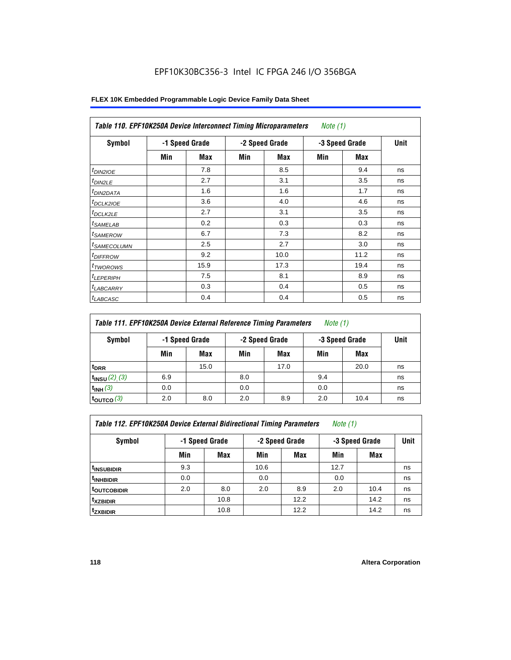| <b>Symbol</b>              |     | -1 Speed Grade |     | -2 Speed Grade |     | -3 Speed Grade | <b>Unit</b> |  |
|----------------------------|-----|----------------|-----|----------------|-----|----------------|-------------|--|
|                            | Min | Max            | Min | Max            | Min | Max            |             |  |
| $tD$ IN2IOE                |     | 7.8            |     | 8.5            |     | 9.4            | ns          |  |
| $t_{DIN2LE}$               |     | 2.7            |     | 3.1            |     | 3.5            | ns          |  |
| <sup>t</sup> DIN2DATA      |     | 1.6            |     | 1.6            |     | 1.7            | ns          |  |
| <sup>t</sup> DCLK2IOE      |     | 3.6            |     | 4.0            |     | 4.6            | ns          |  |
| <sup>t</sup> DCLK2LE       |     | 2.7            |     | 3.1            |     | 3.5            | ns          |  |
| <sup>t</sup> SAMELAB       |     | 0.2            |     | 0.3            |     | 0.3            | ns          |  |
| <sup>t</sup> SAMEROW       |     | 6.7            |     | 7.3            |     | 8.2            | ns          |  |
| <sup>t</sup> SAMECOLUMN    |     | 2.5            |     | 2.7            |     | 3.0            | ns          |  |
| <i>t<sub>DIFFROW</sub></i> |     | 9.2            |     | 10.0           |     | 11.2           | ns          |  |
| <sup>t</sup> TWOROWS       |     | 15.9           |     | 17.3           |     | 19.4           | ns          |  |
| <sup>t</sup> LEPERIPH      |     | 7.5            |     | 8.1            |     | 8.9            | ns          |  |
| <sup>I</sup> LABCARRY      |     | 0.3            |     | 0.4            |     | 0.5            | ns          |  |
| <sup>t</sup> LABCASC       |     | 0.4            |     | 0.4            |     | 0.5            | ns          |  |

| Table 111. EPF10K250A Device External Reference Timing Parameters<br>Note $(1)$ |     |                |                |      |                |      |      |
|---------------------------------------------------------------------------------|-----|----------------|----------------|------|----------------|------|------|
| Symbol                                                                          |     | -1 Speed Grade | -2 Speed Grade |      | -3 Speed Grade |      | Unit |
|                                                                                 | Min | Max            | Min            | Max  | Min            | Max  |      |
| <sup>t</sup> DRR                                                                |     | 15.0           |                | 17.0 |                | 20.0 | ns   |
| $t_{INSU}(2)$ (3)                                                               | 6.9 |                | 8.0            |      | 9.4            |      | ns   |
| $t_{INH}$ (3)                                                                   | 0.0 |                | 0.0            |      | 0.0            |      | ns   |
| $t_{\rm OUTCO}$ (3)                                                             | 2.0 | 8.0            | 2.0            | 8.9  | 2.0            | 10.4 | ns   |

| Table 112. EPF10K250A Device External Bidirectional Timing Parameters |  |  | Note (1) |  |
|-----------------------------------------------------------------------|--|--|----------|--|
|-----------------------------------------------------------------------|--|--|----------|--|

| Symbol                  | -1 Speed Grade |      |      | -2 Speed Grade | -3 Speed Grade | Unit |    |
|-------------------------|----------------|------|------|----------------|----------------|------|----|
|                         | Min            | Max  | Min  | <b>Max</b>     | Min            | Max  |    |
| <sup>t</sup> INSUBIDIR  | 9.3            |      | 10.6 |                | 12.7           |      | ns |
| <sup>t</sup> INHBIDIR   | 0.0            |      | 0.0  |                | 0.0            |      | ns |
| <sup>t</sup> OUTCOBIDIR | 2.0            | 8.0  | 2.0  | 8.9            | 2.0            | 10.4 | ns |
| <sup>t</sup> xzbidir    |                | 10.8 |      | 12.2           |                | 14.2 | ns |
| <sup>t</sup> zxbidir    |                | 10.8 |      | 12.2           |                | 14.2 | ns |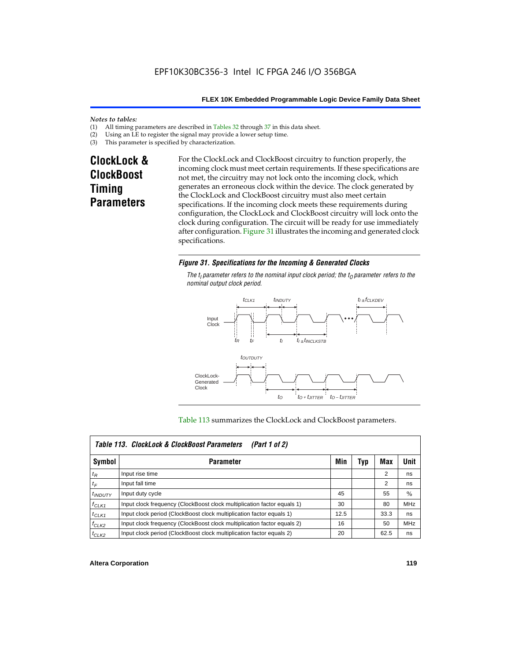#### *Notes to tables:*

- (1) All timing parameters are described in Tables  $32$  through  $37$  in this data sheet.<br>(2) Using an LE to register the signal may provide a lower setup time.
- (2) Using an LE to register the signal may provide a lower setup time.<br>(3) This parameter is specified by characterization.
- This parameter is specified by characterization.

# **ClockLock & ClockBoost Timing Parameters**

For the ClockLock and ClockBoost circuitry to function properly, the incoming clock must meet certain requirements. If these specifications are not met, the circuitry may not lock onto the incoming clock, which generates an erroneous clock within the device. The clock generated by the ClockLock and ClockBoost circuitry must also meet certain specifications. If the incoming clock meets these requirements during configuration, the ClockLock and ClockBoost circuitry will lock onto the clock during configuration. The circuit will be ready for use immediately after configuration. Figure 31 illustrates the incoming and generated clock specifications.

#### *Figure 31. Specifications for the Incoming & Generated Clocks*

The  $t_i$  parameter refers to the nominal input clock period; the  $t_0$  parameter refers to the *nominal output clock period.*



#### Table 113 summarizes the ClockLock and ClockBoost parameters.

| Table 113. ClockLock & ClockBoost Parameters<br>(Part 1 of 2) |                                                                         |      |     |                |            |  |  |
|---------------------------------------------------------------|-------------------------------------------------------------------------|------|-----|----------------|------------|--|--|
| Symbol                                                        | <b>Parameter</b>                                                        | Min  | Typ | Max            | Unit       |  |  |
| $t_{R}$                                                       | Input rise time                                                         |      |     | $\overline{2}$ | ns         |  |  |
| $t_F$                                                         | Input fall time                                                         |      |     | 2              | ns         |  |  |
| $t$ <sub>INDUTY</sub>                                         | Input duty cycle                                                        | 45   |     | 55             | $\%$       |  |  |
| $f_{CLK1}$                                                    | Input clock frequency (ClockBoost clock multiplication factor equals 1) | 30   |     | 80             | <b>MHz</b> |  |  |
| $t$ CLK1                                                      | Input clock period (ClockBoost clock multiplication factor equals 1)    | 12.5 |     | 33.3           | ns         |  |  |
| $f_{CLK2}$                                                    | Input clock frequency (ClockBoost clock multiplication factor equals 2) | 16   |     | 50             | <b>MHz</b> |  |  |
| $t_{CLK2}$                                                    | Input clock period (ClockBoost clock multiplication factor equals 2)    | 20   |     | 62.5           | ns         |  |  |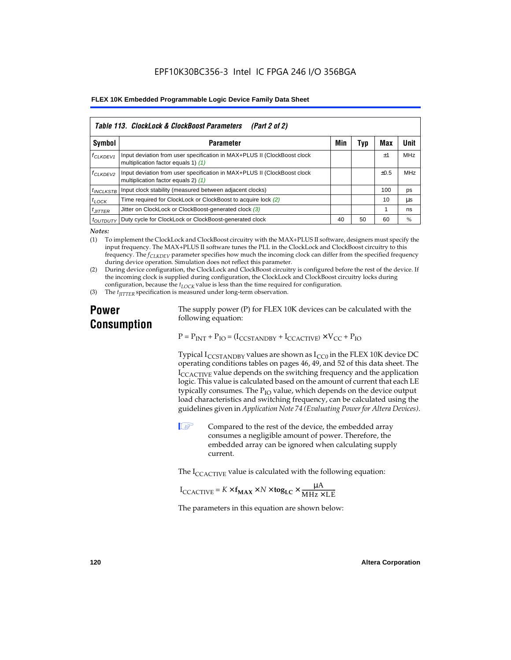| Table 113. ClockLock & ClockBoost Parameters<br>(Part 2 of 2) |                                                                                                                 |     |     |           |            |  |  |  |
|---------------------------------------------------------------|-----------------------------------------------------------------------------------------------------------------|-----|-----|-----------|------------|--|--|--|
| Symbol                                                        | <b>Parameter</b>                                                                                                | Min | Typ | Max       | Unit       |  |  |  |
| f <sub>CLKDEV1</sub>                                          | Input deviation from user specification in MAX+PLUS II (ClockBoost clock<br>multiplication factor equals 1) (1) |     |     | $\pm 1$   | <b>MHz</b> |  |  |  |
| <sup>f</sup> CLKDEV2                                          | Input deviation from user specification in MAX+PLUS II (ClockBoost clock<br>multiplication factor equals 2) (1) |     |     | $\pm 0.5$ | <b>MHz</b> |  |  |  |
| $t_{INCLKSTB}$                                                | Input clock stability (measured between adjacent clocks)                                                        |     |     | 100       | ps         |  |  |  |
| $t_{LOCK}$                                                    | Time required for ClockLock or ClockBoost to acquire lock (2)                                                   |     |     | 10        | μs         |  |  |  |
| $t_{JITTER}$                                                  | Jitter on ClockLock or ClockBoost-generated clock (3)                                                           |     |     |           | ns         |  |  |  |
| <i>toutbuty</i>                                               | Duty cycle for ClockLock or ClockBoost-generated clock                                                          | 40  | 50  | 60        | $\%$       |  |  |  |

*Notes:*

(1) To implement the ClockLock and ClockBoost circuitry with the MAX+PLUS II software, designers must specify the input frequency. The MAX+PLUS II software tunes the PLL in the ClockLock and ClockBoost circuitry to this frequency. The *fCLKDEV* parameter specifies how much the incoming clock can differ from the specified frequency during device operation. Simulation does not reflect this parameter.

(2) During device configuration, the ClockLock and ClockBoost circuitry is configured before the rest of the device. If the incoming clock is supplied during configuration, the ClockLock and ClockBoost circuitry locks during configuration, because the  $t_{LOCK}$  value is less than the time required for configuration.

(3) The *t<sub>IITTER</sub>* specification is measured under long-term observation.

# **Power Consumption**

The supply power (P) for FLEX 10K devices can be calculated with the following equation:

 $P = P_{INT} + P_{IO} = (I_{CCSTANDBY} + I_{CCACTIVE}) \times V_{CC} + P_{IO}$ 

Typical  $I_{CCSTANDBY}$  values are shown as  $I_{CC0}$  in the FLEX 10K device DC operating conditions tables on pages 46, 49, and 52 of this data sheet. The  $I_{\text{CCACTIVE}}$  value depends on the switching frequency and the application logic. This value is calculated based on the amount of current that each LE typically consumes. The  $P_{IO}$  value, which depends on the device output load characteristics and switching frequency, can be calculated using the guidelines given in *Application Note 74 (Evaluating Power for Altera Devices)*.

 $\Box$  Compared to the rest of the device, the embedded array consumes a negligible amount of power. Therefore, the embedded array can be ignored when calculating supply current.

The  $I_{\text{CCACTIVE}}$  value is calculated with the following equation:

$$
I_{\text{CCACTIVE}} = K \times f_{\text{MAX}} \times N \times \text{tog}_{\text{LC}} \times \frac{\mu A}{\text{MHz} \times \text{LE}}
$$

The parameters in this equation are shown below: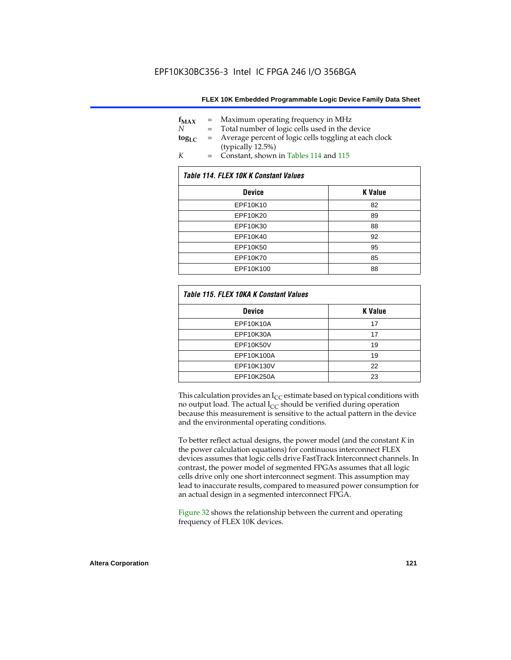| $f_{MAX}$   | $=$ | Maximum operating frequency in MHz                    |
|-------------|-----|-------------------------------------------------------|
| N           |     | Total number of logic cells used in the device        |
| $\log_{LC}$ | $=$ | Average percent of logic cells toggling at each clock |
|             |     | (typically 12.5%)                                     |
| K           | $=$ | Constant, shown in Tables 114 and 115                 |

| Table 114. FLEX 10K K Constant Values |                |  |  |  |  |
|---------------------------------------|----------------|--|--|--|--|
| <b>Device</b>                         | <b>K</b> Value |  |  |  |  |
| EPF10K10                              | 82             |  |  |  |  |
| EPF10K20                              | 89             |  |  |  |  |
| EPF10K30                              | 88             |  |  |  |  |
| EPF10K40                              | 92             |  |  |  |  |
| EPF10K50                              | 95             |  |  |  |  |
| EPF10K70                              | 85             |  |  |  |  |
| EPF10K100                             | 88             |  |  |  |  |

| Table 115. FLEX 10KA K Constant Values |                |
|----------------------------------------|----------------|
| <b>Device</b>                          | <b>K</b> Value |
| <b>EPF10K10A</b>                       | 17             |
| EPF10K30A                              | 17             |
| EPF10K50V                              | 19             |
| EPF10K100A                             | 19             |
| EPF10K130V                             | 22             |
| EPF10K250A                             | 23             |

This calculation provides an  $I_{CC}$  estimate based on typical conditions with no output load. The actual  $I_{CC}$  should be verified during operation because this measurement is sensitive to the actual pattern in the device and the environmental operating conditions.

To better reflect actual designs, the power model (and the constant *K* in the power calculation equations) for continuous interconnect FLEX devices assumes that logic cells drive FastTrack Interconnect channels. In contrast, the power model of segmented FPGAs assumes that all logic cells drive only one short interconnect segment. This assumption may lead to inaccurate results, compared to measured power consumption for an actual design in a segmented interconnect FPGA.

Figure 32 shows the relationship between the current and operating frequency of FLEX 10K devices.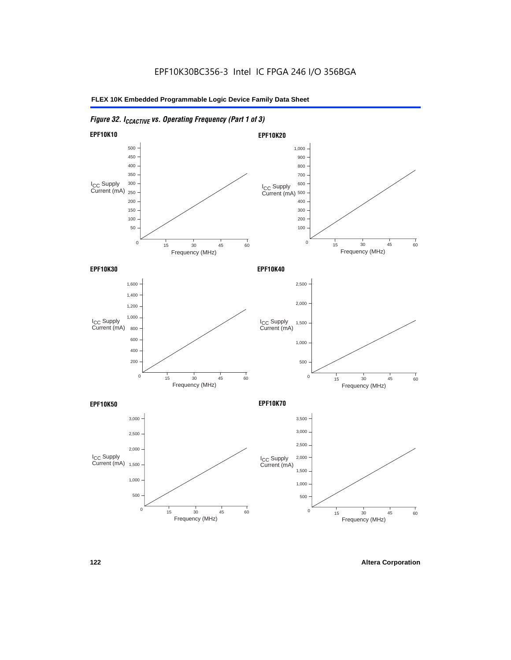# *Figure 32. ICCACTIVE vs. Operating Frequency (Part 1 of 3)*

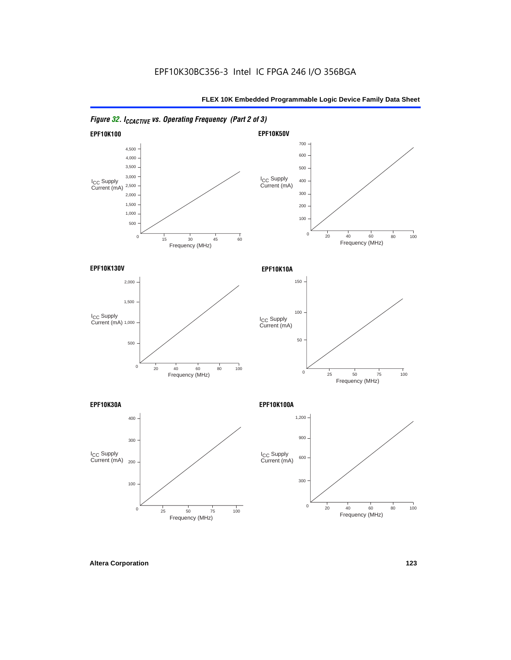

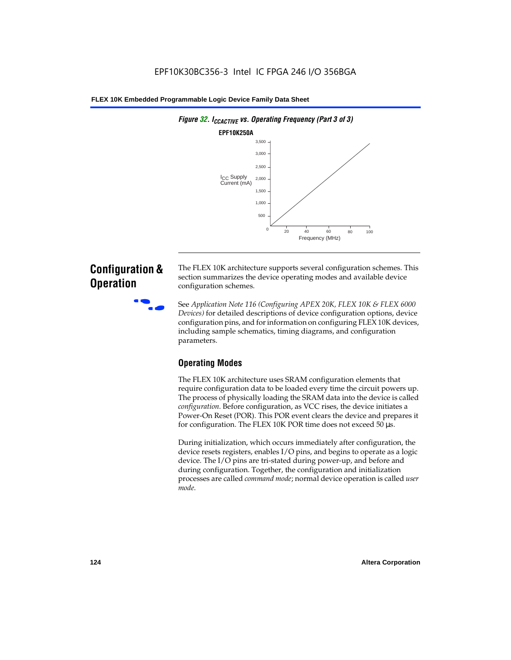

# **Configuration & Operation**

The FLEX 10K architecture supports several configuration schemes. This section summarizes the device operating modes and available device configuration schemes.

f See *Application Note 116 (Configuring APEX 20K, FLEX 10K & FLEX 6000 Devices)* for detailed descriptions of device configuration options, device configuration pins, and for information on configuring FLEX 10K devices, including sample schematics, timing diagrams, and configuration parameters.

# **Operating Modes**

The FLEX 10K architecture uses SRAM configuration elements that require configuration data to be loaded every time the circuit powers up. The process of physically loading the SRAM data into the device is called *configuration*. Before configuration, as VCC rises, the device initiates a Power-On Reset (POR). This POR event clears the device and prepares it for configuration. The FLEX 10K POR time does not exceed 50 µs.

During initialization, which occurs immediately after configuration, the device resets registers, enables I/O pins, and begins to operate as a logic device. The I/O pins are tri-stated during power-up, and before and during configuration. Together, the configuration and initialization processes are called *command mode*; normal device operation is called *user mode*.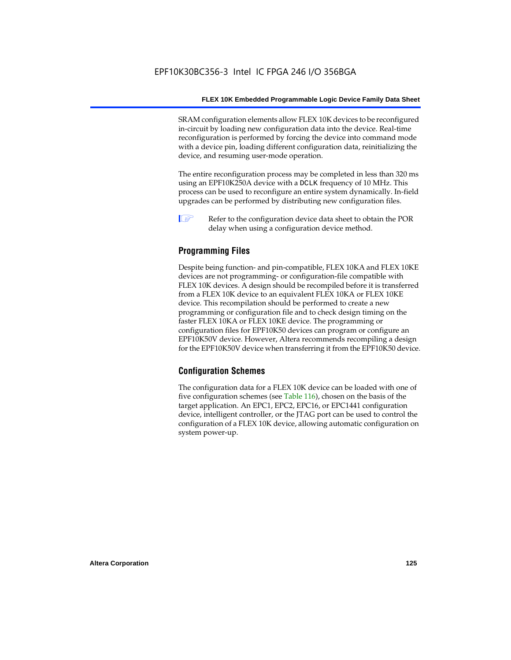SRAM configuration elements allow FLEX 10K devices to be reconfigured in-circuit by loading new configuration data into the device. Real-time reconfiguration is performed by forcing the device into command mode with a device pin, loading different configuration data, reinitializing the device, and resuming user-mode operation.

The entire reconfiguration process may be completed in less than 320 ms using an EPF10K250A device with a DCLK frequency of 10 MHz. This process can be used to reconfigure an entire system dynamically. In-field upgrades can be performed by distributing new configuration files.

 $\Box$  Refer to the configuration device data sheet to obtain the POR delay when using a configuration device method.

## **Programming Files**

Despite being function- and pin-compatible, FLEX 10KA and FLEX 10KE devices are not programming- or configuration-file compatible with FLEX 10K devices. A design should be recompiled before it is transferred from a FLEX 10K device to an equivalent FLEX 10KA or FLEX 10KE device. This recompilation should be performed to create a new programming or configuration file and to check design timing on the faster FLEX 10KA or FLEX 10KE device. The programming or configuration files for EPF10K50 devices can program or configure an EPF10K50V device. However, Altera recommends recompiling a design for the EPF10K50V device when transferring it from the EPF10K50 device.

### **Configuration Schemes**

The configuration data for a FLEX 10K device can be loaded with one of five configuration schemes (see Table 116), chosen on the basis of the target application. An EPC1, EPC2, EPC16, or EPC1441 configuration device, intelligent controller, or the JTAG port can be used to control the configuration of a FLEX 10K device, allowing automatic configuration on system power-up.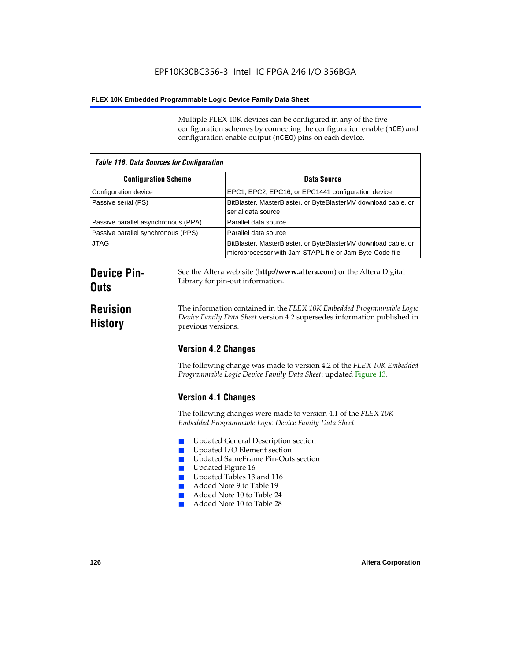Multiple FLEX 10K devices can be configured in any of the five configuration schemes by connecting the configuration enable (nCE) and configuration enable output (nCEO) pins on each device.

| <b>Table 116. Data Sources for Configuration</b> |                                                                                                                            |  |
|--------------------------------------------------|----------------------------------------------------------------------------------------------------------------------------|--|
| <b>Configuration Scheme</b>                      | Data Source                                                                                                                |  |
| Configuration device                             | EPC1, EPC2, EPC16, or EPC1441 configuration device                                                                         |  |
| Passive serial (PS)                              | BitBlaster, MasterBlaster, or ByteBlasterMV download cable, or<br>serial data source                                       |  |
| Passive parallel asynchronous (PPA)              | Parallel data source                                                                                                       |  |
| Passive parallel synchronous (PPS)               | Parallel data source                                                                                                       |  |
| <b>JTAG</b>                                      | BitBlaster, MasterBlaster, or ByteBlasterMV download cable, or<br>microprocessor with Jam STAPL file or Jam Byte-Code file |  |

# **Device Pin-Outs**

**Revision History**

See the Altera web site (**http://www.altera.com**) or the Altera Digital Library for pin-out information.

The information contained in the *FLEX 10K Embedded Programmable Logic Device Family Data Sheet* version 4.2 supersedes information published in previous versions.

# **Version 4.2 Changes**

The following change was made to version 4.2 of the *FLEX 10K Embedded Programmable Logic Device Family Data Sheet*: updated Figure 13.

# **Version 4.1 Changes**

The following changes were made to version 4.1 of the *FLEX 10K Embedded Programmable Logic Device Family Data Sheet*.

- Updated General Description section
- Updated I/O Element section
- Updated SameFrame Pin-Outs section
- Updated Figure 16
- Updated Tables 13 and 116
- Added Note 9 to Table 19
- Added Note 10 to Table 24
- Added Note 10 to Table 28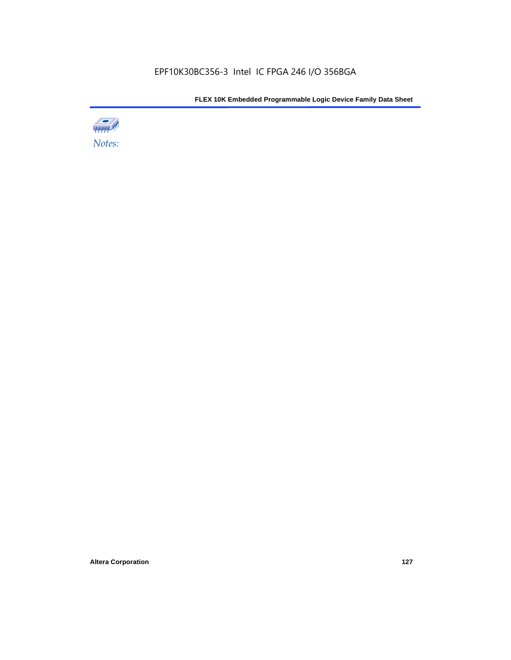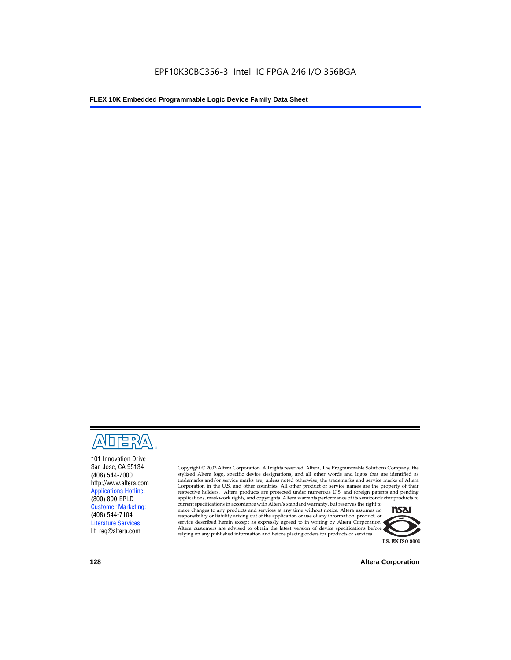

101 Innovation Drive San Jose, CA 95134 (408) 544-7000 http://www.altera.com Applications Hotline: (800) 800-EPLD Customer Marketing: (408) 544-7104 Literature Services: lit\_req@altera.com

Copyright © 2003 Altera Corporation. All rights reserved. Altera, The Programmable Solutions Company, the stylized Altera logo, specific device designations, and all other words and logos that are identified as trademarks and/or service marks are, unless noted otherwise, the trademarks and service marks of Altera Corporation in the U.S. and other countries. All other product or service names are the property of their respective holders. Altera products are protected under numerous U.S. and foreign patents and pending applications, maskwork rights, and copyrights. Altera warrants performance of its semiconductor products to

current specifications in accordance with Altera's standard warranty, but reserves the right to make changes to any products and services at any time without notice. Altera assumes no responsibility or liability arising out of the application or use of any information, product, or service described herein except as expressly agreed to in writing by Altera Corporation. Altera customers are advised to obtain the latest version of device specifications before relying on any published information and before placing orders for products or services.



**128 Altera Corporation**